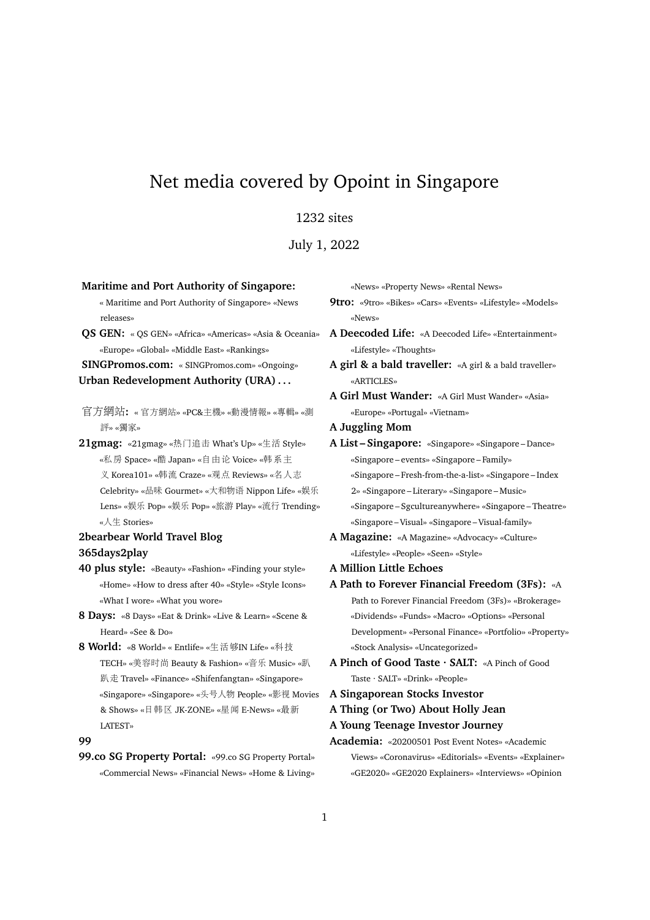# Net media covered by Opoint in Singapore

# 1232 sites

July 1, 2022

**Maritime and Port Authority of Singapore:** « Maritime and Port Authority of Singapore» «News releases» **QS GEN:** « QS GEN» «Africa» «Americas» «Asia & Oceania» «Europe» «Global» «Middle East» «Rankings» **SINGPromos.com:** « SINGPromos.com» «Ongoing» **Urban Redevelopment Authority (URA) . . .** 官方網站**:** « 官方網站» «PC&主機» «動漫情報» «專輯» «測 評» «獨家» **21gmag:** «21gmag» «热门追<sup>击</sup> What's Up» «生<sup>活</sup> Style» «私房 Space» «<sup>酷</sup> Japan» «自由<sup>论</sup> Voice» «韩系<sup>主</sup> <sup>义</sup> Korea101» «韩<sup>流</sup> Craze» «观<sup>点</sup> Reviews» «名人志 Celebrity» «品味 Gourmet» «大和物<sup>语</sup> Nippon Life» «娱<sup>乐</sup> Lens» «娱乐 Pop» «娱乐 Pop» «旅游 Play» «流行 Trending» «人生 Stories» **2bearbear World Travel Blog 365days2play 40 plus style:** «Beauty» «Fashion» «Finding your style» «Home» «How to dress after 40» «Style» «Style Icons» «What I wore» «What you wore» **8 Days:** «8 Days» «Eat & Drink» «Live & Learn» «Scene & Heard» «See & Do» **8 World:** «8 World» « Entlife» «生活够IN Life» «科<sup>技</sup> TECH» «美容时尚 Beauty & Fashion» «音<sup>乐</sup> Music» «<sup>趴</sup> 趴走 Travel» «Finance» «Shifenfangtan» «Singapore» «Singapore» «Singapore» «头号人物 People» «影<sup>视</sup> Movies & Shows» «日韩<sup>区</sup> JK-ZONE» «星<sup>闻</sup> E-News» «最<sup>新</sup> LATEST» **99 99.co SG Property Portal:** «99.co SG Property Portal» «Commercial News» «Financial News» «Home & Living»

«News» «Property News» «Rental News» **9tro:** «9tro» «Bikes» «Cars» «Events» «Lifestyle» «Models» «News» **A Deecoded Life:** «A Deecoded Life» «Entertainment» «Lifestyle» «Thoughts» **A girl & a bald traveller:** «A girl & a bald traveller» «ARTICLES» **A Girl Must Wander:** «A Girl Must Wander» «Asia» «Europe» «Portugal» «Vietnam» **A Juggling Mom A List – Singapore:** «Singapore» «Singapore – Dance» «Singapore – events» «Singapore – Family» «Singapore – Fresh-from-the-a-list» «Singapore – Index 2» «Singapore – Literary» «Singapore – Music» «Singapore – Sgcultureanywhere» «Singapore – Theatre» «Singapore – Visual» «Singapore – Visual-family» **A Magazine:** «A Magazine» «Advocacy» «Culture» «Lifestyle» «People» «Seen» «Style» **A Million Little Echoes A Path to Forever Financial Freedom (3Fs):** «A Path to Forever Financial Freedom (3Fs)» «Brokerage» «Dividends» «Funds» «Macro» «Options» «Personal Development» «Personal Finance» «Portfolio» «Property» «Stock Analysis» «Uncategorized» **A Pinch of Good Taste · SALT:** «A Pinch of Good Taste · SALT» «Drink» «People» **A Singaporean Stocks Investor A Thing (or Two) About Holly Jean A Young Teenage Investor Journey Academia:** «20200501 Post Event Notes» «Academic Views» «Coronavirus» «Editorials» «Events» «Explainer» «GE2020» «GE2020 Explainers» «Interviews» «Opinion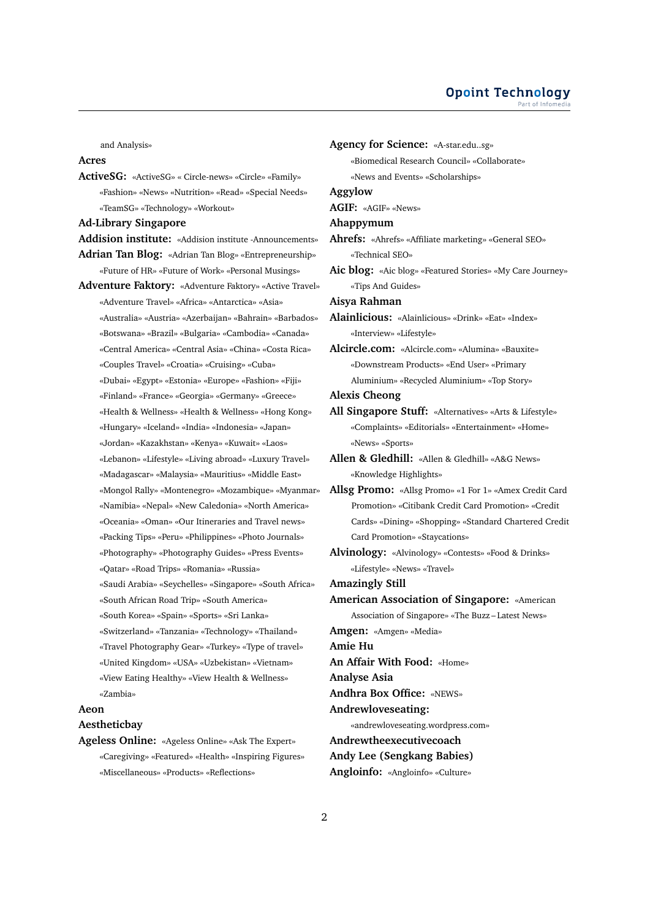and Analysis»

### **Acres**

**ActiveSG:** «ActiveSG» « Circle-news» «Circle» «Family» «Fashion» «News» «Nutrition» «Read» «Special Needs» «TeamSG» «Technology» «Workout»

**Ad-Library Singapore**

- **Addision institute:** «Addision institute -Announcements»
- **Adrian Tan Blog:** «Adrian Tan Blog» «Entrepreneurship» «Future of HR» «Future of Work» «Personal Musings» **Adventure Faktory:** «Adventure Faktory» «Active Travel»
- «Adventure Travel» «Africa» «Antarctica» «Asia» «Australia» «Austria» «Azerbaijan» «Bahrain» «Barbados» «Botswana» «Brazil» «Bulgaria» «Cambodia» «Canada» «Central America» «Central Asia» «China» «Costa Rica» «Couples Travel» «Croatia» «Cruising» «Cuba» «Dubai» «Egypt» «Estonia» «Europe» «Fashion» «Fiji» «Finland» «France» «Georgia» «Germany» «Greece» «Health & Wellness» «Health & Wellness» «Hong Kong» «Hungary» «Iceland» «India» «Indonesia» «Japan» «Jordan» «Kazakhstan» «Kenya» «Kuwait» «Laos» «Lebanon» «Lifestyle» «Living abroad» «Luxury Travel» «Madagascar» «Malaysia» «Mauritius» «Middle East» «Mongol Rally» «Montenegro» «Mozambique» «Myanmar» «Namibia» «Nepal» «New Caledonia» «North America» «Oceania» «Oman» «Our Itineraries and Travel news» «Packing Tips» «Peru» «Philippines» «Photo Journals» «Photography» «Photography Guides» «Press Events» «Qatar» «Road Trips» «Romania» «Russia» «Saudi Arabia» «Seychelles» «Singapore» «South Africa» «South African Road Trip» «South America» «South Korea» «Spain» «Sports» «Sri Lanka» «Switzerland» «Tanzania» «Technology» «Thailand» «Travel Photography Gear» «Turkey» «Type of travel» «United Kingdom» «USA» «Uzbekistan» «Vietnam» «View Eating Healthy» «View Health & Wellness» «Zambia»

# **Aeon**

# **Aestheticbay**

**Ageless Online:** «Ageless Online» «Ask The Expert» «Caregiving» «Featured» «Health» «Inspiring Figures» «Miscellaneous» «Products» «Reflections»

# **Agency for Science:** «A-star.edu..sg»

«Biomedical Research Council» «Collaborate» «News and Events» «Scholarships»

#### **Aggylow**

- **AGIF:** «AGIF» «News»
- **Ahappymum**

**Ahrefs:** «Ahrefs» «Affiliate marketing» «General SEO» «Technical SEO»

**Aic blog:** «Aic blog» «Featured Stories» «My Care Journey» «Tips And Guides»

**Aisya Rahman**

**Alainlicious:** «Alainlicious» «Drink» «Eat» «Index» «Interview» «Lifestyle»

**Alcircle.com:** «Alcircle.com» «Alumina» «Bauxite» «Downstream Products» «End User» «Primary Aluminium» «Recycled Aluminium» «Top Story»

#### **Alexis Cheong**

**All Singapore Stuff:** «Alternatives» «Arts & Lifestyle» «Complaints» «Editorials» «Entertainment» «Home» «News» «Sports»

- **Allen & Gledhill:** «Allen & Gledhill» «A&G News» «Knowledge Highlights»
- **Allsg Promo:** «Allsg Promo» «1 For 1» «Amex Credit Card Promotion» «Citibank Credit Card Promotion» «Credit Cards» «Dining» «Shopping» «Standard Chartered Credit Card Promotion» «Staycations»
- **Alvinology:** «Alvinology» «Contests» «Food & Drinks» «Lifestyle» «News» «Travel»

**Amazingly Still**

**American Association of Singapore:** «American Association of Singapore» «The Buzz – Latest News»

**Amgen:** «Amgen» «Media»

**Amie Hu**

**An Affair With Food:** «Home»

**Analyse Asia**

**Andhra Box Office:** «NEWS»

**Andrewloveseating:**

«andrewloveseating.wordpress.com»

**Andrewtheexecutivecoach**

**Andy Lee (Sengkang Babies)**

**Angloinfo:** «Angloinfo» «Culture»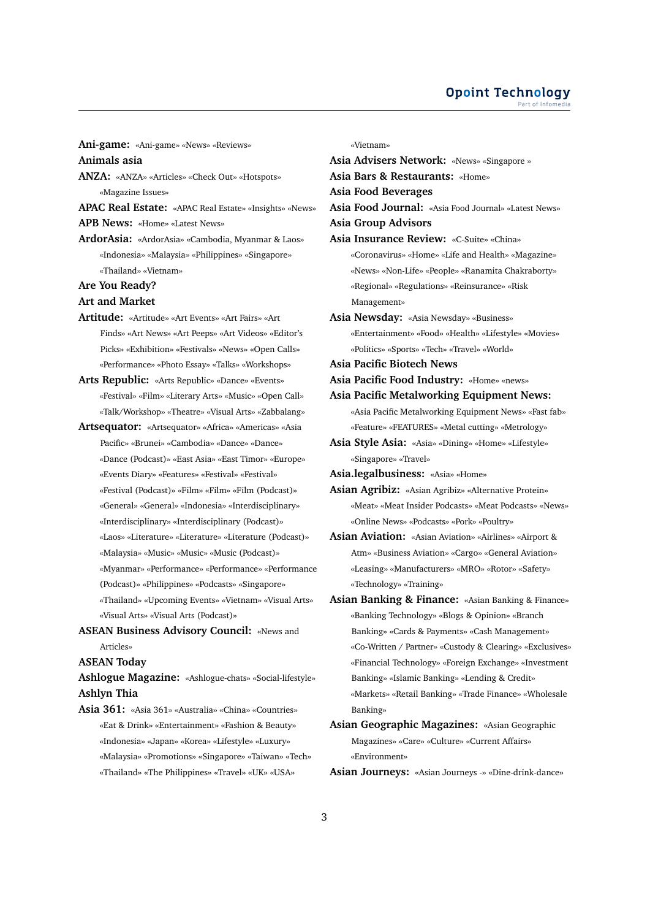#### **Opoint Technology** Part of Infome

**Ani-game:** «Ani-game» «News» «Reviews»

**Animals asia**

- **ANZA:** «ANZA» «Articles» «Check Out» «Hotspots» «Magazine Issues»
- **APAC Real Estate:** «APAC Real Estate» «Insights» «News»

**APB News:** «Home» «Latest News»

- **ArdorAsia:** «ArdorAsia» «Cambodia, Myanmar & Laos» «Indonesia» «Malaysia» «Philippines» «Singapore» «Thailand» «Vietnam»
- **Are You Ready?**
- **Art and Market**
- **Artitude:** «Artitude» «Art Events» «Art Fairs» «Art Finds» «Art News» «Art Peeps» «Art Videos» «Editor's Picks» «Exhibition» «Festivals» «News» «Open Calls» «Performance» «Photo Essay» «Talks» «Workshops»
- **Arts Republic:** «Arts Republic» «Dance» «Events» «Festival» «Film» «Literary Arts» «Music» «Open Call» «Talk/Workshop» «Theatre» «Visual Arts» «Zabbalang»
- **Artsequator:** «Artsequator» «Africa» «Americas» «Asia Pacific» «Brunei» «Cambodia» «Dance» «Dance» «Dance (Podcast)» «East Asia» «East Timor» «Europe» «Events Diary» «Features» «Festival» «Festival» «Festival (Podcast)» «Film» «Film» «Film (Podcast)» «General» «General» «Indonesia» «Interdisciplinary» «Interdisciplinary» «Interdisciplinary (Podcast)» «Laos» «Literature» «Literature» «Literature (Podcast)» «Malaysia» «Music» «Music» «Music (Podcast)» «Myanmar» «Performance» «Performance» «Performance (Podcast)» «Philippines» «Podcasts» «Singapore» «Thailand» «Upcoming Events» «Vietnam» «Visual Arts»
	- «Visual Arts» «Visual Arts (Podcast)»
- **ASEAN Business Advisory Council:** «News and Articles»

**ASEAN Today**

**Ashlogue Magazine:** «Ashlogue-chats» «Social-lifestyle» **Ashlyn Thia**

**Asia 361:** «Asia 361» «Australia» «China» «Countries» «Eat & Drink» «Entertainment» «Fashion & Beauty» «Indonesia» «Japan» «Korea» «Lifestyle» «Luxury» «Malaysia» «Promotions» «Singapore» «Taiwan» «Tech» «Thailand» «The Philippines» «Travel» «UK» «USA»

«Vietnam»

**Asia Advisers Network:** «News» «Singapore » **Asia Bars & Restaurants:** «Home» **Asia Food Beverages Asia Food Journal:** «Asia Food Journal» «Latest News» **Asia Group Advisors Asia Insurance Review:** «C-Suite» «China» «Coronavirus» «Home» «Life and Health» «Magazine» «News» «Non-Life» «People» «Ranamita Chakraborty» «Regional» «Regulations» «Reinsurance» «Risk Management» **Asia Newsday:** «Asia Newsday» «Business» «Entertainment» «Food» «Health» «Lifestyle» «Movies» «Politics» «Sports» «Tech» «Travel» «World» **Asia Pacific Biotech News Asia Pacific Food Industry:** «Home» «news» **Asia Pacific Metalworking Equipment News:** «Asia Pacific Metalworking Equipment News» «Fast fab» «Feature» «FEATURES» «Metal cutting» «Metrology» **Asia Style Asia:** «Asia» «Dining» «Home» «Lifestyle» «Singapore» «Travel» **Asia.legalbusiness:** «Asia» «Home» **Asian Agribiz:** «Asian Agribiz» «Alternative Protein» «Meat» «Meat Insider Podcasts» «Meat Podcasts» «News» «Online News» «Podcasts» «Pork» «Poultry» **Asian Aviation:** «Asian Aviation» «Airlines» «Airport & Atm» «Business Aviation» «Cargo» «General Aviation» «Leasing» «Manufacturers» «MRO» «Rotor» «Safety» «Technology» «Training» **Asian Banking & Finance:** «Asian Banking & Finance» «Banking Technology» «Blogs & Opinion» «Branch Banking» «Cards & Payments» «Cash Management» «Co-Written / Partner» «Custody & Clearing» «Exclusives» «Financial Technology» «Foreign Exchange» «Investment Banking» «Islamic Banking» «Lending & Credit» «Markets» «Retail Banking» «Trade Finance» «Wholesale Banking» **Asian Geographic Magazines:** «Asian Geographic Magazines» «Care» «Culture» «Current Affairs» «Environment»

**Asian Journeys:** «Asian Journeys -» «Dine-drink-dance»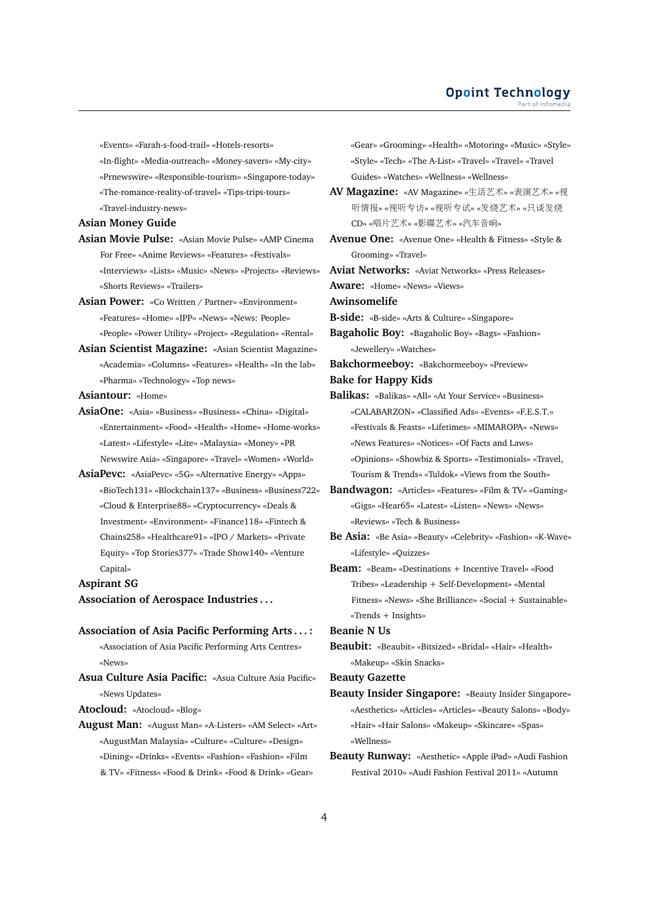«Events» «Farah-s-food-trail» «Hotels-resorts»

«In-flight» «Media-outreach» «Money-savers» «My-city» «Prnewswire» «Responsible-tourism» «Singapore-today» «The-romance-reality-of-travel» «Tips-trips-tours» «Travel-industry-news»

**Asian Money Guide**

- **Asian Movie Pulse:** «Asian Movie Pulse» «AMP Cinema For Free» «Anime Reviews» «Features» «Festivals» «Interviews» «Lists» «Music» «News» «Projects» «Reviews» «Shorts Reviews» «Trailers»
- **Asian Power:** «Co Written / Partner» «Environment» «Features» «Home» «IPP» «News» «News: People» «People» «Power Utility» «Project» «Regulation» «Rental»
- **Asian Scientist Magazine:** «Asian Scientist Magazine» «Academia» «Columns» «Features» «Health» «In the lab» «Pharma» «Technology» «Top news»

**Asiantour:** «Home»

- **AsiaOne:** «Asia» «Business» «Business» «China» «Digital» «Entertainment» «Food» «Health» «Home» «Home-works» «Latest» «Lifestyle» «Lite» «Malaysia» «Money» «PR Newswire Asia» «Singapore» «Travel» «Women» «World»
- **AsiaPevc:** «AsiaPevc» «5G» «Alternative Energy» «Apps» «BioTech131» «Blockchain137» «Business» «Business722» «Cloud & Enterprise88» «Cryptocurrency» «Deals & Investment» «Environment» «Finance118» «Fintech & Chains258» «Healthcare91» «IPO / Markets» «Private Equity» «Top Stories377» «Trade Show140» «Venture Capital»

**Aspirant SG**

**Association of Aerospace Industries . . .**

#### **Association of Asia Pacific Performing Arts . . . :**

«Association of Asia Pacific Performing Arts Centres» «News»

**Asua Culture Asia Pacific:** «Asua Culture Asia Pacific» «News Updates»

**Atocloud:** «Atocloud» «Blog»

**August Man:** «August Man» «A-Listers» «AM Select» «Art» «AugustMan Malaysia» «Culture» «Culture» «Design» «Dining» «Drinks» «Events» «Fashion» «Fashion» «Film & TV» «Fitness» «Food & Drink» «Food & Drink» «Gear»

«Gear» «Grooming» «Health» «Motoring» «Music» «Style» «Style» «Tech» «The A-List» «Travel» «Travel» «Travel Guides» «Watches» «Wellness» «Wellness»

- **AV Magazine:** «AV Magazine» «生活艺术» «表演艺术» «<sup>视</sup> <sup>听</sup>情报» «视听专访» «视听专试» «发烧艺术» «只谈发<sup>烧</sup> CD» «唱片艺术» «影碟艺术» «汽车音响»
- **Avenue One:** «Avenue One» «Health & Fitness» «Style & Grooming» «Travel»

**Aviat Networks:** «Aviat Networks» «Press Releases»

**Aware:** «Home» «News» «Views»

**Awinsomelife**

**B-side:** «B-side» «Arts & Culture» «Singapore»

**Bagaholic Boy:** «Bagaholic Boy» «Bags» «Fashion» «Jewellery» «Watches»

**Bakchormeeboy:** «Bakchormeeboy» «Preview»

**Bake for Happy Kids**

- **Balikas:** «Balikas» «All» «At Your Service» «Business» «CALABARZON» «Classified Ads» «Events» «F.E.S.T.» «Festivals & Feasts» «Lifetimes» «MIMAROPA» «News» «News Features» «Notices» «Of Facts and Laws» «Opinions» «Showbiz & Sports» «Testimonials» «Travel, Tourism & Trends» «Tuldok» «Views from the South»
- **Bandwagon:** «Articles» «Features» «Film & TV» «Gaming» «Gigs» «Hear65» «Latest» «Listen» «News» «News» «Reviews» «Tech & Business»
- **Be Asia:** «Be Asia» «Beauty» «Celebrity» «Fashion» «K-Wave» «Lifestyle» «Quizzes»
- **Beam:** «Beam» «Destinations + Incentive Travel» «Food Tribes» «Leadership + Self-Development» «Mental Fitness» «News» «She Brilliance» «Social + Sustainable» «Trends + Insights»

**Beanie N Us**

**Beaubit:** «Beaubit» «Bitsized» «Bridal» «Hair» «Health» «Makeup» «Skin Snacks»

**Beauty Gazette**

- **Beauty Insider Singapore:** «Beauty Insider Singapore» «Aesthetics» «Articles» «Articles» «Beauty Salons» «Body» «Hair» «Hair Salons» «Makeup» «Skincare» «Spas» «Wellness»
- **Beauty Runway:** «Aesthetic» «Apple iPad» «Audi Fashion Festival 2010» «Audi Fashion Festival 2011» «Autumn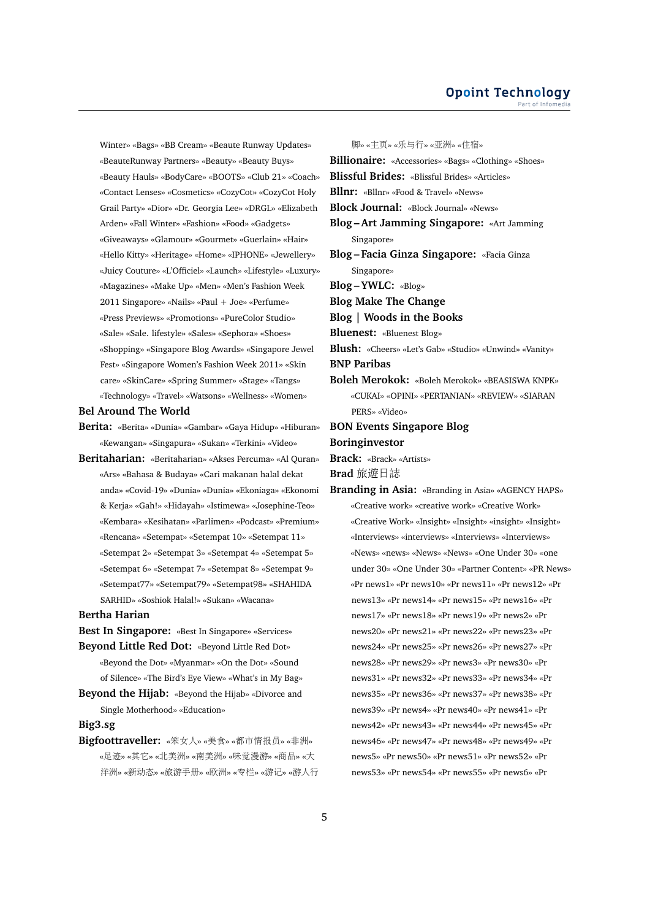Winter» «Bags» «BB Cream» «Beaute Runway Updates» «BeauteRunway Partners» «Beauty» «Beauty Buys» «Beauty Hauls» «BodyCare» «BOOTS» «Club 21» «Coach» «Contact Lenses» «Cosmetics» «CozyCot» «CozyCot Holy Grail Party» «Dior» «Dr. Georgia Lee» «DRGL» «Elizabeth Arden» «Fall Winter» «Fashion» «Food» «Gadgets» «Giveaways» «Glamour» «Gourmet» «Guerlain» «Hair» «Hello Kitty» «Heritage» «Home» «IPHONE» «Jewellery» «Juicy Couture» «L'Officiel» «Launch» «Lifestyle» «Luxury» «Magazines» «Make Up» «Men» «Men's Fashion Week 2011 Singapore» «Nails» «Paul + Joe» «Perfume» «Press Previews» «Promotions» «PureColor Studio» «Sale» «Sale. lifestyle» «Sales» «Sephora» «Shoes» «Shopping» «Singapore Blog Awards» «Singapore Jewel Fest» «Singapore Women's Fashion Week 2011» «Skin care» «SkinCare» «Spring Summer» «Stage» «Tangs» «Technology» «Travel» «Watsons» «Wellness» «Women»

#### **Bel Around The World**

- **Berita:** «Berita» «Dunia» «Gambar» «Gaya Hidup» «Hiburan» «Kewangan» «Singapura» «Sukan» «Terkini» «Video»
- **Beritaharian:** «Beritaharian» «Akses Percuma» «Al Quran» «Ars» «Bahasa & Budaya» «Cari makanan halal dekat anda» «Covid-19» «Dunia» «Dunia» «Ekoniaga» «Ekonomi & Kerja» «Gah!» «Hidayah» «Istimewa» «Josephine-Teo» «Kembara» «Kesihatan» «Parlimen» «Podcast» «Premium» «Rencana» «Setempat» «Setempat 10» «Setempat 11» «Setempat 2» «Setempat 3» «Setempat 4» «Setempat 5» «Setempat 6» «Setempat 7» «Setempat 8» «Setempat 9» «Setempat77» «Setempat79» «Setempat98» «SHAHIDA SARHID» «Soshiok Halal!» «Sukan» «Wacana»

#### **Bertha Harian**

- **Best In Singapore:** «Best In Singapore» «Services» **Beyond Little Red Dot:** «Beyond Little Red Dot»
- «Beyond the Dot» «Myanmar» «On the Dot» «Sound of Silence» «The Bird's Eye View» «What's in My Bag» **Beyond the Hijab:** «Beyond the Hijab» «Divorce and
- Single Motherhood» «Education»

# **Big3.sg**

**Bigfoottraveller:** «笨女人» «美食» «都市情报员» «非洲» «足迹» «其它» «北美洲» «南美洲» «味觉漫游» «商品» «大 洋洲» «新动态» «旅游手册» «欧洲» «专栏» «游记» «游人<sup>行</sup>

脚» «主页» «乐与行» «亚洲» «住宿» **Billionaire:** «Accessories» «Bags» «Clothing» «Shoes» **Blissful Brides:** «Blissful Brides» «Articles» **Bllnr:** «Bllnr» «Food & Travel» «News» **Block Journal:** «Block Journal» «News» **Blog – Art Jamming Singapore:** «Art Jamming Singapore» **Blog – Facia Ginza Singapore:** «Facia Ginza Singapore» **Blog – YWLC:** «Blog» **Blog Make The Change Blog | Woods in the Books Bluenest:** «Bluenest Blog» **Blush:** «Cheers» «Let's Gab» «Studio» «Unwind» «Vanity» **BNP Paribas Boleh Merokok:** «Boleh Merokok» «BEASISWA KNPK» «CUKAI» «OPINI» «PERTANIAN» «REVIEW» «SIARAN PERS» «Video» **BON Events Singapore Blog Boringinvestor**

**Brack:** «Brack» «Artists»

**Brad** 旅遊日誌

**Branding in Asia:** «Branding in Asia» «AGENCY HAPS» «Creative work» «creative work» «Creative Work» «Creative Work» «Insight» «Insight» «insight» «Insight» «Interviews» «interviews» «Interviews» «Interviews» «News» «news» «News» «News» «One Under 30» «one under 30» «One Under 30» «Partner Content» «PR News» «Pr news1» «Pr news10» «Pr news11» «Pr news12» «Pr news13» «Pr news14» «Pr news15» «Pr news16» «Pr news17» «Pr news18» «Pr news19» «Pr news2» «Pr news20» «Pr news21» «Pr news22» «Pr news23» «Pr news24» «Pr news25» «Pr news26» «Pr news27» «Pr news28» «Pr news29» «Pr news3» «Pr news30» «Pr news31» «Pr news32» «Pr news33» «Pr news34» «Pr news35» «Pr news36» «Pr news37» «Pr news38» «Pr news39» «Pr news4» «Pr news40» «Pr news41» «Pr news42» «Pr news43» «Pr news44» «Pr news45» «Pr news46» «Pr news47» «Pr news48» «Pr news49» «Pr news5» «Pr news50» «Pr news51» «Pr news52» «Pr news53» «Pr news54» «Pr news55» «Pr news6» «Pr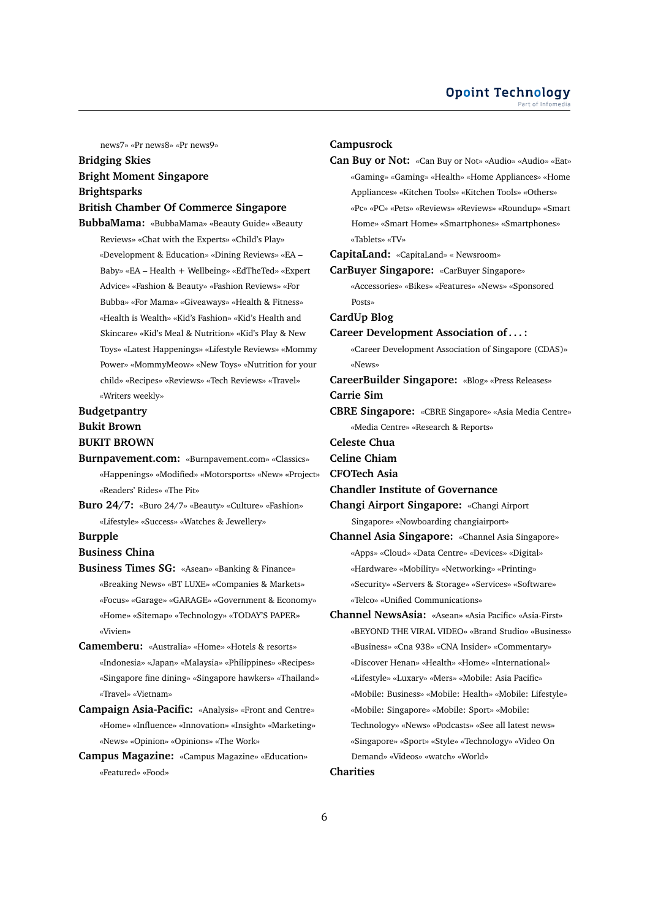news7» «Pr news8» «Pr news9»

# **Bridging Skies Bright Moment Singapore Brightsparks**

#### **British Chamber Of Commerce Singapore**

**BubbaMama:** «BubbaMama» «Beauty Guide» «Beauty Reviews» «Chat with the Experts» «Child's Play» «Development & Education» «Dining Reviews» «EA – Baby» «EA – Health + Wellbeing» «EdTheTed» «Expert Advice» «Fashion & Beauty» «Fashion Reviews» «For Bubba» «For Mama» «Giveaways» «Health & Fitness» «Health is Wealth» «Kid's Fashion» «Kid's Health and Skincare» «Kid's Meal & Nutrition» «Kid's Play & New Toys» «Latest Happenings» «Lifestyle Reviews» «Mommy Power» «MommyMeow» «New Toys» «Nutrition for your child» «Recipes» «Reviews» «Tech Reviews» «Travel» «Writers weekly»

# **Budgetpantry**

# **Bukit Brown**

# **BUKIT BROWN**

- **Burnpavement.com:** «Burnpavement.com» «Classics» «Happenings» «Modified» «Motorsports» «New» «Project» «Readers' Rides» «The Pit»
- **Buro 24/7:** «Buro 24/7» «Beauty» «Culture» «Fashion» «Lifestyle» «Success» «Watches & Jewellery»

#### **Burpple**

#### **Business China**

- **Business Times SG:** «Asean» «Banking & Finance» «Breaking News» «BT LUXE» «Companies & Markets» «Focus» «Garage» «GARAGE» «Government & Economy» «Home» «Sitemap» «Technology» «TODAY'S PAPER» «Vivien»
- **Camemberu:** «Australia» «Home» «Hotels & resorts» «Indonesia» «Japan» «Malaysia» «Philippines» «Recipes» «Singapore fine dining» «Singapore hawkers» «Thailand» «Travel» «Vietnam»
- **Campaign Asia-Pacific:** «Analysis» «Front and Centre» «Home» «Influence» «Innovation» «Insight» «Marketing» «News» «Opinion» «Opinions» «The Work»
- **Campus Magazine:** «Campus Magazine» «Education» «Featured» «Food»

#### **Campusrock**

**Can Buy or Not:** «Can Buy or Not» «Audio» «Audio» «Eat» «Gaming» «Gaming» «Health» «Home Appliances» «Home Appliances» «Kitchen Tools» «Kitchen Tools» «Others» «Pc» «PC» «Pets» «Reviews» «Reviews» «Roundup» «Smart Home» «Smart Home» «Smartphones» «Smartphones» «Tablets» «TV»

#### **CapitaLand:** «CapitaLand» « Newsroom»

**CarBuyer Singapore:** «CarBuyer Singapore» «Accessories» «Bikes» «Features» «News» «Sponsored

# **CardUp Blog**

Posts»

#### **Career Development Association of . . . :**

«Career Development Association of Singapore (CDAS)» «News»

**CareerBuilder Singapore:** «Blog» «Press Releases» **Carrie Sim**

# **CBRE Singapore:** «CBRE Singapore» «Asia Media Centre»

«Media Centre» «Research & Reports»

**Celeste Chua**

**Celine Chiam**

**CFOTech Asia**

**Chandler Institute of Governance**

**Changi Airport Singapore:** «Changi Airport Singapore» «Nowboarding changiairport»

- **Channel Asia Singapore:** «Channel Asia Singapore» «Apps» «Cloud» «Data Centre» «Devices» «Digital» «Hardware» «Mobility» «Networking» «Printing» «Security» «Servers & Storage» «Services» «Software» «Telco» «Unified Communications»
- **Channel NewsAsia:** «Asean» «Asia Pacific» «Asia-First» «BEYOND THE VIRAL VIDEO» «Brand Studio» «Business» «Business» «Cna 938» «CNA Insider» «Commentary» «Discover Henan» «Health» «Home» «International» «Lifestyle» «Luxary» «Mers» «Mobile: Asia Pacific» «Mobile: Business» «Mobile: Health» «Mobile: Lifestyle» «Mobile: Singapore» «Mobile: Sport» «Mobile: Technology» «News» «Podcasts» «See all latest news» «Singapore» «Sport» «Style» «Technology» «Video On Demand» «Videos» «watch» «World»

#### **Charities**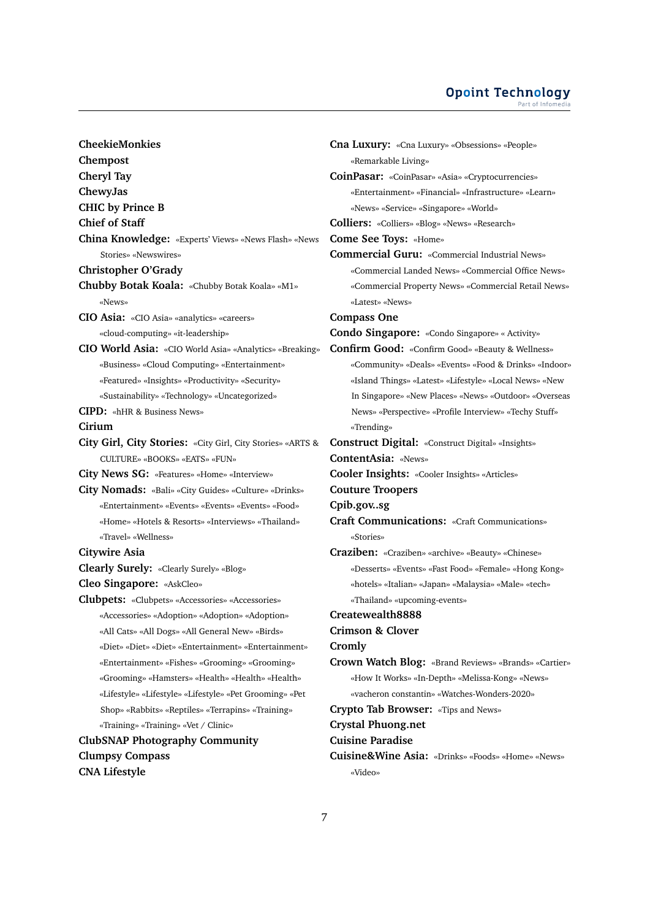#### **Opoint Technology** Part of Infomed

**CheekieMonkies Chempost Cheryl Tay ChewyJas CHIC by Prince B Chief of Staff China Knowledge:** «Experts' Views» «News Flash» «News Stories» «Newswires» **Christopher O'Grady Chubby Botak Koala:** «Chubby Botak Koala» «M1» «News» **CIO Asia:** «CIO Asia» «analytics» «careers» «cloud-computing» «it-leadership» **CIO World Asia:** «CIO World Asia» «Analytics» «Breaking» «Business» «Cloud Computing» «Entertainment» «Featured» «Insights» «Productivity» «Security» «Sustainability» «Technology» «Uncategorized» **CIPD:** «hHR & Business News» **Cirium City Girl, City Stories:** «City Girl, City Stories» «ARTS & CULTURE» «BOOKS» «EATS» «FUN» **City News SG:** «Features» «Home» «Interview» **City Nomads:** «Bali» «City Guides» «Culture» «Drinks» «Entertainment» «Events» «Events» «Events» «Food» «Home» «Hotels & Resorts» «Interviews» «Thailand» «Travel» «Wellness» **Citywire Asia Clearly Surely:** «Clearly Surely» «Blog» **Cleo Singapore:** «AskCleo» **Clubpets:** «Clubpets» «Accessories» «Accessories» «Accessories» «Adoption» «Adoption» «Adoption» «All Cats» «All Dogs» «All General New» «Birds» «Diet» «Diet» «Diet» «Entertainment» «Entertainment» «Entertainment» «Fishes» «Grooming» «Grooming» «Grooming» «Hamsters» «Health» «Health» «Health» «Lifestyle» «Lifestyle» «Lifestyle» «Pet Grooming» «Pet Shop» «Rabbits» «Reptiles» «Terrapins» «Training» «Training» «Training» «Vet / Clinic» **ClubSNAP Photography Community Clumpsy Compass CNA Lifestyle**

**Cna Luxury:** «Cna Luxury» «Obsessions» «People» «Remarkable Living» **CoinPasar:** «CoinPasar» «Asia» «Cryptocurrencies» «Entertainment» «Financial» «Infrastructure» «Learn» «News» «Service» «Singapore» «World» **Colliers:** «Colliers» «Blog» «News» «Research» **Come See Toys:** «Home» **Commercial Guru:** «Commercial Industrial News» «Commercial Landed News» «Commercial Office News» «Commercial Property News» «Commercial Retail News» «Latest» «News» **Compass One Condo Singapore:** «Condo Singapore» « Activity» **Confirm Good:** «Confirm Good» «Beauty & Wellness» «Community» «Deals» «Events» «Food & Drinks» «Indoor» «Island Things» «Latest» «Lifestyle» «Local News» «New In Singapore» «New Places» «News» «Outdoor» «Overseas News» «Perspective» «Profile Interview» «Techy Stuff» «Trending» **Construct Digital:** «Construct Digital» «Insights» **ContentAsia:** «News» **Cooler Insights:** «Cooler Insights» «Articles» **Couture Troopers Cpib.gov..sg Craft Communications:** «Craft Communications» «Stories» **Craziben:** «Craziben» «archive» «Beauty» «Chinese» «Desserts» «Events» «Fast Food» «Female» «Hong Kong» «hotels» «Italian» «Japan» «Malaysia» «Male» «tech» «Thailand» «upcoming-events» **Createwealth8888 Crimson & Clover Cromly Crown Watch Blog:** «Brand Reviews» «Brands» «Cartier» «How It Works» «In-Depth» «Melissa-Kong» «News» «vacheron constantin» «Watches-Wonders-2020» **Crypto Tab Browser:** «Tips and News» **Crystal Phuong.net Cuisine Paradise Cuisine&Wine Asia:** «Drinks» «Foods» «Home» «News» «Video»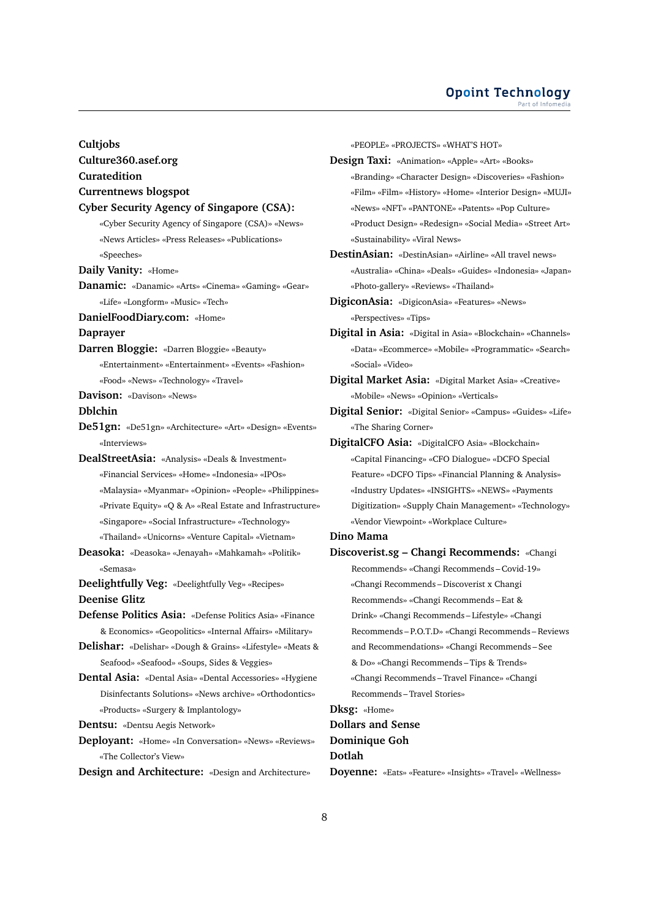#### **Opoint Technology** Part of Infomer

#### **Cultjobs**

**Culture360.asef.org**

**Curatedition**

#### **Currentnews blogspot**

#### **Cyber Security Agency of Singapore (CSA):**

«Cyber Security Agency of Singapore (CSA)» «News» «News Articles» «Press Releases» «Publications» «Speeches»

**Daily Vanity:** «Home»

**Danamic:** «Danamic» «Arts» «Cinema» «Gaming» «Gear» «Life» «Longform» «Music» «Tech»

**DanielFoodDiary.com:** «Home»

**Daprayer**

- **Darren Bloggie:** «Darren Bloggie» «Beauty» «Entertainment» «Entertainment» «Events» «Fashion» «Food» «News» «Technology» «Travel»
- **Davison:** «Davison» «News»

#### **Dblchin**

- **De51gn:** «De51gn» «Architecture» «Art» «Design» «Events» «Interviews»
- **DealStreetAsia:** «Analysis» «Deals & Investment» «Financial Services» «Home» «Indonesia» «IPOs» «Malaysia» «Myanmar» «Opinion» «People» «Philippines» «Private Equity» «Q & A» «Real Estate and Infrastructure» «Singapore» «Social Infrastructure» «Technology»

«Thailand» «Unicorns» «Venture Capital» «Vietnam»

- **Deasoka:** «Deasoka» «Jenayah» «Mahkamah» «Politik» «Semasa»
- **Deelightfully Veg:** «Deelightfully Veg» «Recipes» **Deenise Glitz**

**Defense Politics Asia:** «Defense Politics Asia» «Finance & Economics» «Geopolitics» «Internal Affairs» «Military»

- **Delishar:** «Delishar» «Dough & Grains» «Lifestyle» «Meats & Seafood» «Seafood» «Soups, Sides & Veggies»
- **Dental Asia:** «Dental Asia» «Dental Accessories» «Hygiene Disinfectants Solutions» «News archive» «Orthodontics» «Products» «Surgery & Implantology»

**Dentsu:** «Dentsu Aegis Network»

**Deployant:** «Home» «In Conversation» «News» «Reviews» «The Collector's View»

**Design and Architecture:** «Design and Architecture»

«PEOPLE» «PROJECTS» «WHAT'S HOT»

- **Design Taxi:** «Animation» «Apple» «Art» «Books» «Branding» «Character Design» «Discoveries» «Fashion» «Film» «Film» «History» «Home» «Interior Design» «MUJI» «News» «NFT» «PANTONE» «Patents» «Pop Culture» «Product Design» «Redesign» «Social Media» «Street Art» «Sustainability» «Viral News»
- **DestinAsian:** «DestinAsian» «Airline» «All travel news» «Australia» «China» «Deals» «Guides» «Indonesia» «Japan» «Photo-gallery» «Reviews» «Thailand»
- **DigiconAsia:** «DigiconAsia» «Features» «News» «Perspectives» «Tips»
- **Digital in Asia:** «Digital in Asia» «Blockchain» «Channels» «Data» «Ecommerce» «Mobile» «Programmatic» «Search» «Social» «Video»
- **Digital Market Asia:** «Digital Market Asia» «Creative» «Mobile» «News» «Opinion» «Verticals»
- **Digital Senior:** «Digital Senior» «Campus» «Guides» «Life» «The Sharing Corner»
- **DigitalCFO Asia:** «DigitalCFO Asia» «Blockchain» «Capital Financing» «CFO Dialogue» «DCFO Special Feature» «DCFO Tips» «Financial Planning & Analysis» «Industry Updates» «INSIGHTS» «NEWS» «Payments Digitization» «Supply Chain Management» «Technology» «Vendor Viewpoint» «Workplace Culture»

## **Dino Mama**

**Discoverist.sg – Changi Recommends:** «Changi Recommends» «Changi Recommends – Covid-19» «Changi Recommends – Discoverist x Changi Recommends» «Changi Recommends – Eat & Drink» «Changi Recommends – Lifestyle» «Changi Recommends – P.O.T.D» «Changi Recommends – Reviews and Recommendations» «Changi Recommends – See & Do» «Changi Recommends – Tips & Trends» «Changi Recommends – Travel Finance» «Changi Recommends – Travel Stories» **Dksg:** «Home» **Dollars and Sense**

# **Dominique Goh**

#### **Dotlah**

**Doyenne:** «Eats» «Feature» «Insights» «Travel» «Wellness»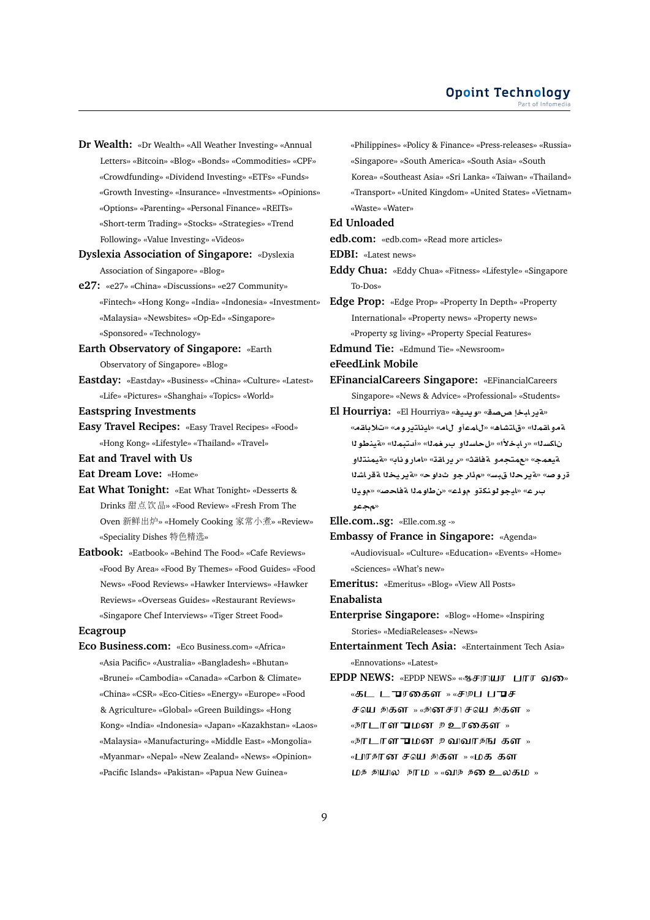- **Dr Wealth:** «Dr Wealth» «All Weather Investing» «Annual Letters» «Bitcoin» «Blog» «Bonds» «Commodities» «CPF» «Crowdfunding» «Dividend Investing» «ETFs» «Funds» «Growth Investing» «Insurance» «Investments» «Opinions» «Options» «Parenting» «Personal Finance» «REITs» «Short-term Trading» «Stocks» «Strategies» «Trend Following» «Value Investing» «Videos»
- **Dyslexia Association of Singapore:** «Dyslexia Association of Singapore» «Blog»
- **e27:** «e27» «China» «Discussions» «e27 Community» «Fintech» «Hong Kong» «India» «Indonesia» «Investment» «Malaysia» «Newsbites» «Op-Ed» «Singapore» «Sponsored» «Technology»
- **Earth Observatory of Singapore:** «Earth Observatory of Singapore» «Blog»
- **Eastday:** «Eastday» «Business» «China» «Culture» «Latest» «Life» «Pictures» «Shanghai» «Topics» «World»
- **Eastspring Investments**
- **Easy Travel Recipes:** «Easy Travel Recipes» «Food» «Hong Kong» «Lifestyle» «Thailand» «Travel»
- **Eat and Travel with Us**
- **Eat Dream Love:** «Home»
- **Eat What Tonight:** «Eat What Tonight» «Desserts & Drinks 甜点饮品» «Food Review» «Fresh From The Oven 新鲜出炉» «Homely Cooking 家常小煮» «Review» «Speciality Dishes 特色精选»
- **Eatbook:** «Eatbook» «Behind The Food» «Cafe Reviews» «Food By Area» «Food By Themes» «Food Guides» «Food News» «Food Reviews» «Hawker Interviews» «Hawker Reviews» «Overseas Guides» «Restaurant Reviews» «Singapore Chef Interviews» «Tiger Street Food»

#### **Ecagroup**

**Eco Business.com:** «Eco Business.com» «Africa» «Asia Pacific» «Australia» «Bangladesh» «Bhutan» «Brunei» «Cambodia» «Canada» «Carbon & Climate» «China» «CSR» «Eco-Cities» «Energy» «Europe» «Food & Agriculture» «Global» «Green Buildings» «Hong Kong» «India» «Indonesia» «Japan» «Kazakhstan» «Laos» «Malaysia» «Manufacturing» «Middle East» «Mongolia» «Myanmar» «Nepal» «New Zealand» «News» «Opinion» «Pacific Islands» «Pakistan» «Papua New Guinea»

«Philippines» «Policy & Finance» «Press-releases» «Russia» «Singapore» «South America» «South Asia» «South Korea» «Southeast Asia» «Sri Lanka» «Taiwan» «Thailand» «Transport» «United Kingdom» «United States» «Vietnam» «Waste» «Water»

# **Ed Unloaded**

**edb.com:** «edb.com» «Read more articles»

**EDBI:** «Latest news»

**Eddy Chua:** «Eddy Chua» «Fitness» «Lifestyle» «Singapore To-Dos»

**Edge Prop:** «Edge Prop» «Property In Depth» «Property International» «Property news» «Property news» «Property sg living» «Property Special Features»

**Edmund Tie:** «Edmund Tie» «Newsroom»

**eFeedLink Mobile**

- **EFinancialCareers Singapore:** «EFinancialCareers Singapore» «News & Advice» «Professional» «Students»
- **El Hourriya:** «El Hourriya» «**yd§w**» «**OP bAC§T**» «**qA®**» «**wC§tAyA**» «**A ¤mA**» «**¡AJtA**» «**mqA¤T** ناكسـلـ» «رـابـخـلأا» «ل\_حـاسـلـاو\_بــر\_فـمـلـا» «قـيــــز المحلولل **¤tnmyT**» «**AwCA**» «**qAC§r**» «**qAT ¤tm**» «**m`yT** قر و صه «قبر حلّا قيسه «مؤار جو ثداو حه «قبر يخلّا ققر اشلّا ب رع» «ايجو لونكڌو مول**ـَـَـَـُ» «ن طاوم**لا ةفاحصه «مويـلا **¤**»
- **Elle.com..sg:** «Elle.com.sg -»
- **Embassy of France in Singapore:** «Agenda» «Audiovisual» «Culture» «Education» «Events» «Home» «Sciences» «What's new»
- **Emeritus:** «Emeritus» «Blog» «View All Posts»

**Enabalista**

- **Enterprise Singapore:** «Blog» «Home» «Inspiring Stories» «MediaReleases» «News»
- **Entertainment Tech Asia:** «Entertainment Tech Asia» «Ennovations» «Latest»
- **EPDP NEWS: «EPDP NEWS» «ஆசராயர பார வகை»** «கட டுரகைள<sub>» «சி</sub>றப புரச சவு சிகள $\rightarrow$  «சினசரி சவு சிகள $\rightarrow$ « நாடாள**ு** மன உஉரகைள<sub>»</sub> «நாடாள**ு**மன உவவாதங கள<sub>»</sub> «பரசான சவு தகள » «மக கள மத துயுல நாம<sub>»</sub> «வுந த**ை உ**லகம<sub>»</sub>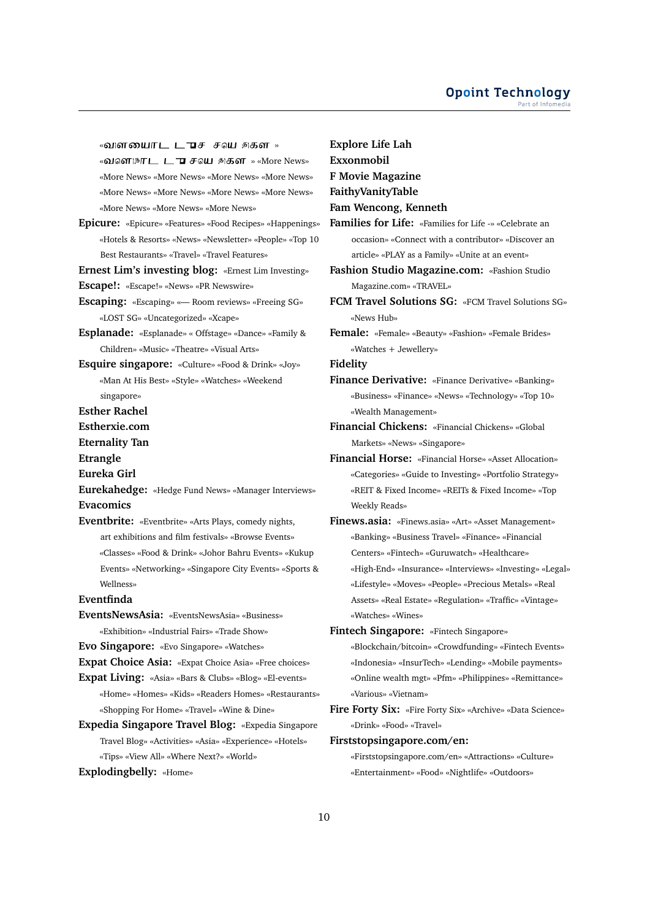«விளயைாட ட<del>ூ</del>ச சவு தகள<sub>»</sub> «வளாநாட டு சவு துகள » «More News» «More News» «More News» «More News» «More News» «More News» «More News» «More News» «More News» «More News» «More News» «More News»

**Epicure:** «Epicure» «Features» «Food Recipes» «Happenings» «Hotels & Resorts» «News» «Newsletter» «People» «Top 10 Best Restaurants» «Travel» «Travel Features»

**Ernest Lim's investing blog:** «Ernest Lim Investing» **Escape!:** «Escape!» «News» «PR Newswire»

**Escaping:** «Escaping» «— Room reviews» «Freeing SG»

«LOST SG» «Uncategorized» «Xcape»

- **Esplanade:** «Esplanade» « Offstage» «Dance» «Family & Children» «Music» «Theatre» «Visual Arts»
- **Esquire singapore:** «Culture» «Food & Drink» «Joy» «Man At His Best» «Style» «Watches» «Weekend singapore»
- **Esther Rachel**
- **Estherxie.com**
- **Eternality Tan**
- **Etrangle**
- **Eureka Girl**
- **Eurekahedge:** «Hedge Fund News» «Manager Interviews» **Evacomics**
- **Eventbrite:** «Eventbrite» «Arts Plays, comedy nights, art exhibitions and film festivals» «Browse Events» «Classes» «Food & Drink» «Johor Bahru Events» «Kukup
	- Events» «Networking» «Singapore City Events» «Sports & Wellness»

# **Eventfinda**

- **EventsNewsAsia:** «EventsNewsAsia» «Business» «Exhibition» «Industrial Fairs» «Trade Show»
- **Evo Singapore:** «Evo Singapore» «Watches»
- **Expat Choice Asia:** «Expat Choice Asia» «Free choices»
- **Expat Living:** «Asia» «Bars & Clubs» «Blog» «El-events» «Home» «Homes» «Kids» «Readers Homes» «Restaurants» «Shopping For Home» «Travel» «Wine & Dine»
- **Expedia Singapore Travel Blog:** «Expedia Singapore Travel Blog» «Activities» «Asia» «Experience» «Hotels» «Tips» «View All» «Where Next?» «World»
- **Explodingbelly:** «Home»

**F Movie Magazine FaithyVanityTable Fam Wencong, Kenneth Families for Life:** «Families for Life -» «Celebrate an occasion» «Connect with a contributor» «Discover an article» «PLAY as a Family» «Unite at an event» **Fashion Studio Magazine.com:** «Fashion Studio Magazine.com» «TRAVEL» **FCM Travel Solutions SG:** «FCM Travel Solutions SG» «News Hub» **Female:** «Female» «Beauty» «Fashion» «Female Brides» «Watches + Jewellery» **Fidelity**

**Explore Life Lah Exxonmobil**

- **Finance Derivative:** «Finance Derivative» «Banking» «Business» «Finance» «News» «Technology» «Top 10» «Wealth Management»
- **Financial Chickens:** «Financial Chickens» «Global Markets» «News» «Singapore»
- **Financial Horse:** «Financial Horse» «Asset Allocation» «Categories» «Guide to Investing» «Portfolio Strategy» «REIT & Fixed Income» «REITs & Fixed Income» «Top Weekly Reads»
- **Finews.asia:** «Finews.asia» «Art» «Asset Management» «Banking» «Business Travel» «Finance» «Financial Centers» «Fintech» «Guruwatch» «Healthcare» «High-End» «Insurance» «Interviews» «Investing» «Legal» «Lifestyle» «Moves» «People» «Precious Metals» «Real Assets» «Real Estate» «Regulation» «Traffic» «Vintage» «Watches» «Wines»
- **Fintech Singapore:** «Fintech Singapore»
	- «Blockchain/bitcoin» «Crowdfunding» «Fintech Events» «Indonesia» «InsurTech» «Lending» «Mobile payments» «Online wealth mgt» «Pfm» «Philippines» «Remittance» «Various» «Vietnam»
- **Fire Forty Six:** «Fire Forty Six» «Archive» «Data Science» «Drink» «Food» «Travel»

**Firststopsingapore.com/en:**

«Firststopsingapore.com/en» «Attractions» «Culture» «Entertainment» «Food» «Nightlife» «Outdoors»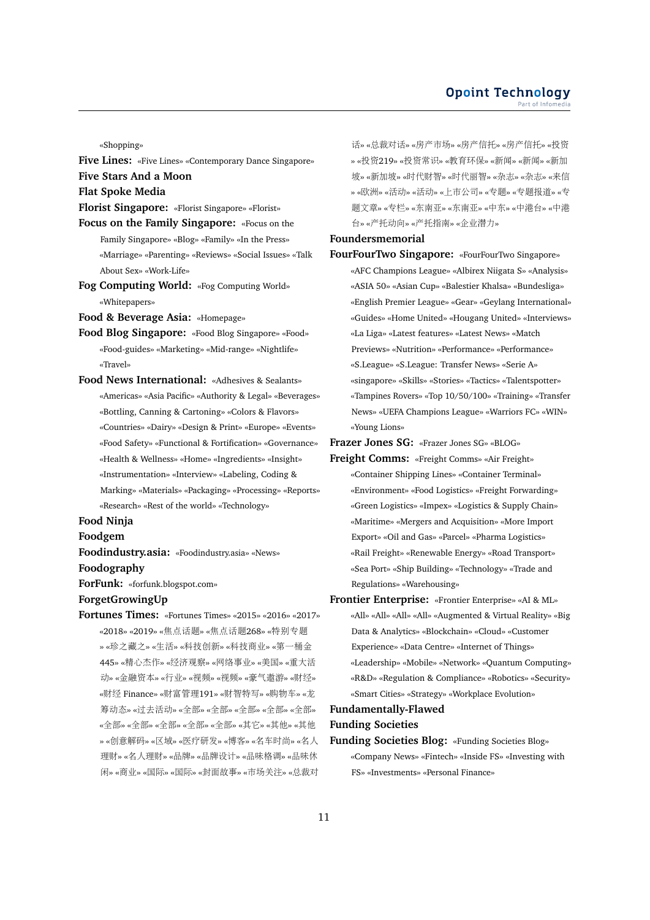#### **Opoint Technology** Part of Infomed

«Shopping»

- **Five Lines:** «Five Lines» «Contemporary Dance Singapore» **Five Stars And a Moon**
- **Flat Spoke Media**
- **Florist Singapore:** «Florist Singapore» «Florist»
- **Focus on the Family Singapore:** «Focus on the Family Singapore» «Blog» «Family» «In the Press» «Marriage» «Parenting» «Reviews» «Social Issues» «Talk About Sex» «Work-Life»
- **Fog Computing World:** «Fog Computing World» «Whitepapers»
- **Food & Beverage Asia:** «Homepage»
- **Food Blog Singapore:** «Food Blog Singapore» «Food» «Food-guides» «Marketing» «Mid-range» «Nightlife» «Travel»
- **Food News International:** «Adhesives & Sealants» «Americas» «Asia Pacific» «Authority & Legal» «Beverages» «Bottling, Canning & Cartoning» «Colors & Flavors» «Countries» «Dairy» «Design & Print» «Europe» «Events» «Food Safety» «Functional & Fortification» «Governance» «Health & Wellness» «Home» «Ingredients» «Insight» «Instrumentation» «Interview» «Labeling, Coding & Marking» «Materials» «Packaging» «Processing» «Reports» «Research» «Rest of the world» «Technology»

# **Food Ninja**

#### **Foodgem**

- **Foodindustry.asia:** «Foodindustry.asia» «News» **Foodography**
- **ForFunk:** «forfunk.blogspot.com»

#### **ForgetGrowingUp**

**Fortunes Times:** «Fortunes Times» «2015» «2016» «2017» «2018» «2019» «焦点话题» «焦点话题268» «特别专题 » «珍之藏之» «生活» «科技创新» «科技商业» «第一桶<sup>金</sup> 445» «精心杰作» «经济观察» «网络事业» «美国» «重大<sup>活</sup> <sup>动</sup>» «金融资本» «行业» «视频» «视频» «豪气遨游» «财经» «财<sup>经</sup> Finance» «财富管理191» «财智特写» «购物车» «<sup>龙</sup> 筹动态» «过去活动» «全部» «全部» «全部» «全部» «全部» «全部» «全部» «全部» «全部» «全部» «其它» «其他» «其他 » «创意解码» «区域» «医疗研发» «博客» «名车时尚» «名<sup>人</sup> <sup>理</sup>财» «名人理财» «品牌» «品牌设计» «品味格调» «品味<sup>休</sup> 闲» «商业» «国际» «国际» «封面故事» «市场关注» «总裁对

<sup>话</sup>» «总裁对话» «房产市场» «房产信托» «房产信托» «投<sup>资</sup> » «投资219» «投资常识» «教育环保» «新闻» «新闻» «新<sup>加</sup> <sup>坡</sup>» «新加坡» «时代财智» «时代丽智» «杂志» «杂志» «来<sup>信</sup> » «欧洲» «活动» «活动» «上市公司» «专题» «专题报道» «<sup>专</sup> 题文章» «专栏» «东南亚» «东南亚» «中东» «中港台» «中<sup>港</sup> 台» «产托动向» «产托指南» «企业潜力»

#### **Foundersmemorial**

**FourFourTwo Singapore:** «FourFourTwo Singapore» «AFC Champions League» «Albirex Niigata S» «Analysis» «ASIA 50» «Asian Cup» «Balestier Khalsa» «Bundesliga» «English Premier League» «Gear» «Geylang International» «Guides» «Home United» «Hougang United» «Interviews» «La Liga» «Latest features» «Latest News» «Match Previews» «Nutrition» «Performance» «Performance» «S.League» «S.League: Transfer News» «Serie A» «singapore» «Skills» «Stories» «Tactics» «Talentspotter» «Tampines Rovers» «Top 10/50/100» «Training» «Transfer News» «UEFA Champions League» «Warriors FC» «WIN» «Young Lions»

**Frazer Jones SG:** «Frazer Jones SG» «BLOG»

- **Freight Comms:** «Freight Comms» «Air Freight» «Container Shipping Lines» «Container Terminal» «Environment» «Food Logistics» «Freight Forwarding» «Green Logistics» «Impex» «Logistics & Supply Chain» «Maritime» «Mergers and Acquisition» «More Import Export» «Oil and Gas» «Parcel» «Pharma Logistics» «Rail Freight» «Renewable Energy» «Road Transport» «Sea Port» «Ship Building» «Technology» «Trade and Regulations» «Warehousing»
- **Frontier Enterprise:** «Frontier Enterprise» «AI & ML» «All» «All» «All» «All» «Augmented & Virtual Reality» «Big Data & Analytics» «Blockchain» «Cloud» «Customer Experience» «Data Centre» «Internet of Things» «Leadership» «Mobile» «Network» «Quantum Computing» «R&D» «Regulation & Compliance» «Robotics» «Security» «Smart Cities» «Strategy» «Workplace Evolution»

# **Fundamentally-Flawed**

#### **Funding Societies**

**Funding Societies Blog:** «Funding Societies Blog» «Company News» «Fintech» «Inside FS» «Investing with FS» «Investments» «Personal Finance»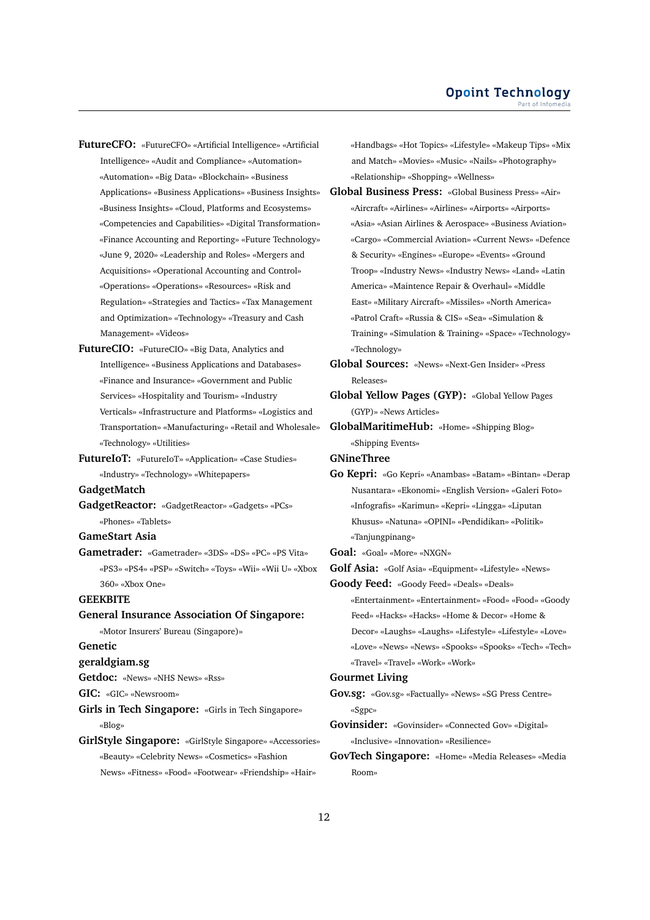**FutureCFO:** «FutureCFO» «Artificial Intelligence» «Artificial Intelligence» «Audit and Compliance» «Automation» «Automation» «Big Data» «Blockchain» «Business Applications» «Business Applications» «Business Insights» «Business Insights» «Cloud, Platforms and Ecosystems» «Competencies and Capabilities» «Digital Transformation» «Finance Accounting and Reporting» «Future Technology» «June 9, 2020» «Leadership and Roles» «Mergers and Acquisitions» «Operational Accounting and Control» «Operations» «Operations» «Resources» «Risk and Regulation» «Strategies and Tactics» «Tax Management and Optimization» «Technology» «Treasury and Cash Management» «Videos»

**FutureCIO:** «FutureCIO» «Big Data, Analytics and Intelligence» «Business Applications and Databases» «Finance and Insurance» «Government and Public Services» «Hospitality and Tourism» «Industry Verticals» «Infrastructure and Platforms» «Logistics and Transportation» «Manufacturing» «Retail and Wholesale» «Technology» «Utilities»

**FutureIoT:** «FutureIoT» «Application» «Case Studies» «Industry» «Technology» «Whitepapers»

**GadgetMatch**

**GadgetReactor:** «GadgetReactor» «Gadgets» «PCs» «Phones» «Tablets»

**GameStart Asia**

**Gametrader:** «Gametrader» «3DS» «DS» «PC» «PS Vita» «PS3» «PS4» «PSP» «Switch» «Toys» «Wii» «Wii U» «Xbox 360» «Xbox One»

#### **GEEKBITE**

**General Insurance Association Of Singapore:** «Motor Insurers' Bureau (Singapore)» **Genetic**

#### **geraldgiam.sg**

**Getdoc:** «News» «NHS News» «Rss»

**GIC:** «GIC» «Newsroom»

**Girls in Tech Singapore:** «Girls in Tech Singapore» «Blog»

**GirlStyle Singapore:** «GirlStyle Singapore» «Accessories» «Beauty» «Celebrity News» «Cosmetics» «Fashion News» «Fitness» «Food» «Footwear» «Friendship» «Hair»

«Handbags» «Hot Topics» «Lifestyle» «Makeup Tips» «Mix and Match» «Movies» «Music» «Nails» «Photography» «Relationship» «Shopping» «Wellness»

**Global Business Press:** «Global Business Press» «Air» «Aircraft» «Airlines» «Airlines» «Airports» «Airports» «Asia» «Asian Airlines & Aerospace» «Business Aviation» «Cargo» «Commercial Aviation» «Current News» «Defence & Security» «Engines» «Europe» «Events» «Ground Troop» «Industry News» «Industry News» «Land» «Latin America» «Maintence Repair & Overhaul» «Middle East» «Military Aircraft» «Missiles» «North America» «Patrol Craft» «Russia & CIS» «Sea» «Simulation & Training» «Simulation & Training» «Space» «Technology» «Technology»

**Global Sources:** «News» «Next-Gen Insider» «Press Releases»

**Global Yellow Pages (GYP):** «Global Yellow Pages (GYP)» «News Articles»

**GlobalMaritimeHub:** «Home» «Shipping Blog» «Shipping Events»

**GNineThree**

**Go Kepri:** «Go Kepri» «Anambas» «Batam» «Bintan» «Derap Nusantara» «Ekonomi» «English Version» «Galeri Foto» «Infografis» «Karimun» «Kepri» «Lingga» «Liputan Khusus» «Natuna» «OPINI» «Pendidikan» «Politik» «Tanjungpinang»

**Goal:** «Goal» «More» «NXGN»

**Golf Asia:** «Golf Asia» «Equipment» «Lifestyle» «News»

**Goody Feed:** «Goody Feed» «Deals» «Deals»

«Entertainment» «Entertainment» «Food» «Food» «Goody Feed» «Hacks» «Hacks» «Home & Decor» «Home & Decor» «Laughs» «Laughs» «Lifestyle» «Lifestyle» «Love» «Love» «News» «News» «Spooks» «Spooks» «Tech» «Tech» «Travel» «Travel» «Work» «Work»

### **Gourmet Living**

**Gov.sg:** «Gov.sg» «Factually» «News» «SG Press Centre» «Sgpc»

**Govinsider:** «Govinsider» «Connected Gov» «Digital» «Inclusive» «Innovation» «Resilience»

**GovTech Singapore:** «Home» «Media Releases» «Media Room»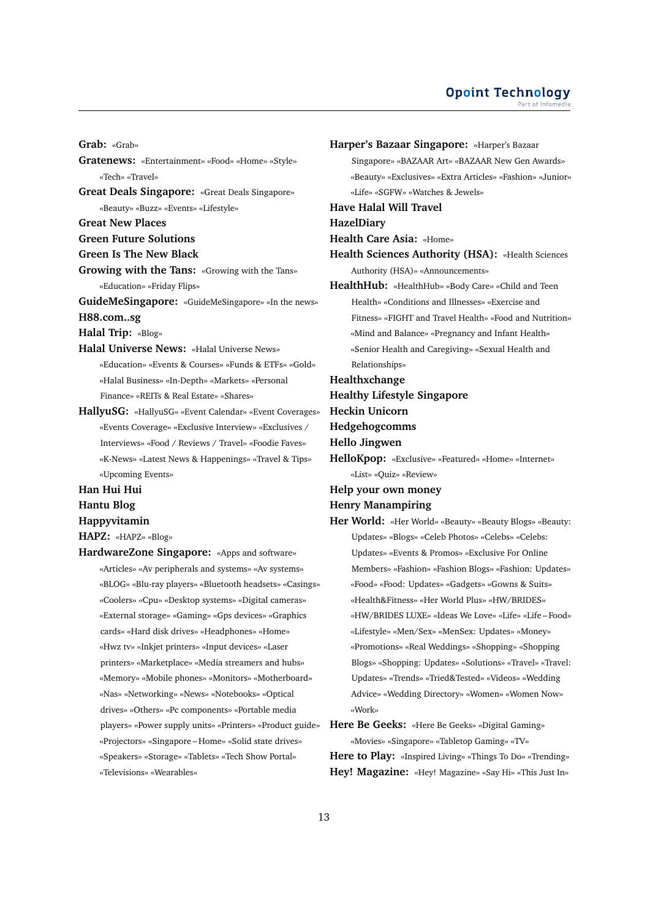#### **Opoint Technology** Part of Infomer

**Grab:** «Grab» **Gratenews:** «Entertainment» «Food» «Home» «Style» «Tech» «Travel» **Great Deals Singapore:** «Great Deals Singapore» «Beauty» «Buzz» «Events» «Lifestyle» **Great New Places Green Future Solutions Green Is The New Black Growing with the Tans:** «Growing with the Tans» «Education» «Friday Flips» **GuideMeSingapore:** «GuideMeSingapore» «In the news» **H88.com..sg Halal Trip:** «Blog» **Halal Universe News:** «Halal Universe News» «Education» «Events & Courses» «Funds & ETFs» «Gold» «Halal Business» «In-Depth» «Markets» «Personal Finance» «REITs & Real Estate» «Shares» **HallyuSG:** «HallyuSG» «Event Calendar» «Event Coverages» «Events Coverage» «Exclusive Interview» «Exclusives / Interviews» «Food / Reviews / Travel» «Foodie Faves» «K-News» «Latest News & Happenings» «Travel & Tips» «Upcoming Events» **Han Hui Hui Hantu Blog Happyvitamin HAPZ:** «HAPZ» «Blog»

**HardwareZone Singapore:** «Apps and software» «Articles» «Av peripherals and systems» «Av systems» «BLOG» «Blu-ray players» «Bluetooth headsets» «Casings» «Coolers» «Cpu» «Desktop systems» «Digital cameras» «External storage» «Gaming» «Gps devices» «Graphics cards» «Hard disk drives» «Headphones» «Home» «Hwz tv» «Inkjet printers» «Input devices» «Laser printers» «Marketplace» «Media streamers and hubs» «Memory» «Mobile phones» «Monitors» «Motherboard» «Nas» «Networking» «News» «Notebooks» «Optical drives» «Others» «Pc components» «Portable media players» «Power supply units» «Printers» «Product guide» «Projectors» «Singapore – Home» «Solid state drives» «Speakers» «Storage» «Tablets» «Tech Show Portal» «Televisions» «Wearables»

**Harper's Bazaar Singapore:** «Harper's Bazaar Singapore» «BAZAAR Art» «BAZAAR New Gen Awards» «Beauty» «Exclusives» «Extra Articles» «Fashion» «Junior» «Life» «SGFW» «Watches & Jewels» **Have Halal Will Travel HazelDiary Health Care Asia:** «Home» **Health Sciences Authority (HSA):** «Health Sciences Authority (HSA)» «Announcements» **HealthHub:** «HealthHub» «Body Care» «Child and Teen Health» «Conditions and Illnesses» «Exercise and Fitness» «FIGHT and Travel Health» «Food and Nutrition» «Mind and Balance» «Pregnancy and Infant Health» «Senior Health and Caregiving» «Sexual Health and Relationships» **Healthxchange Healthy Lifestyle Singapore Heckin Unicorn Hedgehogcomms Hello Jingwen HelloKpop:** «Exclusive» «Featured» «Home» «Internet» «List» «Quiz» «Review» **Help your own money Henry Manampiring Her World:** «Her World» «Beauty» «Beauty Blogs» «Beauty: Updates» «Blogs» «Celeb Photos» «Celebs» «Celebs: Updates» «Events & Promos» «Exclusive For Online Members» «Fashion» «Fashion Blogs» «Fashion: Updates» «Food» «Food: Updates» «Gadgets» «Gowns & Suits» «Health&Fitness» «Her World Plus» «HW/BRIDES» «HW/BRIDES LUXE» «Ideas We Love» «Life» «Life – Food» «Lifestyle» «Men/Sex» «MenSex: Updates» «Money» «Promotions» «Real Weddings» «Shopping» «Shopping Blogs» «Shopping: Updates» «Solutions» «Travel» «Travel: Updates» «Trends» «Tried&Tested» «Videos» «Wedding Advice» «Wedding Directory» «Women» «Women Now» «Work» **Here Be Geeks:** «Here Be Geeks» «Digital Gaming»

«Movies» «Singapore» «Tabletop Gaming» «TV»

**Here to Play:** «Inspired Living» «Things To Do» «Trending» **Hey! Magazine:** «Hey! Magazine» «Say Hi» «This Just In»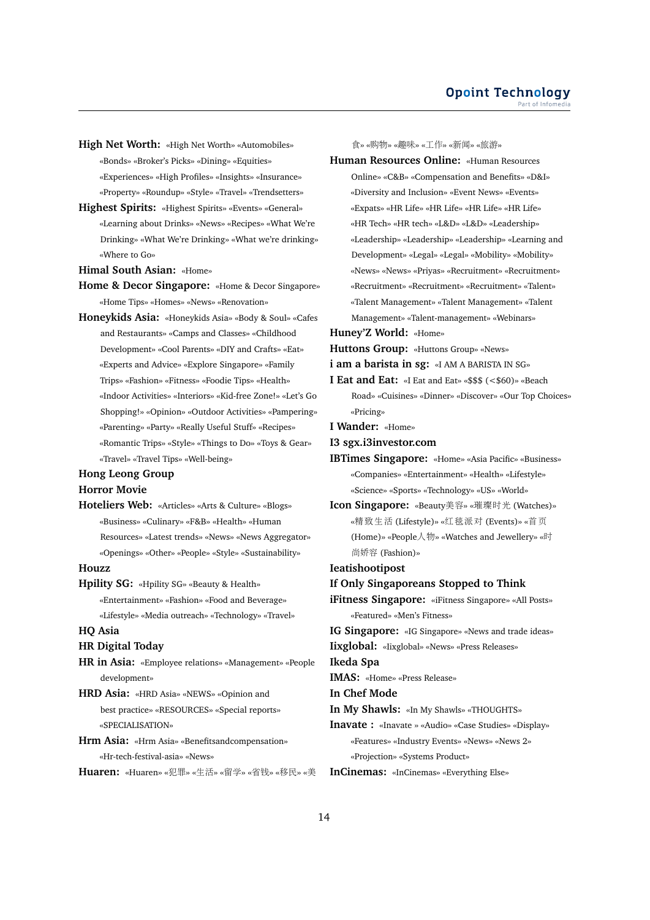- **High Net Worth:** «High Net Worth» «Automobiles» «Bonds» «Broker's Picks» «Dining» «Equities» «Experiences» «High Profiles» «Insights» «Insurance» «Property» «Roundup» «Style» «Travel» «Trendsetters»
- **Highest Spirits:** «Highest Spirits» «Events» «General» «Learning about Drinks» «News» «Recipes» «What We're Drinking» «What We're Drinking» «What we're drinking» «Where to Go»

**Himal South Asian:** «Home»

- **Home & Decor Singapore:** «Home & Decor Singapore» «Home Tips» «Homes» «News» «Renovation»
- **Honeykids Asia:** «Honeykids Asia» «Body & Soul» «Cafes and Restaurants» «Camps and Classes» «Childhood Development» «Cool Parents» «DIY and Crafts» «Eat» «Experts and Advice» «Explore Singapore» «Family Trips» «Fashion» «Fitness» «Foodie Tips» «Health» «Indoor Activities» «Interiors» «Kid-free Zone!» «Let's Go Shopping!» «Opinion» «Outdoor Activities» «Pampering» «Parenting» «Party» «Really Useful Stuff» «Recipes» «Romantic Trips» «Style» «Things to Do» «Toys & Gear» «Travel» «Travel Tips» «Well-being»

# **Hong Leong Group**

# **Horror Movie**

**Hoteliers Web:** «Articles» «Arts & Culture» «Blogs» «Business» «Culinary» «F&B» «Health» «Human Resources» «Latest trends» «News» «News Aggregator» «Openings» «Other» «People» «Style» «Sustainability»

#### **Houzz**

**Hpility SG:** «Hpility SG» «Beauty & Health» «Entertainment» «Fashion» «Food and Beverage» «Lifestyle» «Media outreach» «Technology» «Travel»

# **HQ Asia**

# **HR Digital Today**

- **HR in Asia:** «Employee relations» «Management» «People development»
- **HRD Asia:** «HRD Asia» «NEWS» «Opinion and best practice» «RESOURCES» «Special reports» «SPECIALISATION»
- **Hrm Asia:** «Hrm Asia» «Benefitsandcompensation» «Hr-tech-festival-asia» «News»

**Huaren:** «Huaren» «犯罪» «生活» «留学» «省钱» «移民» «<sup>美</sup>

<sup>食</sup>» «购物» «趣味» «工作» «新闻» «旅游»

**Human Resources Online:** «Human Resources Online» «C&B» «Compensation and Benefits» «D&I» «Diversity and Inclusion» «Event News» «Events» «Expats» «HR Life» «HR Life» «HR Life» «HR Life» «HR Tech» «HR tech» «L&D» «L&D» «Leadership» «Leadership» «Leadership» «Leadership» «Learning and Development» «Legal» «Legal» «Mobility» «Mobility» «News» «News» «Priyas» «Recruitment» «Recruitment» «Recruitment» «Recruitment» «Recruitment» «Talent» «Talent Management» «Talent Management» «Talent Management» «Talent-management» «Webinars»

**Huney'Z World:** «Home»

**Huttons Group:** «Huttons Group» «News»

**i am a barista in sg:** «I AM A BARISTA IN SG»

**I Eat and Eat:** «I Eat and Eat» «\$\$\$ (<\$60)» «Beach Road» «Cuisines» «Dinner» «Discover» «Our Top Choices» «Pricing»

**I Wander:** «Home»

**I3 sgx.i3investor.com**

**IBTimes Singapore:** «Home» «Asia Pacific» «Business» «Companies» «Entertainment» «Health» «Lifestyle» «Science» «Sports» «Technology» «US» «World»

**Icon Singapore:** «Beauty美容» «璀璨时光 (Watches)» «精致生<sup>活</sup> (Lifestyle)» «红毯派<sup>对</sup> (Events)» «首页 (Home)» «People人物» «Watches and Jewellery» «<sup>时</sup> 尚娇<sup>容</sup> (Fashion)»

**Ieatishootipost**

**If Only Singaporeans Stopped to Think**

**iFitness Singapore:** «iFitness Singapore» «All Posts» «Featured» «Men's Fitness»

**IG Singapore:** «IG Singapore» «News and trade ideas»

**Iixglobal:** «Iixglobal» «News» «Press Releases»

**Ikeda Spa**

**IMAS:** «Home» «Press Release»

**In Chef Mode**

**In My Shawls:** «In My Shawls» «THOUGHTS»

**Inavate :** «Inavate » «Audio» «Case Studies» «Display» «Features» «Industry Events» «News» «News 2» «Projection» «Systems Product»

**InCinemas:** «InCinemas» «Everything Else»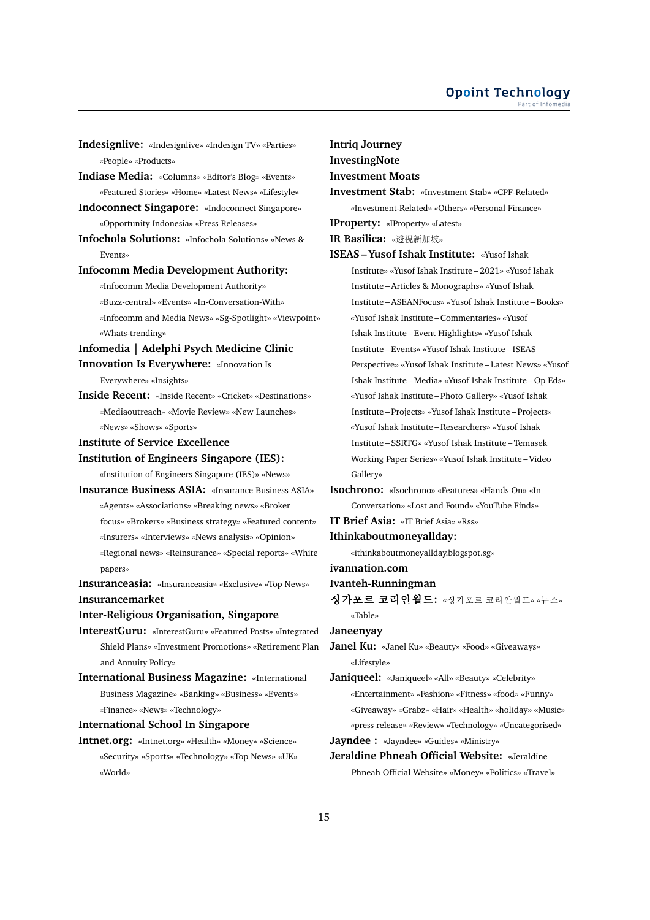- **Indesignlive:** «Indesignlive» «Indesign TV» «Parties» «People» «Products»
- **Indiase Media:** «Columns» «Editor's Blog» «Events» «Featured Stories» «Home» «Latest News» «Lifestyle»
- **Indoconnect Singapore:** «Indoconnect Singapore» «Opportunity Indonesia» «Press Releases»
- **Infochola Solutions:** «Infochola Solutions» «News & Events»

#### **Infocomm Media Development Authority:**

- «Infocomm Media Development Authority»
- «Buzz-central» «Events» «In-Conversation-With» «Infocomm and Media News» «Sg-Spotlight» «Viewpoint»
- «Whats-trending»
- **Infomedia | Adelphi Psych Medicine Clinic**
- **Innovation Is Everywhere:** «Innovation Is Everywhere» «Insights»
	-
- **Inside Recent:** «Inside Recent» «Cricket» «Destinations» «Mediaoutreach» «Movie Review» «New Launches» «News» «Shows» «Sports»
- **Institute of Service Excellence**
- **Institution of Engineers Singapore (IES):**

«Institution of Engineers Singapore (IES)» «News»

**Insurance Business ASIA:** «Insurance Business ASIA» «Agents» «Associations» «Breaking news» «Broker focus» «Brokers» «Business strategy» «Featured content» «Insurers» «Interviews» «News analysis» «Opinion» «Regional news» «Reinsurance» «Special reports» «White papers»

**Insuranceasia:** «Insuranceasia» «Exclusive» «Top News» **Insurancemarket**

### **Inter-Religious Organisation, Singapore**

- **InterestGuru:** «InterestGuru» «Featured Posts» «Integrated Shield Plans» «Investment Promotions» «Retirement Plan and Annuity Policy»
- **International Business Magazine:** «International Business Magazine» «Banking» «Business» «Events» «Finance» «News» «Technology»

# **International School In Singapore**

**Intnet.org:** «Intnet.org» «Health» «Money» «Science» «Security» «Sports» «Technology» «Top News» «UK» «World»

#### **Intriq Journey**

**InvestingNote**

# **Investment Moats**

- **Investment Stab:** «Investment Stab» «CPF-Related» «Investment-Related» «Others» «Personal Finance»
- **IProperty:** «IProperty» «Latest»
- 

**IR Basilica:** «透視新加坡»

**ISEAS – Yusof Ishak Institute:** «Yusof Ishak Institute» «Yusof Ishak Institute – 2021» «Yusof Ishak Institute – Articles & Monographs» «Yusof Ishak Institute – ASEANFocus» «Yusof Ishak Institute – Books» «Yusof Ishak Institute – Commentaries» «Yusof Ishak Institute – Event Highlights» «Yusof Ishak Institute – Events» «Yusof Ishak Institute – ISEAS Perspective» «Yusof Ishak Institute – Latest News» «Yusof Ishak Institute – Media» «Yusof Ishak Institute – Op Eds» «Yusof Ishak Institute – Photo Gallery» «Yusof Ishak Institute – Projects» «Yusof Ishak Institute – Projects» «Yusof Ishak Institute – Researchers» «Yusof Ishak Institute – SSRTG» «Yusof Ishak Institute – Temasek Working Paper Series» «Yusof Ishak Institute – Video Gallery»

**Isochrono:** «Isochrono» «Features» «Hands On» «In Conversation» «Lost and Found» «YouTube Finds»

**IT Brief Asia:** «IT Brief Asia» «Rss»

- **Ithinkaboutmoneyallday:**
	- «ithinkaboutmoneyallday.blogspot.sg»
- **ivannation.com**

#### **Ivanteh-Runningman**

싱가포르 코리안월드: «싱가포르 코리안월드» «뉴스» «Table»

**Janeenyay**

**Janel Ku:** «Janel Ku» «Beauty» «Food» «Giveaways» «Lifestyle»

**Janiqueel:** «Janiqueel» «All» «Beauty» «Celebrity» «Entertainment» «Fashion» «Fitness» «food» «Funny» «Giveaway» «Grabz» «Hair» «Health» «holiday» «Music» «press release» «Review» «Technology» «Uncategorised»

**Jayndee :** «Jayndee» «Guides» «Ministry»

**Jeraldine Phneah Official Website:** «Jeraldine Phneah Official Website» «Money» «Politics» «Travel»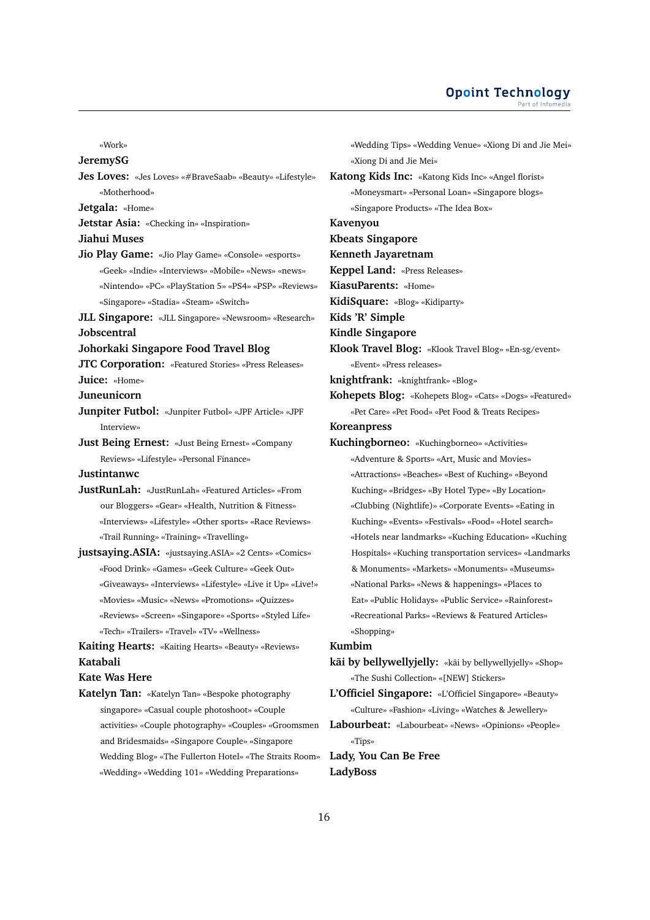#### **Opoint Technology** Part of Infomer

«Work»

#### **JeremySG**

**Jes Loves:** «Jes Loves» «#BraveSaab» «Beauty» «Lifestyle» «Motherhood»

**Jetgala:** «Home»

**Jetstar Asia:** «Checking in» «Inspiration»

#### **Jiahui Muses**

**Jio Play Game:** «Jio Play Game» «Console» «esports» «Geek» «Indie» «Interviews» «Mobile» «News» «news» «Nintendo» «PC» «PlayStation 5» «PS4» «PSP» «Reviews» «Singapore» «Stadia» «Steam» «Switch»

**JLL Singapore:** «JLL Singapore» «Newsroom» «Research» **Jobscentral**

**Johorkaki Singapore Food Travel Blog**

**JTC Corporation:** «Featured Stories» «Press Releases»

**Juice:** «Home» **Juneunicorn**

**Junpiter Futbol:** «Junpiter Futbol» «JPF Article» «JPF Interview»

**Just Being Ernest:** «Just Being Ernest» «Company Reviews» «Lifestyle» «Personal Finance»

**Justintanwc**

**JustRunLah:** «JustRunLah» «Featured Articles» «From our Bloggers» «Gear» «Health, Nutrition & Fitness» «Interviews» «Lifestyle» «Other sports» «Race Reviews» «Trail Running» «Training» «Travelling»

**justsaying.ASIA:** «justsaying.ASIA» «2 Cents» «Comics» «Food Drink» «Games» «Geek Culture» «Geek Out» «Giveaways» «Interviews» «Lifestyle» «Live it Up» «Live!» «Movies» «Music» «News» «Promotions» «Quizzes» «Reviews» «Screen» «Singapore» «Sports» «Styled Life» «Tech» «Trailers» «Travel» «TV» «Wellness»

**Kaiting Hearts:** «Kaiting Hearts» «Beauty» «Reviews» **Katabali**

#### **Kate Was Here**

**Katelyn Tan:** «Katelyn Tan» «Bespoke photography singapore» «Casual couple photoshoot» «Couple activities» «Couple photography» «Couples» «Groomsmen and Bridesmaids» «Singapore Couple» «Singapore Wedding Blog» «The Fullerton Hotel» «The Straits Room» «Wedding» «Wedding 101» «Wedding Preparations»

«Wedding Tips» «Wedding Venue» «Xiong Di and Jie Mei» «Xiong Di and Jie Mei»

- **Katong Kids Inc:** «Katong Kids Inc» «Angel florist» «Moneysmart» «Personal Loan» «Singapore blogs»
	- «Singapore Products» «The Idea Box»

**Kavenyou**

**Kbeats Singapore**

#### **Kenneth Jayaretnam**

**Keppel Land:** «Press Releases»

**KiasuParents:** «Home»

**KidiSquare:** «Blog» «Kidiparty»

**Kids 'R' Simple**

**Kindle Singapore**

**Klook Travel Blog:** «Klook Travel Blog» «En-sg/event» «Event» «Press releases»

**knightfrank:** «knightfrank» «Blog»

**Kohepets Blog:** «Kohepets Blog» «Cats» «Dogs» «Featured» «Pet Care» «Pet Food» «Pet Food & Treats Recipes»

**Koreanpress**

**Kuchingborneo:** «Kuchingborneo» «Activities» «Adventure & Sports» «Art, Music and Movies» «Attractions» «Beaches» «Best of Kuching» «Beyond Kuching» «Bridges» «By Hotel Type» «By Location» «Clubbing (Nightlife)» «Corporate Events» «Eating in Kuching» «Events» «Festivals» «Food» «Hotel search» «Hotels near landmarks» «Kuching Education» «Kuching Hospitals» «Kuching transportation services» «Landmarks & Monuments» «Markets» «Monuments» «Museums» «National Parks» «News & happenings» «Places to Eat» «Public Holidays» «Public Service» «Rainforest» «Recreational Parks» «Reviews & Featured Articles» «Shopping»

#### **Kumbim**

**kai by bellywellyjelly:** «kai by bellywellyjelly» «Shop» «The Sushi Collection» «[NEW] Stickers»

**L'Officiel Singapore:** «L'Officiel Singapore» «Beauty» «Culture» «Fashion» «Living» «Watches & Jewellery»

**Labourbeat:** «Labourbeat» «News» «Opinions» «People» «Tips»

**Lady, You Can Be Free LadyBoss**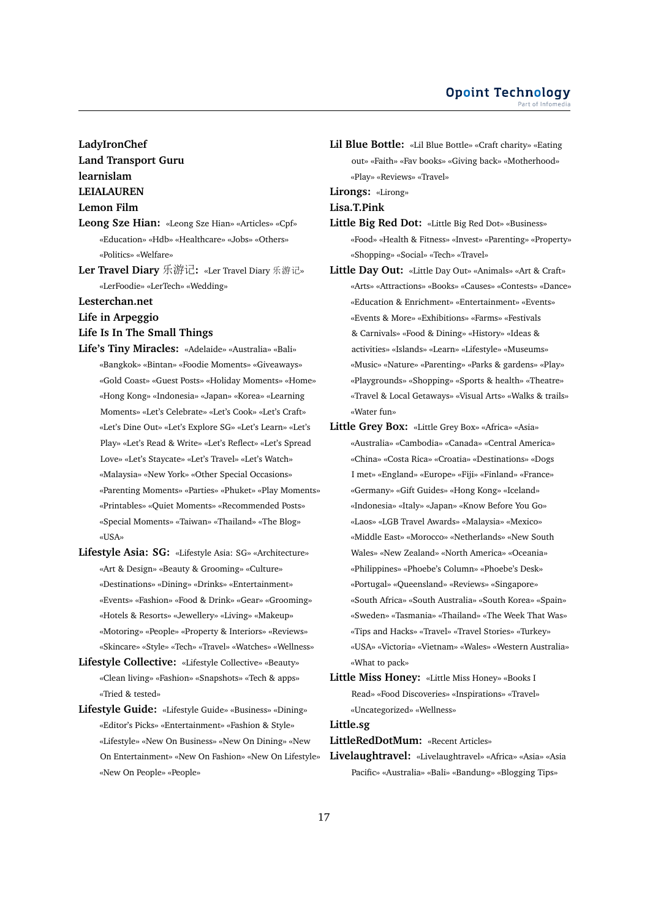# **LadyIronChef Land Transport Guru learnislam LEIALAUREN**

#### **Lemon Film**

- **Leong Sze Hian:** «Leong Sze Hian» «Articles» «Cpf» «Education» «Hdb» «Healthcare» «Jobs» «Others» «Politics» «Welfare»
- **Ler Travel Diary** 乐游记**:** «Ler Travel Diary 乐游记» «LerFoodie» «LerTech» «Wedding»

#### **Lesterchan.net**

**Life in Arpeggio**

#### **Life Is In The Small Things**

- **Life's Tiny Miracles:** «Adelaide» «Australia» «Bali» «Bangkok» «Bintan» «Foodie Moments» «Giveaways» «Gold Coast» «Guest Posts» «Holiday Moments» «Home» «Hong Kong» «Indonesia» «Japan» «Korea» «Learning Moments» «Let's Celebrate» «Let's Cook» «Let's Craft» «Let's Dine Out» «Let's Explore SG» «Let's Learn» «Let's Play» «Let's Read & Write» «Let's Reflect» «Let's Spread Love» «Let's Staycate» «Let's Travel» «Let's Watch» «Malaysia» «New York» «Other Special Occasions» «Parenting Moments» «Parties» «Phuket» «Play Moments» «Printables» «Quiet Moments» «Recommended Posts» «Special Moments» «Taiwan» «Thailand» «The Blog» «USA»
- **Lifestyle Asia: SG:** «Lifestyle Asia: SG» «Architecture» «Art & Design» «Beauty & Grooming» «Culture» «Destinations» «Dining» «Drinks» «Entertainment» «Events» «Fashion» «Food & Drink» «Gear» «Grooming» «Hotels & Resorts» «Jewellery» «Living» «Makeup» «Motoring» «People» «Property & Interiors» «Reviews» «Skincare» «Style» «Tech» «Travel» «Watches» «Wellness»
- **Lifestyle Collective:** «Lifestyle Collective» «Beauty» «Clean living» «Fashion» «Snapshots» «Tech & apps» «Tried & tested»
- **Lifestyle Guide:** «Lifestyle Guide» «Business» «Dining» «Editor's Picks» «Entertainment» «Fashion & Style» «Lifestyle» «New On Business» «New On Dining» «New On Entertainment» «New On Fashion» «New On Lifestyle» «New On People» «People»

**Lil Blue Bottle:** «Lil Blue Bottle» «Craft charity» «Eating out» «Faith» «Fav books» «Giving back» «Motherhood» «Play» «Reviews» «Travel»

#### **Lirongs:** «Lirong»

**Lisa.T.Pink**

- **Little Big Red Dot:** «Little Big Red Dot» «Business» «Food» «Health & Fitness» «Invest» «Parenting» «Property» «Shopping» «Social» «Tech» «Travel»
- **Little Day Out:** «Little Day Out» «Animals» «Art & Craft» «Arts» «Attractions» «Books» «Causes» «Contests» «Dance» «Education & Enrichment» «Entertainment» «Events» «Events & More» «Exhibitions» «Farms» «Festivals & Carnivals» «Food & Dining» «History» «Ideas & activities» «Islands» «Learn» «Lifestyle» «Museums» «Music» «Nature» «Parenting» «Parks & gardens» «Play» «Playgrounds» «Shopping» «Sports & health» «Theatre» «Travel & Local Getaways» «Visual Arts» «Walks & trails» «Water fun»
- **Little Grey Box:** «Little Grey Box» «Africa» «Asia» «Australia» «Cambodia» «Canada» «Central America» «China» «Costa Rica» «Croatia» «Destinations» «Dogs I met» «England» «Europe» «Fiji» «Finland» «France» «Germany» «Gift Guides» «Hong Kong» «Iceland» «Indonesia» «Italy» «Japan» «Know Before You Go» «Laos» «LGB Travel Awards» «Malaysia» «Mexico» «Middle East» «Morocco» «Netherlands» «New South Wales» «New Zealand» «North America» «Oceania» «Philippines» «Phoebe's Column» «Phoebe's Desk» «Portugal» «Queensland» «Reviews» «Singapore» «South Africa» «South Australia» «South Korea» «Spain» «Sweden» «Tasmania» «Thailand» «The Week That Was» «Tips and Hacks» «Travel» «Travel Stories» «Turkey» «USA» «Victoria» «Vietnam» «Wales» «Western Australia» «What to pack»
- **Little Miss Honey:** «Little Miss Honey» «Books I Read» «Food Discoveries» «Inspirations» «Travel» «Uncategorized» «Wellness»

#### **Little.sg**

**LittleRedDotMum:** «Recent Articles»

**Livelaughtravel:** «Livelaughtravel» «Africa» «Asia» «Asia Pacific» «Australia» «Bali» «Bandung» «Blogging Tips»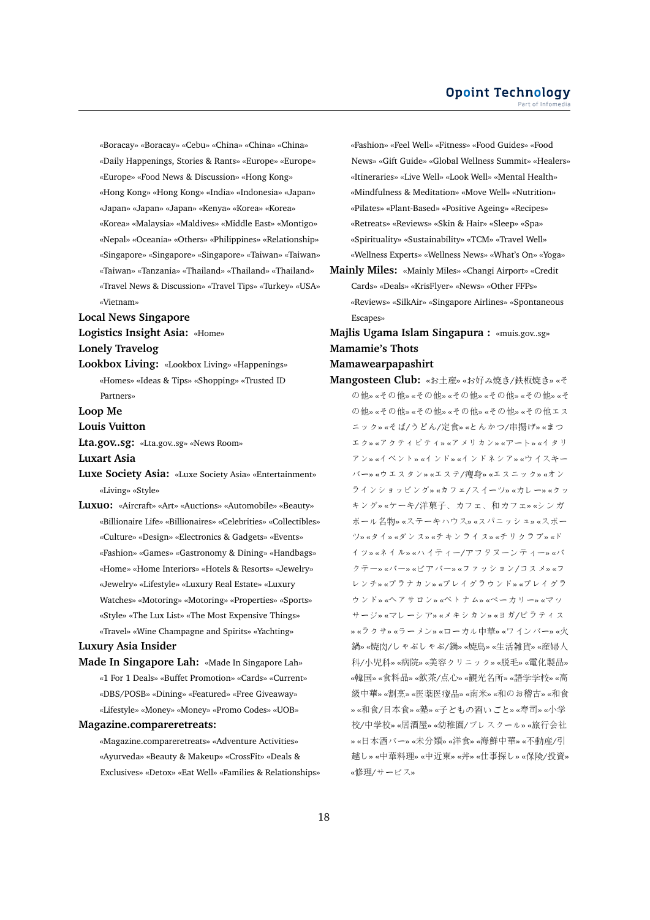«Boracay» «Boracay» «Cebu» «China» «China» «China» «Daily Happenings, Stories & Rants» «Europe» «Europe» «Europe» «Food News & Discussion» «Hong Kong» «Hong Kong» «Hong Kong» «India» «Indonesia» «Japan» «Japan» «Japan» «Japan» «Kenya» «Korea» «Korea» «Korea» «Malaysia» «Maldives» «Middle East» «Montigo» «Nepal» «Oceania» «Others» «Philippines» «Relationship» «Singapore» «Singapore» «Singapore» «Taiwan» «Taiwan» «Taiwan» «Tanzania» «Thailand» «Thailand» «Thailand» «Travel News & Discussion» «Travel Tips» «Turkey» «USA» «Vietnam»

#### **Local News Singapore**

**Logistics Insight Asia:** «Home»

**Lonely Travelog**

**Lookbox Living:** «Lookbox Living» «Happenings» «Homes» «Ideas & Tips» «Shopping» «Trusted ID Partners»

**Loop Me**

**Louis Vuitton**

**Lta.gov..sg:** «Lta.gov..sg» «News Room»

**Luxart Asia**

- **Luxe Society Asia:** «Luxe Society Asia» «Entertainment» «Living» «Style»
- **Luxuo:** «Aircraft» «Art» «Auctions» «Automobile» «Beauty» «Billionaire Life» «Billionaires» «Celebrities» «Collectibles» «Culture» «Design» «Electronics & Gadgets» «Events» «Fashion» «Games» «Gastronomy & Dining» «Handbags» «Home» «Home Interiors» «Hotels & Resorts» «Jewelry» «Jewelry» «Lifestyle» «Luxury Real Estate» «Luxury Watches» «Motoring» «Motoring» «Properties» «Sports» «Style» «The Lux List» «The Most Expensive Things» «Travel» «Wine Champagne and Spirits» «Yachting»

#### **Luxury Asia Insider**

**Made In Singapore Lah:** «Made In Singapore Lah» «1 For 1 Deals» «Buffet Promotion» «Cards» «Current» «DBS/POSB» «Dining» «Featured» «Free Giveaway» «Lifestyle» «Money» «Money» «Promo Codes» «UOB»

#### **Magazine.compareretreats:**

«Magazine.compareretreats» «Adventure Activities» «Ayurveda» «Beauty & Makeup» «CrossFit» «Deals & Exclusives» «Detox» «Eat Well» «Families & Relationships» «Fashion» «Feel Well» «Fitness» «Food Guides» «Food News» «Gift Guide» «Global Wellness Summit» «Healers» «Itineraries» «Live Well» «Look Well» «Mental Health» «Mindfulness & Meditation» «Move Well» «Nutrition» «Pilates» «Plant-Based» «Positive Ageing» «Recipes» «Retreats» «Reviews» «Skin & Hair» «Sleep» «Spa» «Spirituality» «Sustainability» «TCM» «Travel Well» «Wellness Experts» «Wellness News» «What's On» «Yoga»

- **Mainly Miles:** «Mainly Miles» «Changi Airport» «Credit Cards» «Deals» «KrisFlyer» «News» «Other FFPs» «Reviews» «SilkAir» «Singapore Airlines» «Spontaneous Escapes»
- **Majlis Ugama Islam Singapura :** «muis.gov..sg» **Mamamie's Thots**

#### **Mamawearpapashirt**

**Mangosteen Club:** «お土産» «お好み焼き/鉄板焼き» «そ の他» «その他» «その他» «その他» «その他» «その他» «そ の他» «その他» «その他» «その他» «その他» «その他エス ニック» «そば/うどん/定食» «とんかつ/串揚げ» «まつ エク» «アクティビティ» «アメリカン» «アート» «イタリ アン» «イベント» «インド» «インドネシア» «ウイスキー バー» «ウエスタン» «エステ/痩身» «エスニック» «オン ラインショッピング» «カフェ/スイーツ» «カレー» «クッ キング» «ケーキ/洋菓子、カフェ、和カフェ» «シンガ ポール名物» «ステーキハウス» «スパニッシュ» «スポー ツ» «タイ» «ダンス» «チキンライス» «チリクラブ» «ド イツ» «ネイル» «ハイティー/アフタヌーンティー» «バ クテー» «バー» «ビアバー» «ファッション/コスメ» «フ レンチ» «プラナカン» «プレイグラウンド» «プレイグラ ウンド» «ヘアサロン» «ベトナム» «ベーカリー» «マッ サージ» «マレーシア» «メキシカン» «ヨガ/ピラティス » «ラクサ» «ラーメン» «ローカル中華» «ワインバー» «火 鍋» «焼肉/しゃぶしゃぶ/鍋» «焼鳥» «生活雑貨» «産婦<sup>人</sup> <sup>科</sup>/小児科» «病院» «美容クリニック» «脱毛» «電化製品» «韓国» «食料品» «飲茶/点心» «観光名所» «語学学校» «<sup>高</sup> <sup>級</sup>中華» «割烹» «医薬医療品» «南米» «和のお稽古» «和<sup>食</sup> » «和食/日本食» «塾» «子どもの習いごと» «寿司» «小<sup>学</sup> 校/中学校» «居酒屋» «幼稚園/プレスクール» «旅行会社 » «日本酒バー» «未分類» «洋食» «海鮮中華» «不動産/引 <sup>越</sup>し» «中華料理» «中近東» «丼» «仕事探し» «保険/投資» «修理/サービス»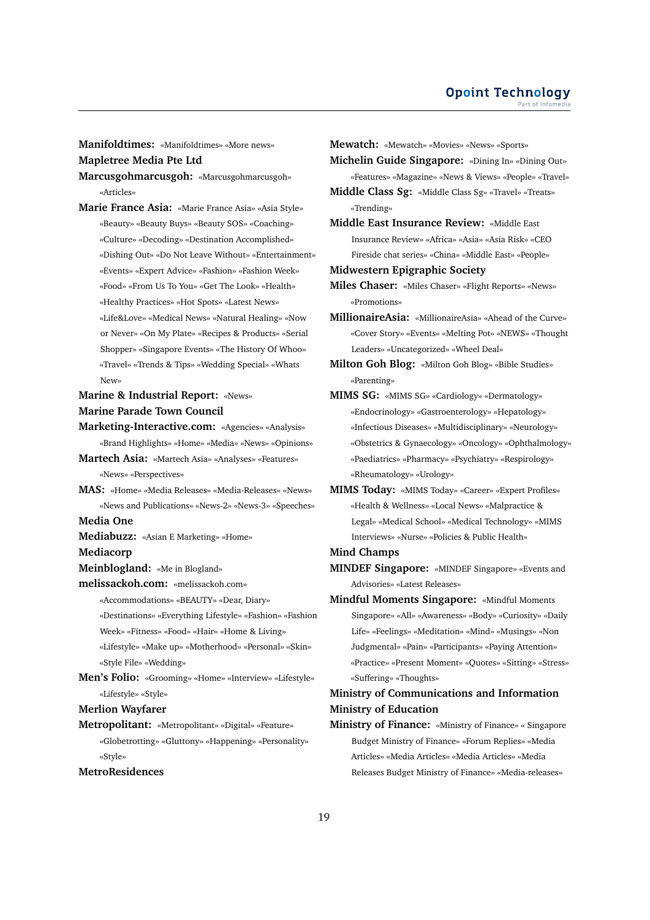**Manifoldtimes:** «Manifoldtimes» «More news»

**Mapletree Media Pte Ltd**

**Marcusgohmarcusgoh:** «Marcusgohmarcusgoh» «Articles»

**Marie France Asia:** «Marie France Asia» «Asia Style» «Beauty» «Beauty Buys» «Beauty SOS» «Coaching» «Culture» «Decoding» «Destination Accomplished» «Dishing Out» «Do Not Leave Without» «Entertainment» «Events» «Expert Advice» «Fashion» «Fashion Week» «Food» «From Us To You» «Get The Look» «Health» «Healthy Practices» «Hot Spots» «Latest News» «Life&Love» «Medical News» «Natural Healing» «Now or Never» «On My Plate» «Recipes & Products» «Serial Shopper» «Singapore Events» «The History Of Whoo» «Travel» «Trends & Tips» «Wedding Special» «Whats New»

**Marine & Industrial Report:** «News» **Marine Parade Town Council**

**Marketing-Interactive.com:** «Agencies» «Analysis» «Brand Highlights» «Home» «Media» «News» «Opinions»

**Martech Asia:** «Martech Asia» «Analyses» «Features» «News» «Perspectives»

**MAS:** «Home» «Media Releases» «Media-Releases» «News» «News and Publications» «News-2» «News-3» «Speeches»

**Media One**

**Mediabuzz:** «Asian E Marketing» «Home»

**Mediacorp**

**Meinblogland:** «Me in Blogland»

**melissackoh.com:** «melissackoh.com»

«Accommodations» «BEAUTY» «Dear, Diary»

«Destinations» «Everything Lifestyle» «Fashion» «Fashion Week» «Fitness» «Food» «Hair» «Home & Living»

«Lifestyle» «Make up» «Motherhood» «Personal» «Skin» «Style File» «Wedding»

**Men's Folio:** «Grooming» «Home» «Interview» «Lifestyle» «Lifestyle» «Style»

**Merlion Wayfarer**

**Metropolitant:** «Metropolitant» «Digital» «Feature» «Globetrotting» «Gluttony» «Happening» «Personality» «Style»

**MetroResidences**

**Mewatch:** «Mewatch» «Movies» «News» «Sports» **Michelin Guide Singapore:** «Dining In» «Dining Out» «Features» «Magazine» «News & Views» «People» «Travel» **Middle Class Sg:** «Middle Class Sg» «Travel» «Treats» «Trending» **Middle East Insurance Review:** «Middle East Insurance Review» «Africa» «Asia» «Asia Risk» «CEO Fireside chat series» «China» «Middle East» «People» **Midwestern Epigraphic Society Miles Chaser:** «Miles Chaser» «Flight Reports» «News» «Promotions» **MillionaireAsia:** «MillionaireAsia» «Ahead of the Curve» «Cover Story» «Events» «Melting Pot» «NEWS» «Thought Leaders» «Uncategorized» «Wheel Deal» **Milton Goh Blog:** «Milton Goh Blog» «Bible Studies» «Parenting» **MIMS SG:** «MIMS SG» «Cardiology» «Dermatology» «Endocrinology» «Gastroenterology» «Hepatology» «Infectious Diseases» «Multidisciplinary» «Neurology» «Obstetrics & Gynaecology» «Oncology» «Ophthalmology» «Paediatrics» «Pharmacy» «Psychiatry» «Respirology» «Rheumatology» «Urology» **MIMS Today:** «MIMS Today» «Career» «Expert Profiles»

«Health & Wellness» «Local News» «Malpractice & Legal» «Medical School» «Medical Technology» «MIMS Interviews» «Nurse» «Policies & Public Health»

#### **Mind Champs**

**MINDEF Singapore:** «MINDEF Singapore» «Events and Advisories» «Latest Releases»

**Mindful Moments Singapore:** «Mindful Moments Singapore» «All» «Awareness» «Body» «Curiosity» «Daily Life» «Feelings» «Meditation» «Mind» «Musings» «Non Judgmental» «Pain» «Participants» «Paying Attention» «Practice» «Present Moment» «Quotes» «Sitting» «Stress» «Suffering» «Thoughts»

# **Ministry of Communications and Information Ministry of Education**

**Ministry of Finance:** «Ministry of Finance» « Singapore Budget Ministry of Finance» «Forum Replies» «Media Articles» «Media Articles» «Media Articles» «Media Releases Budget Ministry of Finance» «Media-releases»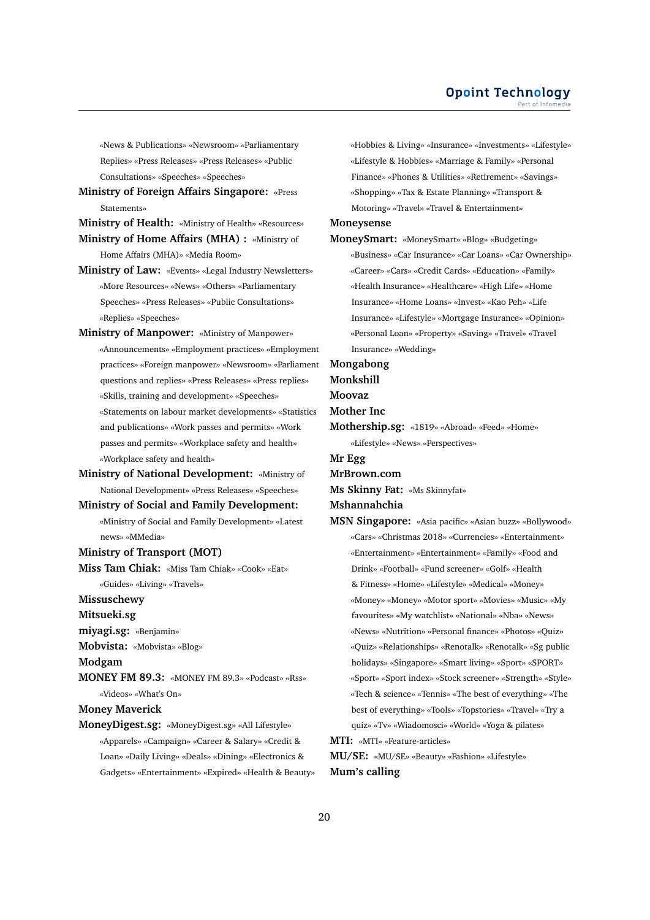«News & Publications» «Newsroom» «Parliamentary Replies» «Press Releases» «Press Releases» «Public Consultations» «Speeches» «Speeches»

**Ministry of Foreign Affairs Singapore:** «Press Statements»

**Ministry of Health:** «Ministry of Health» «Resources»

**Ministry of Home Affairs (MHA) :** «Ministry of Home Affairs (MHA)» «Media Room»

- **Ministry of Law:** «Events» «Legal Industry Newsletters» «More Resources» «News» «Others» «Parliamentary Speeches» «Press Releases» «Public Consultations» «Replies» «Speeches»
- **Ministry of Manpower:** «Ministry of Manpower» «Announcements» «Employment practices» «Employment practices» «Foreign manpower» «Newsroom» «Parliament questions and replies» «Press Releases» «Press replies» «Skills, training and development» «Speeches» «Statements on labour market developments» «Statistics and publications» «Work passes and permits» «Work passes and permits» «Workplace safety and health» «Workplace safety and health»
- **Ministry of National Development:** «Ministry of National Development» «Press Releases» «Speeches»
- **Ministry of Social and Family Development:** «Ministry of Social and Family Development» «Latest news» «MMedia»

**Ministry of Transport (MOT)**

**Miss Tam Chiak:** «Miss Tam Chiak» «Cook» «Eat» «Guides» «Living» «Travels»

**Missuschewy**

**Mitsueki.sg**

**miyagi.sg:** «Benjamin»

**Mobvista:** «Mobvista» «Blog»

**Modgam**

**MONEY FM 89.3:** «MONEY FM 89.3» «Podcast» «Rss» «Videos» «What's On»

**Money Maverick**

**MoneyDigest.sg:** «MoneyDigest.sg» «All Lifestyle» «Apparels» «Campaign» «Career & Salary» «Credit & Loan» «Daily Living» «Deals» «Dining» «Electronics & Gadgets» «Entertainment» «Expired» «Health & Beauty»

«Hobbies & Living» «Insurance» «Investments» «Lifestyle» «Lifestyle & Hobbies» «Marriage & Family» «Personal Finance» «Phones & Utilities» «Retirement» «Savings» «Shopping» «Tax & Estate Planning» «Transport & Motoring» «Travel» «Travel & Entertainment» **Moneysense MoneySmart:** «MoneySmart» «Blog» «Budgeting»

«Business» «Car Insurance» «Car Loans» «Car Ownership» «Career» «Cars» «Credit Cards» «Education» «Family» «Health Insurance» «Healthcare» «High Life» «Home Insurance» «Home Loans» «Invest» «Kao Peh» «Life Insurance» «Lifestyle» «Mortgage Insurance» «Opinion» «Personal Loan» «Property» «Saving» «Travel» «Travel Insurance» «Wedding»

**Mongabong**

**Monkshill**

**Moovaz**

**Mother Inc**

**Mothership.sg:** «1819» «Abroad» «Feed» «Home» «Lifestyle» «News» «Perspectives»

**Mr Egg**

**MrBrown.com**

**Ms Skinny Fat:** «Ms Skinnyfat»

#### **Mshannahchia**

**MSN Singapore:** «Asia pacific» «Asian buzz» «Bollywood» «Cars» «Christmas 2018» «Currencies» «Entertainment» «Entertainment» «Entertainment» «Family» «Food and Drink» «Football» «Fund screener» «Golf» «Health & Fitness» «Home» «Lifestyle» «Medical» «Money» «Money» «Money» «Motor sport» «Movies» «Music» «My favourites» «My watchlist» «National» «Nba» «News» «News» «Nutrition» «Personal finance» «Photos» «Quiz» «Quiz» «Relationships» «Renotalk» «Renotalk» «Sg public holidays» «Singapore» «Smart living» «Sport» «SPORT» «Sport» «Sport index» «Stock screener» «Strength» «Style» «Tech & science» «Tennis» «The best of everything» «The best of everything» «Tools» «Topstories» «Travel» «Try a quiz» «Tv» «Wiadomosci» «World» «Yoga & pilates» **MTI:** «MTI» «Feature-articles»

**MU/SE:** «MU/SE» «Beauty» «Fashion» «Lifestyle» **Mum's calling**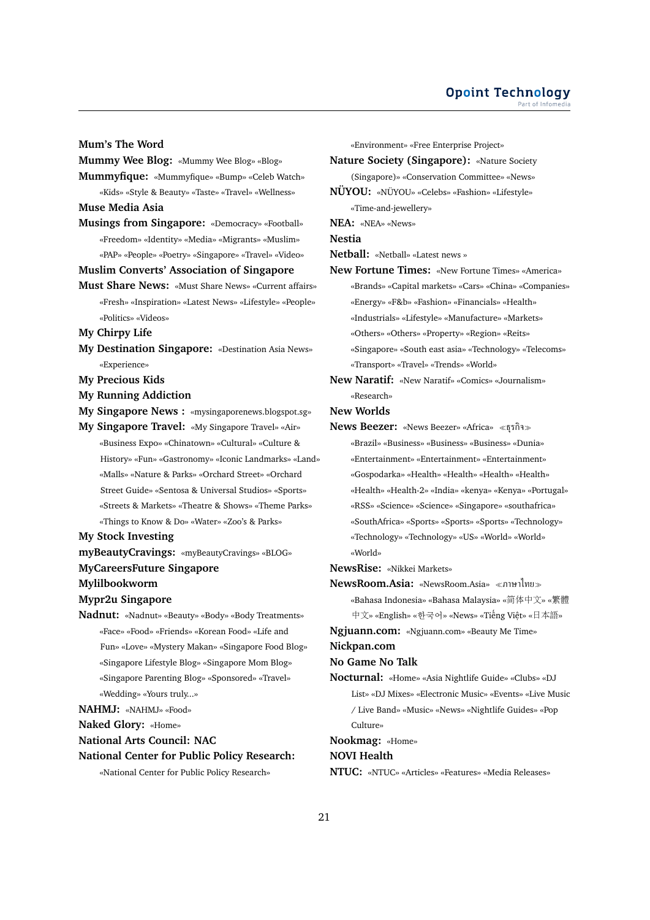#### **Opoint Technology** Part of Infomer

#### **Mum's The Word**

**Mummy Wee Blog:** «Mummy Wee Blog» «Blog»

**Mummyfique:** «Mummyfique» «Bump» «Celeb Watch» «Kids» «Style & Beauty» «Taste» «Travel» «Wellness»

- **Muse Media Asia**
- **Musings from Singapore:** «Democracy» «Football» «Freedom» «Identity» «Media» «Migrants» «Muslim» «PAP» «People» «Poetry» «Singapore» «Travel» «Video»
- **Muslim Converts' Association of Singapore**
- **Must Share News:** «Must Share News» «Current affairs» «Fresh» «Inspiration» «Latest News» «Lifestyle» «People» «Politics» «Videos»
- **My Chirpy Life**
- **My Destination Singapore:** «Destination Asia News» «Experience»
- **My Precious Kids**
- **My Running Addiction**
- **My Singapore News :** «mysingaporenews.blogspot.sg»
- **My Singapore Travel:** «My Singapore Travel» «Air» «Business Expo» «Chinatown» «Cultural» «Culture & History» «Fun» «Gastronomy» «Iconic Landmarks» «Land» «Malls» «Nature & Parks» «Orchard Street» «Orchard Street Guide» «Sentosa & Universal Studios» «Sports» «Streets & Markets» «Theatre & Shows» «Theme Parks» «Things to Know & Do» «Water» «Zoo's & Parks»

#### **My Stock Investing**

- **myBeautyCravings:** «myBeautyCravings» «BLOG»
- **MyCareersFuture Singapore**
- **Mylilbookworm**

#### **Mypr2u Singapore**

- **Nadnut:** «Nadnut» «Beauty» «Body» «Body Treatments» «Face» «Food» «Friends» «Korean Food» «Life and Fun» «Love» «Mystery Makan» «Singapore Food Blog» «Singapore Lifestyle Blog» «Singapore Mom Blog» «Singapore Parenting Blog» «Sponsored» «Travel» «Wedding» «Yours truly...»
- **NAHMJ:** «NAHMJ» «Food»
- **Naked Glory:** «Home»
- **National Arts Council: NAC**

#### **National Center for Public Policy Research:**

«National Center for Public Policy Research»

«Environment» «Free Enterprise Project» **Nature Society (Singapore):** «Nature Society (Singapore)» «Conservation Committee» «News» **NÜYOU:** «NÜYOU» «Celebs» «Fashion» «Lifestyle» «Time-and-jewellery»

**NEA:** «NEA» «News»

**Nestia**

- **Netball:** «Netball» «Latest news »
- **New Fortune Times:** «New Fortune Times» «America» «Brands» «Capital markets» «Cars» «China» «Companies» «Energy» «F&b» «Fashion» «Financials» «Health» «Industrials» «Lifestyle» «Manufacture» «Markets» «Others» «Others» «Property» «Region» «Reits» «Singapore» «South east asia» «Technology» «Telecoms» «Transport» «Travel» «Trends» «World»
- **New Naratif:** «New Naratif» «Comics» «Journalism» «Research»

#### **New Worlds**

**News Beezer:** «News Beezer» «Africa» ธุรกิจ «Brazil» «Business» «Business» «Business» «Dunia» «Entertainment» «Entertainment» «Entertainment» «Gospodarka» «Health» «Health» «Health» «Health» «Health» «Health-2» «India» «kenya» «Kenya» «Portugal» «RSS» «Science» «Science» «Singapore» «southafrica» «SouthAfrica» «Sports» «Sports» «Sports» «Technology» «Technology» «Technology» «US» «World» «World» «World»

**NewsRise:** «Nikkei Markets»

- **NewsRoom.Asia:** «NewsRoom.Asia» ภาษาไทย «Bahasa Indonesia» «Bahasa Malaysia» «简体中文» «繁<sup>體</sup> <sup>中</sup>文» «English» «한국어» «News» «Tiếng Việt» «日本語»
- **Ngjuann.com:** «Ngjuann.com» «Beauty Me Time»

**Nickpan.com**

#### **No Game No Talk**

**Nocturnal:** «Home» «Asia Nightlife Guide» «Clubs» «DJ List» «DJ Mixes» «Electronic Music» «Events» «Live Music / Live Band» «Music» «News» «Nightlife Guides» «Pop Culture»

**Nookmag:** «Home»

#### **NOVI Health**

**NTUC:** «NTUC» «Articles» «Features» «Media Releases»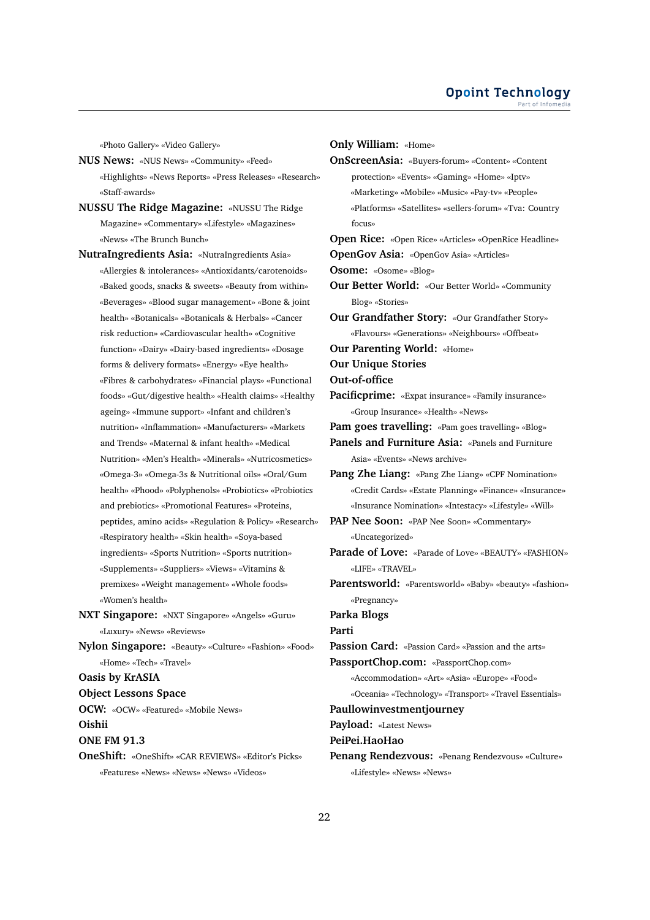«Photo Gallery» «Video Gallery»

- **NUS News:** «NUS News» «Community» «Feed» «Highlights» «News Reports» «Press Releases» «Research» «Staff-awards»
- **NUSSU The Ridge Magazine:** «NUSSU The Ridge Magazine» «Commentary» «Lifestyle» «Magazines» «News» «The Brunch Bunch»
- **NutraIngredients Asia:** «NutraIngredients Asia» «Allergies & intolerances» «Antioxidants/carotenoids» «Baked goods, snacks & sweets» «Beauty from within» «Beverages» «Blood sugar management» «Bone & joint health» «Botanicals» «Botanicals & Herbals» «Cancer risk reduction» «Cardiovascular health» «Cognitive function» «Dairy» «Dairy-based ingredients» «Dosage forms & delivery formats» «Energy» «Eye health» «Fibres & carbohydrates» «Financial plays» «Functional foods» «Gut/digestive health» «Health claims» «Healthy ageing» «Immune support» «Infant and children's nutrition» «Inflammation» «Manufacturers» «Markets and Trends» «Maternal & infant health» «Medical Nutrition» «Men's Health» «Minerals» «Nutricosmetics» «Omega-3» «Omega-3s & Nutritional oils» «Oral/Gum health» «Phood» «Polyphenols» «Probiotics» «Probiotics and prebiotics» «Promotional Features» «Proteins, peptides, amino acids» «Regulation & Policy» «Research» «Respiratory health» «Skin health» «Soya-based ingredients» «Sports Nutrition» «Sports nutrition» «Supplements» «Suppliers» «Views» «Vitamins & premixes» «Weight management» «Whole foods» «Women's health»
- **NXT Singapore:** «NXT Singapore» «Angels» «Guru» «Luxury» «News» «Reviews»
- **Nylon Singapore:** «Beauty» «Culture» «Fashion» «Food» «Home» «Tech» «Travel»

#### **Oasis by KrASIA**

**Object Lessons Space**

**OCW:** «OCW» «Featured» «Mobile News» **Oishii**

**ONE FM 91.3**

**OneShift:** «OneShift» «CAR REVIEWS» «Editor's Picks» «Features» «News» «News» «News» «Videos»

**Only William:** «Home» **OnScreenAsia:** «Buyers-forum» «Content» «Content protection» «Events» «Gaming» «Home» «Iptv» «Marketing» «Mobile» «Music» «Pay-tv» «People» «Platforms» «Satellites» «sellers-forum» «Tva: Country focus» **Open Rice:** «Open Rice» «Articles» «OpenRice Headline» **OpenGov Asia:** «OpenGov Asia» «Articles» **Osome:** «Osome» «Blog» **Our Better World:** «Our Better World» «Community Blog» «Stories» **Our Grandfather Story:** «Our Grandfather Story» «Flavours» «Generations» «Neighbours» «Offbeat» **Our Parenting World:** «Home» **Our Unique Stories Out-of-office Pacificprime:** «Expat insurance» «Family insurance» «Group Insurance» «Health» «News» **Pam goes travelling:** «Pam goes travelling» «Blog» **Panels and Furniture Asia:** «Panels and Furniture Asia» «Events» «News archive» **Pang Zhe Liang:** «Pang Zhe Liang» «CPF Nomination» «Credit Cards» «Estate Planning» «Finance» «Insurance» «Insurance Nomination» «Intestacy» «Lifestyle» «Will» **PAP Nee Soon:** «PAP Nee Soon» «Commentary» «Uncategorized» **Parade of Love:** «Parade of Love» «BEAUTY» «FASHION» «LIFE» «TRAVEL» **Parentsworld:** «Parentsworld» «Baby» «beauty» «fashion» «Pregnancy» **Parka Blogs Parti Passion Card:** «Passion Card» «Passion and the arts» **PassportChop.com:** «PassportChop.com» «Accommodation» «Art» «Asia» «Europe» «Food» «Oceania» «Technology» «Transport» «Travel Essentials» **Paullowinvestmentjourney Payload:** «Latest News» **PeiPei.HaoHao Penang Rendezvous:** «Penang Rendezvous» «Culture»

«Lifestyle» «News» «News»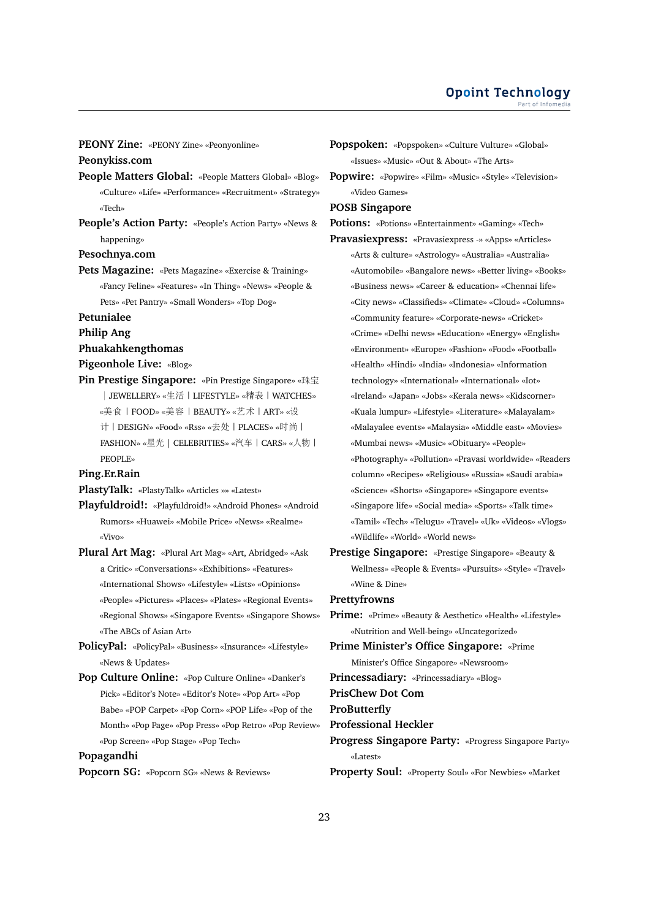**PEONY Zine:** «PEONY Zine» «Peonyonline»

### **Peonykiss.com**

- **People Matters Global:** «People Matters Global» «Blog» «Culture» «Life» «Performance» «Recruitment» «Strategy» «Tech»
- **People's Action Party:** «People's Action Party» «News & happening»

#### **Pesochnya.com**

**Pets Magazine:** «Pets Magazine» «Exercise & Training» «Fancy Feline» «Features» «In Thing» «News» «People & Pets» «Pet Pantry» «Small Wonders» «Top Dog»

#### **Petunialee**

### **Philip Ang**

### **Phuakahkengthomas**

# **Pigeonhole Live:** «Blog»

**Pin Prestige Singapore:** «Pin Prestige Singapore» «珠宝 <sup>|</sup>JEWELLERY» «生活|LIFESTYLE» «精表|WATCHES» «美食|FOOD» «美容|BEAUTY» «艺术|ART» «设 <sup>计</sup>|DESIGN» «Food» «Rss» «去处|PLACES» «时尚<sup>|</sup> FASHION» «星<sup>光</sup> | CELEBRITIES» «汽车|CARS» «人物<sup>|</sup> PEOPLE»

#### **Ping.Er.Rain**

**PlastyTalk:** «PlastyTalk» «Articles »» «Latest»

- **Playfuldroid!:** «Playfuldroid!» «Android Phones» «Android Rumors» «Huawei» «Mobile Price» «News» «Realme» «Vivo»
- **Plural Art Mag:** «Plural Art Mag» «Art, Abridged» «Ask a Critic» «Conversations» «Exhibitions» «Features» «International Shows» «Lifestyle» «Lists» «Opinions» «People» «Pictures» «Places» «Plates» «Regional Events» «Regional Shows» «Singapore Events» «Singapore Shows» «The ABCs of Asian Art»
- **PolicyPal:** «PolicyPal» «Business» «Insurance» «Lifestyle» «News & Updates»
- **Pop Culture Online:** «Pop Culture Online» «Danker's Pick» «Editor's Note» «Editor's Note» «Pop Art» «Pop Babe» «POP Carpet» «Pop Corn» «POP Life» «Pop of the Month» «Pop Page» «Pop Press» «Pop Retro» «Pop Review» «Pop Screen» «Pop Stage» «Pop Tech»

#### **Popagandhi**

**Popcorn SG:** «Popcorn SG» «News & Reviews»

**Popspoken:** «Popspoken» «Culture Vulture» «Global» «Issues» «Music» «Out & About» «The Arts»

**Popwire:** «Popwire» «Film» «Music» «Style» «Television» «Video Games»

## **POSB Singapore**

**Potions:** «Potions» «Entertainment» «Gaming» «Tech»

- **Pravasiexpress:** «Pravasiexpress -» «Apps» «Articles» «Arts & culture» «Astrology» «Australia» «Australia» «Automobile» «Bangalore news» «Better living» «Books» «Business news» «Career & education» «Chennai life» «City news» «Classifieds» «Climate» «Cloud» «Columns» «Community feature» «Corporate-news» «Cricket» «Crime» «Delhi news» «Education» «Energy» «English» «Environment» «Europe» «Fashion» «Food» «Football» «Health» «Hindi» «India» «Indonesia» «Information technology» «International» «International» «Iot» «Ireland» «Japan» «Jobs» «Kerala news» «Kidscorner» «Kuala lumpur» «Lifestyle» «Literature» «Malayalam» «Malayalee events» «Malaysia» «Middle east» «Movies» «Mumbai news» «Music» «Obituary» «People» «Photography» «Pollution» «Pravasi worldwide» «Readers column» «Recipes» «Religious» «Russia» «Saudi arabia» «Science» «Shorts» «Singapore» «Singapore events» «Singapore life» «Social media» «Sports» «Talk time» «Tamil» «Tech» «Telugu» «Travel» «Uk» «Videos» «Vlogs» «Wildlife» «World» «World news»
- **Prestige Singapore:** «Prestige Singapore» «Beauty & Wellness» «People & Events» «Pursuits» «Style» «Travel» «Wine & Dine»

#### **Prettyfrowns**

- **Prime:** «Prime» «Beauty & Aesthetic» «Health» «Lifestyle» «Nutrition and Well-being» «Uncategorized»
- **Prime Minister's Office Singapore:** «Prime Minister's Office Singapore» «Newsroom»
- **Princessadiary:** «Princessadiary» «Blog»

**PrisChew Dot Com**

#### **ProButterfly**

#### **Professional Heckler**

**Progress Singapore Party:** «Progress Singapore Party» «Latest»

**Property Soul:** «Property Soul» «For Newbies» «Market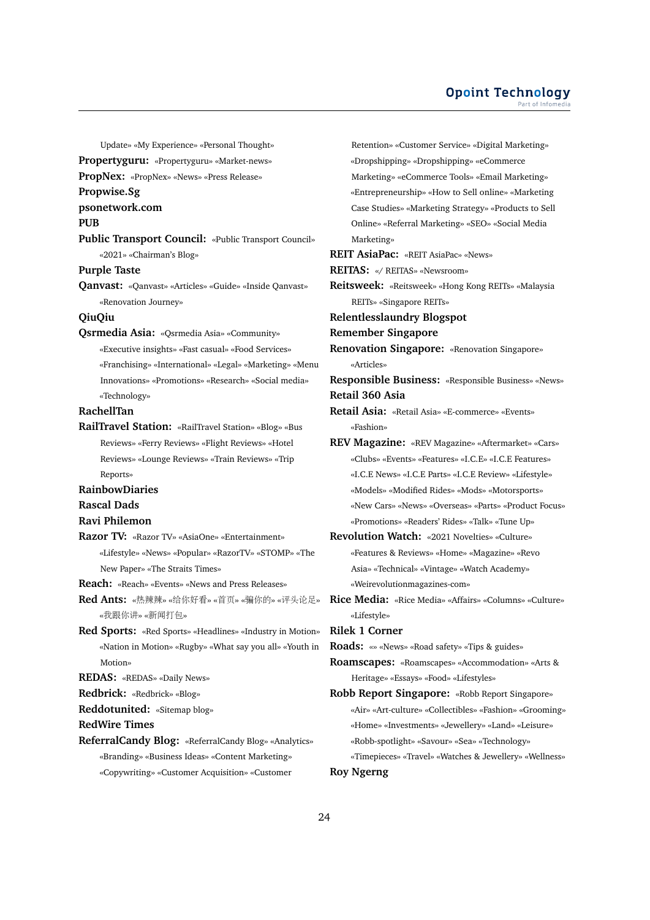Update» «My Experience» «Personal Thought»

**Propertyguru:** «Propertyguru» «Market-news»

**PropNex:** «PropNex» «News» «Press Release»

**Propwise.Sg**

**psonetwork.com**

**PUB**

**Public Transport Council:** «Public Transport Council» «2021» «Chairman's Blog»

**Purple Taste**

**Qanvast:** «Qanvast» «Articles» «Guide» «Inside Qanvast» «Renovation Journey»

#### **QiuQiu**

**Qsrmedia Asia:** «Qsrmedia Asia» «Community» «Executive insights» «Fast casual» «Food Services» «Franchising» «International» «Legal» «Marketing» «Menu Innovations» «Promotions» «Research» «Social media» «Technology»

# **RachellTan**

**RailTravel Station:** «RailTravel Station» «Blog» «Bus Reviews» «Ferry Reviews» «Flight Reviews» «Hotel Reviews» «Lounge Reviews» «Train Reviews» «Trip Reports»

#### **RainbowDiaries**

**Rascal Dads**

#### **Ravi Philemon**

**Razor TV:** «Razor TV» «AsiaOne» «Entertainment» «Lifestyle» «News» «Popular» «RazorTV» «STOMP» «The New Paper» «The Straits Times»

**Reach:** «Reach» «Events» «News and Press Releases»

- **Red Ants:** «热辣辣» «给你好看» «首页» «骗你的» «评头论足» «我跟你讲» «新闻打包»
- **Red Sports:** «Red Sports» «Headlines» «Industry in Motion» «Nation in Motion» «Rugby» «What say you all» «Youth in Motion»

**REDAS:** «REDAS» «Daily News»

**Redbrick:** «Redbrick» «Blog»

**Reddotunited:** «Sitemap blog»

**RedWire Times**

**ReferralCandy Blog:** «ReferralCandy Blog» «Analytics» «Branding» «Business Ideas» «Content Marketing» «Copywriting» «Customer Acquisition» «Customer

Retention» «Customer Service» «Digital Marketing» «Dropshipping» «Dropshipping» «eCommerce Marketing» «eCommerce Tools» «Email Marketing» «Entrepreneurship» «How to Sell online» «Marketing Case Studies» «Marketing Strategy» «Products to Sell Online» «Referral Marketing» «SEO» «Social Media Marketing» **REIT AsiaPac:** «REIT AsiaPac» «News» **REITAS:** «/ REITAS» «Newsroom» **Reitsweek:** «Reitsweek» «Hong Kong REITs» «Malaysia REITs» «Singapore REITs» **Relentlesslaundry Blogspot Remember Singapore Renovation Singapore:** «Renovation Singapore» «Articles» **Responsible Business:** «Responsible Business» «News» **Retail 360 Asia Retail Asia:** «Retail Asia» «E-commerce» «Events» «Fashion» **REV Magazine:** «REV Magazine» «Aftermarket» «Cars» «Clubs» «Events» «Features» «I.C.E» «I.C.E Features» «I.C.E News» «I.C.E Parts» «I.C.E Review» «Lifestyle» «Models» «Modified Rides» «Mods» «Motorsports» «New Cars» «News» «Overseas» «Parts» «Product Focus» «Promotions» «Readers' Rides» «Talk» «Tune Up» **Revolution Watch:** «2021 Novelties» «Culture» «Features & Reviews» «Home» «Magazine» «Revo Asia» «Technical» «Vintage» «Watch Academy» «Weirevolutionmagazines-com» **Rice Media:** «Rice Media» «Affairs» «Columns» «Culture» «Lifestyle» **Rilek 1 Corner Roads:** «» «News» «Road safety» «Tips & guides» **Roamscapes:** «Roamscapes» «Accommodation» «Arts & Heritage» «Essays» «Food» «Lifestyles» **Robb Report Singapore:** «Robb Report Singapore» «Air» «Art-culture» «Collectibles» «Fashion» «Grooming» «Home» «Investments» «Jewellery» «Land» «Leisure» «Robb-spotlight» «Savour» «Sea» «Technology» «Timepieces» «Travel» «Watches & Jewellery» «Wellness» **Roy Ngerng**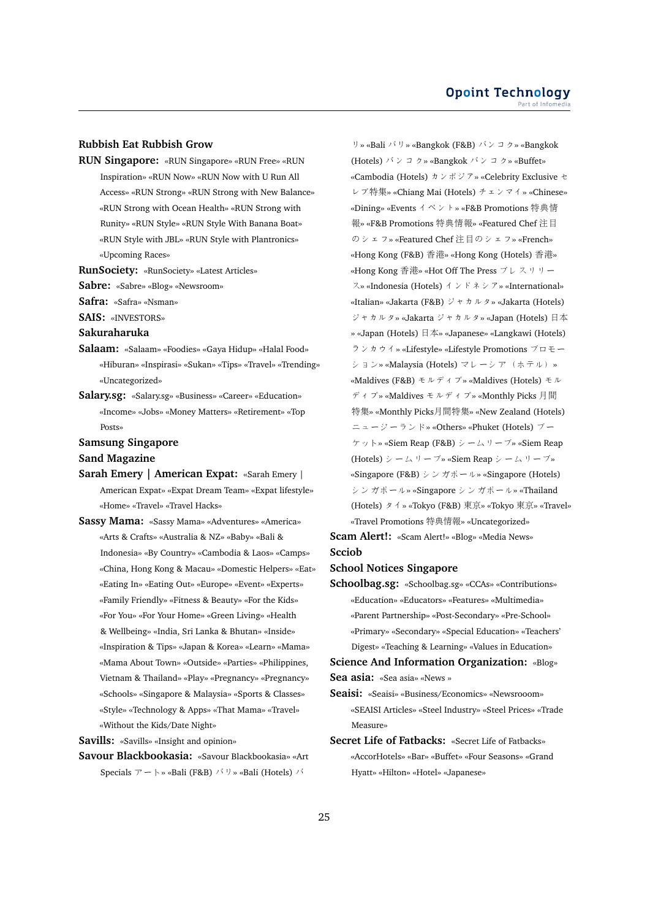#### **Opoint Technology** Part of Infomed

#### **Rubbish Eat Rubbish Grow**

- **RUN Singapore:** «RUN Singapore» «RUN Free» «RUN Inspiration» «RUN Now» «RUN Now with U Run All Access» «RUN Strong» «RUN Strong with New Balance» «RUN Strong with Ocean Health» «RUN Strong with Runity» «RUN Style» «RUN Style With Banana Boat» «RUN Style with JBL» «RUN Style with Plantronics» «Upcoming Races»
- **RunSociety:** «RunSociety» «Latest Articles»
- **Sabre:** «Sabre» «Blog» «Newsroom»
- **Safra:** «Safra» «Nsman»
- **SAIS:** «INVESTORS»
- **Sakuraharuka**
- **Salaam:** «Salaam» «Foodies» «Gaya Hidup» «Halal Food» «Hiburan» «Inspirasi» «Sukan» «Tips» «Travel» «Trending» «Uncategorized»
- **Salary.sg:** «Salary.sg» «Business» «Career» «Education» «Income» «Jobs» «Money Matters» «Retirement» «Top Posts»

#### **Samsung Singapore**

- **Sand Magazine**
- **Sarah Emery | American Expat:** «Sarah Emery | American Expat» «Expat Dream Team» «Expat lifestyle» «Home» «Travel» «Travel Hacks»
- **Sassy Mama:** «Sassy Mama» «Adventures» «America» «Arts & Crafts» «Australia & NZ» «Baby» «Bali & Indonesia» «By Country» «Cambodia & Laos» «Camps» «China, Hong Kong & Macau» «Domestic Helpers» «Eat» «Eating In» «Eating Out» «Europe» «Event» «Experts» «Family Friendly» «Fitness & Beauty» «For the Kids» «For You» «For Your Home» «Green Living» «Health & Wellbeing» «India, Sri Lanka & Bhutan» «Inside» «Inspiration & Tips» «Japan & Korea» «Learn» «Mama» «Mama About Town» «Outside» «Parties» «Philippines, Vietnam & Thailand» «Play» «Pregnancy» «Pregnancy» «Schools» «Singapore & Malaysia» «Sports & Classes» «Style» «Technology & Apps» «That Mama» «Travel» «Without the Kids/Date Night»

**Savills:** «Savills» «Insight and opinion»

**Savour Blackbookasia:** «Savour Blackbookasia» «Art Specials アート» «Bali (F&B) バリ» «Bali (Hotels) バ

リ» «Bali バリ» «Bangkok (F&B) バンコク» «Bangkok (Hotels) バンコク» «Bangkok バンコク» «Buffet» «Cambodia (Hotels) カンボジア» «Celebrity Exclusive セ レブ特集» «Chiang Mai (Hotels) チェンマイ» «Chinese» «Dining» «Events イベント» «F&B Promotions 特典<sup>情</sup> <sup>報</sup>» «F&B Promotions 特典情報» «Featured Chef <sup>注</sup><sup>目</sup> のシェフ» «Featured Chef 注目のシェフ» «French» «Hong Kong (F&B) 香港» «Hong Kong (Hotels) 香港» «Hong Kong 香港» «Hot Off The Press プレスリリー ス» «Indonesia (Hotels) インドネシア» «International» «Italian» «Jakarta (F&B) ジャカルタ» «Jakarta (Hotels) ジャカルタ» «Jakarta ジャカルタ» «Japan (Hotels) <sup>日</sup>本 » «Japan (Hotels) <sup>日</sup>本» «Japanese» «Langkawi (Hotels) ランカウイ» «Lifestyle» «Lifestyle Promotions プロモー ション» «Malaysia (Hotels) マレーシア(ホテル)» «Maldives (F&B) モルディブ» «Maldives (Hotels) モル ディブ» «Maldives モルディブ» «Monthly Picks 月<sup>間</sup> 特集» «Monthly Picks月間特集» «New Zealand (Hotels) ニュージーランド» «Others» «Phuket (Hotels) プー ケット» «Siem Reap (F&B) シームリープ» «Siem Reap (Hotels) シームリープ» «Siem Reap シームリープ» «Singapore (F&B) シンガポール» «Singapore (Hotels) シンガポール» «Singapore シンガポール» «Thailand (Hotels) タイ» «Tokyo (F&B) 東京» «Tokyo 東京» «Travel» «Travel Promotions 特典情報» «Uncategorized»

**Scam Alert!:** «Scam Alert!» «Blog» «Media News» **Scciob**

#### **School Notices Singapore**

**Schoolbag.sg:** «Schoolbag.sg» «CCAs» «Contributions» «Education» «Educators» «Features» «Multimedia» «Parent Partnership» «Post-Secondary» «Pre-School» «Primary» «Secondary» «Special Education» «Teachers' Digest» «Teaching & Learning» «Values in Education»

**Science And Information Organization:** «Blog» **Sea asia:** «Sea asia» «News »

- **Seaisi:** «Seaisi» «Business/Economics» «Newsrooom» «SEAISI Articles» «Steel Industry» «Steel Prices» «Trade Measure»
- **Secret Life of Fatbacks:** «Secret Life of Fatbacks» «AccorHotels» «Bar» «Buffet» «Four Seasons» «Grand Hyatt» «Hilton» «Hotel» «Japanese»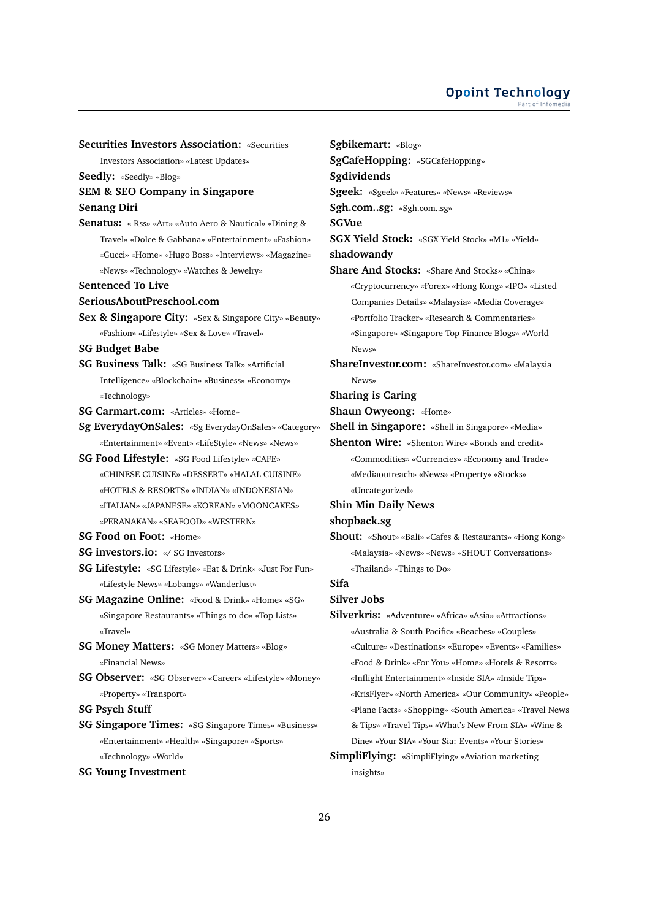**Securities Investors Association:** «Securities Investors Association» «Latest Updates» **Seedly:** «Seedly» «Blog» **SEM & SEO Company in Singapore Senang Diri Senatus:** « Rss» «Art» «Auto Aero & Nautical» «Dining & Travel» «Dolce & Gabbana» «Entertainment» «Fashion» «Gucci» «Home» «Hugo Boss» «Interviews» «Magazine» «News» «Technology» «Watches & Jewelry» **Sentenced To Live SeriousAboutPreschool.com Sex & Singapore City:** «Sex & Singapore City» «Beauty» «Fashion» «Lifestyle» «Sex & Love» «Travel» **SG Budget Babe SG Business Talk:** «SG Business Talk» «Artificial Intelligence» «Blockchain» «Business» «Economy» «Technology» **SG Carmart.com:** «Articles» «Home» **Sg EverydayOnSales:** «Sg EverydayOnSales» «Category» «Entertainment» «Event» «LifeStyle» «News» «News» **SG Food Lifestyle:** «SG Food Lifestyle» «CAFE» «CHINESE CUISINE» «DESSERT» «HALAL CUISINE» «HOTELS & RESORTS» «INDIAN» «INDONESIAN» «ITALIAN» «JAPANESE» «KOREAN» «MOONCAKES» «PERANAKAN» «SEAFOOD» «WESTERN» **SG Food on Foot:** «Home» **SG investors.io:** «/ SG Investors» **SG Lifestyle:** «SG Lifestyle» «Eat & Drink» «Just For Fun» «Lifestyle News» «Lobangs» «Wanderlust» **SG Magazine Online:** «Food & Drink» «Home» «SG» «Singapore Restaurants» «Things to do» «Top Lists» «Travel» **SG Money Matters:** «SG Money Matters» «Blog» «Financial News» **SG Observer:** «SG Observer» «Career» «Lifestyle» «Money» «Property» «Transport» **SG Psych Stuff SG Singapore Times:** «SG Singapore Times» «Business» «Entertainment» «Health» «Singapore» «Sports» «Technology» «World»

#### **SG Young Investment**

**Sgbikemart:** «Blog» **SgCafeHopping:** «SGCafeHopping» **Sgdividends Sgeek:** «Sgeek» «Features» «News» «Reviews» **Sgh.com..sg:** «Sgh.com..sg» **SGVue SGX Yield Stock:** «SGX Yield Stock» «M1» «Yield» **shadowandy Share And Stocks:** «Share And Stocks» «China» «Cryptocurrency» «Forex» «Hong Kong» «IPO» «Listed Companies Details» «Malaysia» «Media Coverage» «Portfolio Tracker» «Research & Commentaries» «Singapore» «Singapore Top Finance Blogs» «World News» **ShareInvestor.com:** «ShareInvestor.com» «Malaysia News» **Sharing is Caring Shaun Owyeong:** «Home» **Shell in Singapore:** «Shell in Singapore» «Media» **Shenton Wire:** «Shenton Wire» «Bonds and credit» «Commodities» «Currencies» «Economy and Trade» «Mediaoutreach» «News» «Property» «Stocks» «Uncategorized» **Shin Min Daily News shopback.sg Shout:** «Shout» «Bali» «Cafes & Restaurants» «Hong Kong» «Malaysia» «News» «News» «SHOUT Conversations» «Thailand» «Things to Do» **Sifa Silver Jobs Silverkris:** «Adventure» «Africa» «Asia» «Attractions» «Australia & South Pacific» «Beaches» «Couples» «Culture» «Destinations» «Europe» «Events» «Families» «Food & Drink» «For You» «Home» «Hotels & Resorts» «Inflight Entertainment» «Inside SIA» «Inside Tips» «KrisFlyer» «North America» «Our Community» «People» «Plane Facts» «Shopping» «South America» «Travel News & Tips» «Travel Tips» «What's New From SIA» «Wine &

# **SimpliFlying:** «SimpliFlying» «Aviation marketing insights»

Dine» «Your SIA» «Your Sia: Events» «Your Stories»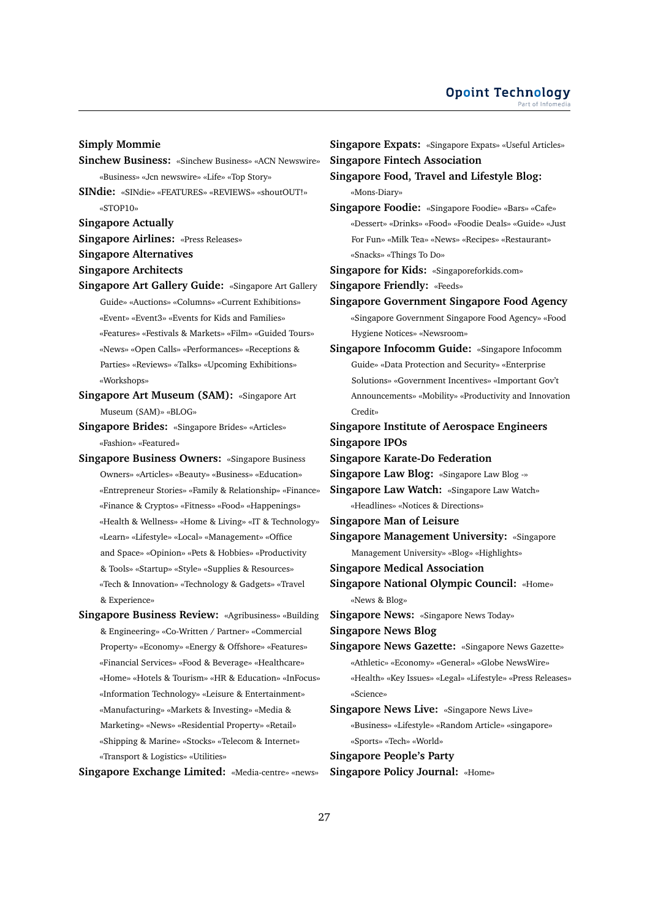#### **Simply Mommie**

- **Sinchew Business:** «Sinchew Business» «ACN Newswire» «Business» «Jcn newswire» «Life» «Top Story»
- **SINdie:** «SINdie» «FEATURES» «REVIEWS» «shoutOUT!» «STOP10»

**Singapore Actually**

**Singapore Airlines:** «Press Releases»

**Singapore Alternatives**

- **Singapore Architects**
- **Singapore Art Gallery Guide:** «Singapore Art Gallery Guide» «Auctions» «Columns» «Current Exhibitions» «Event» «Event3» «Events for Kids and Families» «Features» «Festivals & Markets» «Film» «Guided Tours» «News» «Open Calls» «Performances» «Receptions & Parties» «Reviews» «Talks» «Upcoming Exhibitions» «Workshops»
- **Singapore Art Museum (SAM):** «Singapore Art Museum (SAM)» «BLOG»
- **Singapore Brides:** «Singapore Brides» «Articles» «Fashion» «Featured»
- **Singapore Business Owners:** «Singapore Business Owners» «Articles» «Beauty» «Business» «Education» «Entrepreneur Stories» «Family & Relationship» «Finance» «Finance & Cryptos» «Fitness» «Food» «Happenings» «Health & Wellness» «Home & Living» «IT & Technology» «Learn» «Lifestyle» «Local» «Management» «Office and Space» «Opinion» «Pets & Hobbies» «Productivity & Tools» «Startup» «Style» «Supplies & Resources» «Tech & Innovation» «Technology & Gadgets» «Travel & Experience»
- **Singapore Business Review:** «Agribusiness» «Building & Engineering» «Co-Written / Partner» «Commercial Property» «Economy» «Energy & Offshore» «Features» «Financial Services» «Food & Beverage» «Healthcare» «Home» «Hotels & Tourism» «HR & Education» «InFocus» «Information Technology» «Leisure & Entertainment» «Manufacturing» «Markets & Investing» «Media & Marketing» «News» «Residential Property» «Retail» «Shipping & Marine» «Stocks» «Telecom & Internet» «Transport & Logistics» «Utilities»

**Singapore Exchange Limited:** «Media-centre» «news»

**Singapore Expats:** «Singapore Expats» «Useful Articles» **Singapore Fintech Association Singapore Food, Travel and Lifestyle Blog:** «Mons-Diary» **Singapore Foodie:** «Singapore Foodie» «Bars» «Cafe» «Dessert» «Drinks» «Food» «Foodie Deals» «Guide» «Just For Fun» «Milk Tea» «News» «Recipes» «Restaurant» «Snacks» «Things To Do» **Singapore for Kids:** «Singaporeforkids.com» **Singapore Friendly:** «Feeds» **Singapore Government Singapore Food Agency** «Singapore Government Singapore Food Agency» «Food Hygiene Notices» «Newsroom» **Singapore Infocomm Guide:** «Singapore Infocomm Guide» «Data Protection and Security» «Enterprise Solutions» «Government Incentives» «Important Gov't Announcements» «Mobility» «Productivity and Innovation Credit» **Singapore Institute of Aerospace Engineers Singapore IPOs Singapore Karate-Do Federation Singapore Law Blog:** «Singapore Law Blog -» **Singapore Law Watch:** «Singapore Law Watch» «Headlines» «Notices & Directions» **Singapore Man of Leisure Singapore Management University:** «Singapore Management University» «Blog» «Highlights» **Singapore Medical Association**

**Singapore National Olympic Council:** «Home» «News & Blog»

**Singapore News:** «Singapore News Today»

**Singapore News Blog**

**Singapore News Gazette:** «Singapore News Gazette» «Athletic» «Economy» «General» «Globe NewsWire» «Health» «Key Issues» «Legal» «Lifestyle» «Press Releases» «Science»

**Singapore News Live:** «Singapore News Live» «Business» «Lifestyle» «Random Article» «singapore» «Sports» «Tech» «World»

**Singapore People's Party**

**Singapore Policy Journal:** «Home»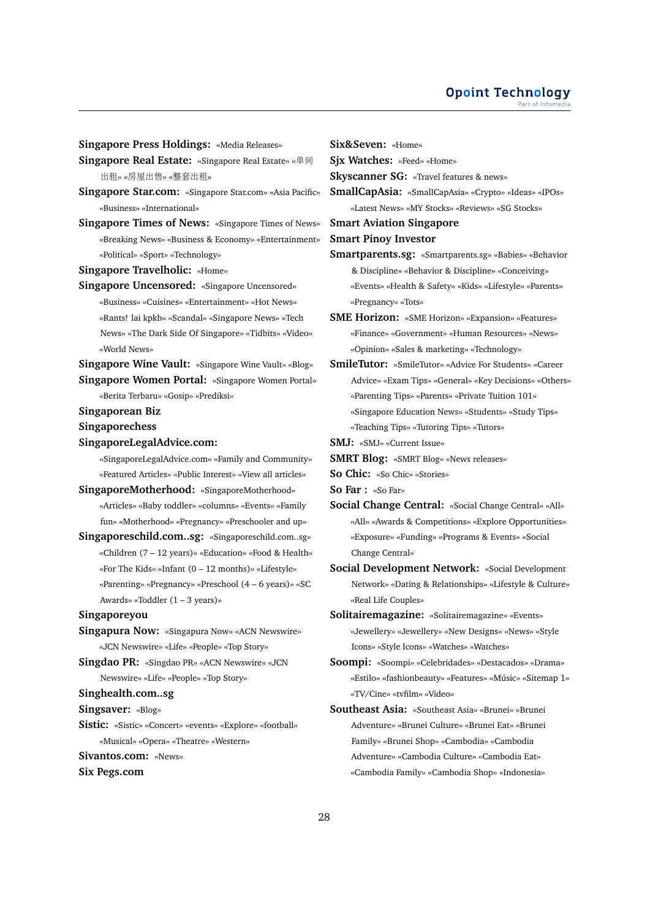**Singapore Press Holdings:** «Media Releases»

- **Singapore Real Estate:** «Singapore Real Estate» «单间 <sup>出</sup>租» «房屋出售» «整套出租»
- **Singapore Star.com:** «Singapore Star.com» «Asia Pacific» «Business» «International»
- **Singapore Times of News:** «Singapore Times of News» «Breaking News» «Business & Economy» «Entertainment» «Political» «Sport» «Technology»
- **Singapore Travelholic:** «Home»
- **Singapore Uncensored:** «Singapore Uncensored» «Business» «Cuisines» «Entertainment» «Hot News» «Rants! lai kpkb» «Scandal» «Singapore News» «Tech News» «The Dark Side Of Singapore» «Tidbits» «Video» «World News»

**Singapore Wine Vault:** «Singapore Wine Vault» «Blog» **Singapore Women Portal:** «Singapore Women Portal»

- «Berita Terbaru» «Gosip» «Prediksi»
- **Singaporean Biz**
- **Singaporechess**
- **SingaporeLegalAdvice.com:**

«SingaporeLegalAdvice.com» «Family and Community» «Featured Articles» «Public Interest» «View all articles»

- **SingaporeMotherhood:** «SingaporeMotherhood» «Articles» «Baby toddler» «columns» «Events» «Family fun» «Motherhood» «Pregnancy» «Preschooler and up»
- **Singaporeschild.com..sg:** «Singaporeschild.com..sg» «Children (7 – 12 years)» «Education» «Food & Health» «For The Kids» «Infant (0 – 12 months)» «Lifestyle» «Parenting» «Pregnancy» «Preschool (4 – 6 years)» «SC Awards» «Toddler (1 – 3 years)»
- **Singaporeyou**
- **Singapura Now:** «Singapura Now» «ACN Newswire» «JCN Newswire» «Life» «People» «Top Story»
- **Singdao PR:** «Singdao PR» «ACN Newswire» «JCN Newswire» «Life» «People» «Top Story»
- **Singhealth.com..sg**
- **Singsaver:** «Blog»
- **Sistic:** «Sistic» «Concert» «events» «Explore» «football» «Musical» «Opera» «Theatre» «Western»
- **Sivantos.com:** «News»
- **Six Pegs.com**

**Six&Seven:** «Home»

**Sjx Watches:** «Feed» «Home»

**Skyscanner SG:** «Travel features & news»

**SmallCapAsia:** «SmallCapAsia» «Crypto» «Ideas» «IPOs» «Latest News» «MY Stocks» «Reviews» «SG Stocks»

#### **Smart Aviation Singapore**

**Smart Pinoy Investor**

- **Smartparents.sg:** «Smartparents.sg» «Babies» «Behavior & Discipline» «Behavior & Discipline» «Conceiving» «Events» «Health & Safety» «Kids» «Lifestyle» «Parents» «Pregnancy» «Tots»
- **SME Horizon:** «SME Horizon» «Expansion» «Features» «Finance» «Government» «Human Resources» «News» «Opinion» «Sales & marketing» «Technology»
- **SmileTutor:** «SmileTutor» «Advice For Students» «Career Advice» «Exam Tips» «General» «Key Decisions» «Others» «Parenting Tips» «Parents» «Private Tuition 101» «Singapore Education News» «Students» «Study Tips» «Teaching Tips» «Tutoring Tips» «Tutors»
- **SMJ:** «SMJ» «Current Issue»
- **SMRT Blog:** «SMRT Blog» «News releases»
- **So Chic:** «So Chic» «Stories»
- **So Far :** «So Far»
- **Social Change Central:** «Social Change Central» «All» «All» «Awards & Competitions» «Explore Opportunities» «Exposure» «Funding» «Programs & Events» «Social Change Central»
- **Social Development Network:** «Social Development Network» «Dating & Relationships» «Lifestyle & Culture» «Real Life Couples»
- **Solitairemagazine:** «Solitairemagazine» «Events» «Jewellery» «Jewellery» «New Designs» «News» «Style Icons» «Style Icons» «Watches» «Watches»
- **Soompi:** «Soompi» «Celebridades» «Destacados» «Drama» «Estilo» «fashionbeauty» «Features» «Músic» «Sitemap 1» «TV/Cine» «tvfilm» «Video»
- **Southeast Asia:** «Southeast Asia» «Brunei» «Brunei Adventure» «Brunei Culture» «Brunei Eat» «Brunei Family» «Brunei Shop» «Cambodia» «Cambodia Adventure» «Cambodia Culture» «Cambodia Eat» «Cambodia Family» «Cambodia Shop» «Indonesia»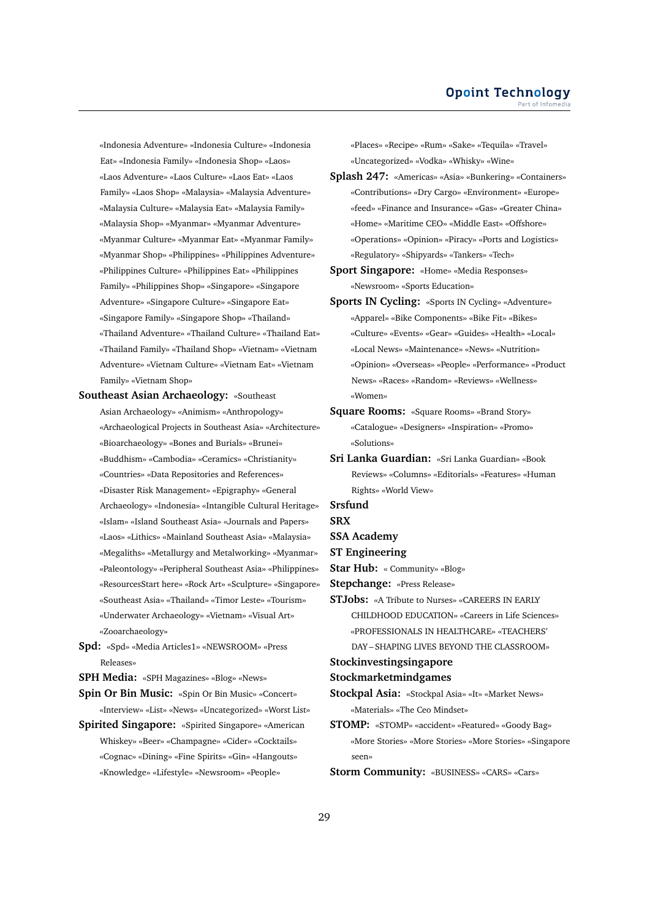«Indonesia Adventure» «Indonesia Culture» «Indonesia Eat» «Indonesia Family» «Indonesia Shop» «Laos» «Laos Adventure» «Laos Culture» «Laos Eat» «Laos Family» «Laos Shop» «Malaysia» «Malaysia Adventure» «Malaysia Culture» «Malaysia Eat» «Malaysia Family» «Malaysia Shop» «Myanmar» «Myanmar Adventure» «Myanmar Culture» «Myanmar Eat» «Myanmar Family» «Myanmar Shop» «Philippines» «Philippines Adventure» «Philippines Culture» «Philippines Eat» «Philippines Family» «Philippines Shop» «Singapore» «Singapore Adventure» «Singapore Culture» «Singapore Eat» «Singapore Family» «Singapore Shop» «Thailand» «Thailand Adventure» «Thailand Culture» «Thailand Eat» «Thailand Family» «Thailand Shop» «Vietnam» «Vietnam Adventure» «Vietnam Culture» «Vietnam Eat» «Vietnam Family» «Vietnam Shop»

**Southeast Asian Archaeology:** «Southeast Asian Archaeology» «Animism» «Anthropology» «Archaeological Projects in Southeast Asia» «Architecture» «Bioarchaeology» «Bones and Burials» «Brunei» «Buddhism» «Cambodia» «Ceramics» «Christianity» «Countries» «Data Repositories and References» «Disaster Risk Management» «Epigraphy» «General Archaeology» «Indonesia» «Intangible Cultural Heritage» «Islam» «Island Southeast Asia» «Journals and Papers» «Laos» «Lithics» «Mainland Southeast Asia» «Malaysia» «Megaliths» «Metallurgy and Metalworking» «Myanmar» «Paleontology» «Peripheral Southeast Asia» «Philippines» «ResourcesStart here» «Rock Art» «Sculpture» «Singapore» «Southeast Asia» «Thailand» «Timor Leste» «Tourism» «Underwater Archaeology» «Vietnam» «Visual Art» «Zooarchaeology»

**Spd:** «Spd» «Media Articles1» «NEWSROOM» «Press Releases»

**SPH Media:** «SPH Magazines» «Blog» «News»

**Spin Or Bin Music:** «Spin Or Bin Music» «Concert» «Interview» «List» «News» «Uncategorized» «Worst List»

**Spirited Singapore:** «Spirited Singapore» «American Whiskey» «Beer» «Champagne» «Cider» «Cocktails» «Cognac» «Dining» «Fine Spirits» «Gin» «Hangouts» «Knowledge» «Lifestyle» «Newsroom» «People»

«Places» «Recipe» «Rum» «Sake» «Tequila» «Travel» «Uncategorized» «Vodka» «Whisky» «Wine»

- **Splash 247:** «Americas» «Asia» «Bunkering» «Containers» «Contributions» «Dry Cargo» «Environment» «Europe» «feed» «Finance and Insurance» «Gas» «Greater China» «Home» «Maritime CEO» «Middle East» «Offshore» «Operations» «Opinion» «Piracy» «Ports and Logistics» «Regulatory» «Shipyards» «Tankers» «Tech»
- **Sport Singapore:** «Home» «Media Responses» «Newsroom» «Sports Education»
- **Sports IN Cycling:** «Sports IN Cycling» «Adventure» «Apparel» «Bike Components» «Bike Fit» «Bikes» «Culture» «Events» «Gear» «Guides» «Health» «Local» «Local News» «Maintenance» «News» «Nutrition» «Opinion» «Overseas» «People» «Performance» «Product News» «Races» «Random» «Reviews» «Wellness» «Women»
- **Square Rooms:** «Square Rooms» «Brand Story» «Catalogue» «Designers» «Inspiration» «Promo» «Solutions»
- **Sri Lanka Guardian:** «Sri Lanka Guardian» «Book Reviews» «Columns» «Editorials» «Features» «Human Rights» «World View»
- **Srsfund**
- **SRX**
- **SSA Academy**
- **ST Engineering**
- **Star Hub:** « Community» «Blog»

**Stepchange:** «Press Release»

**STJobs:** «A Tribute to Nurses» «CAREERS IN EARLY CHILDHOOD EDUCATION» «Careers in Life Sciences» «PROFESSIONALS IN HEALTHCARE» «TEACHERS' DAY – SHAPING LIVES BEYOND THE CLASSROOM»

#### **Stockinvestingsingapore**

#### **Stockmarketmindgames**

- **Stockpal Asia:** «Stockpal Asia» «It» «Market News» «Materials» «The Ceo Mindset»
- **STOMP:** «STOMP» «accident» «Featured» «Goody Bag» «More Stories» «More Stories» «More Stories» «Singapore seen»
- **Storm Community:** «BUSINESS» «CARS» «Cars»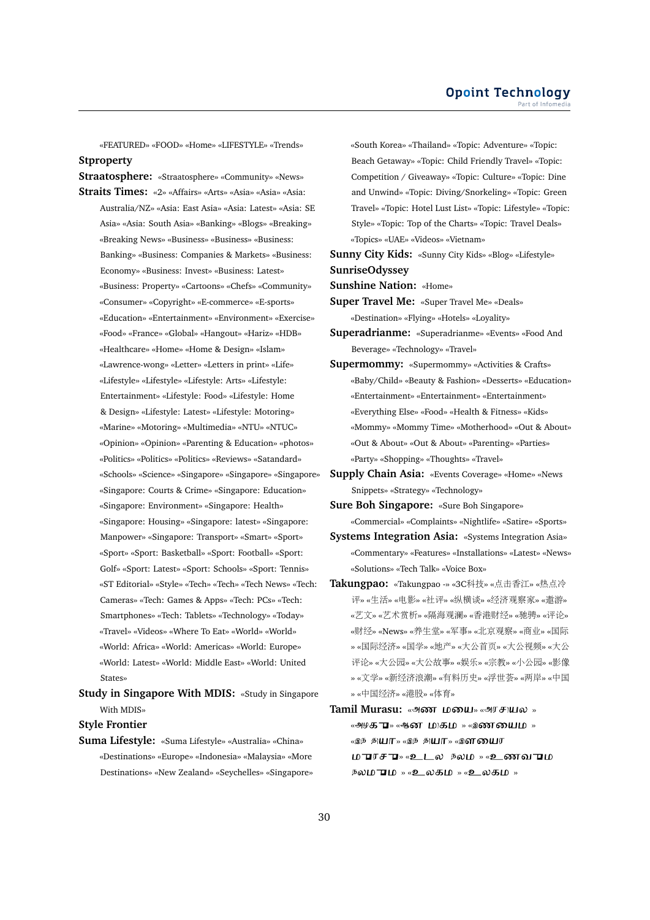«FEATURED» «FOOD» «Home» «LIFESTYLE» «Trends» **Stproperty**

**Straatosphere:** «Straatosphere» «Community» «News» **Straits Times:** «2» «Affairs» «Arts» «Asia» «Asia» «Asia:

Australia/NZ» «Asia: East Asia» «Asia: Latest» «Asia: SE Asia» «Asia: South Asia» «Banking» «Blogs» «Breaking» «Breaking News» «Business» «Business» «Business: Banking» «Business: Companies & Markets» «Business: Economy» «Business: Invest» «Business: Latest» «Business: Property» «Cartoons» «Chefs» «Community» «Consumer» «Copyright» «E-commerce» «E-sports» «Education» «Entertainment» «Environment» «Exercise» «Food» «France» «Global» «Hangout» «Hariz» «HDB» «Healthcare» «Home» «Home & Design» «Islam» «Lawrence-wong» «Letter» «Letters in print» «Life» «Lifestyle» «Lifestyle» «Lifestyle: Arts» «Lifestyle: Entertainment» «Lifestyle: Food» «Lifestyle: Home & Design» «Lifestyle: Latest» «Lifestyle: Motoring» «Marine» «Motoring» «Multimedia» «NTU» «NTUC» «Opinion» «Opinion» «Parenting & Education» «photos» «Politics» «Politics» «Politics» «Reviews» «Satandard» «Schools» «Science» «Singapore» «Singapore» «Singapore» «Singapore: Courts & Crime» «Singapore: Education» «Singapore: Environment» «Singapore: Health» «Singapore: Housing» «Singapore: latest» «Singapore: Manpower» «Singapore: Transport» «Smart» «Sport» «Sport» «Sport: Basketball» «Sport: Football» «Sport: Golf» «Sport: Latest» «Sport: Schools» «Sport: Tennis» «ST Editorial» «Style» «Tech» «Tech» «Tech News» «Tech: Cameras» «Tech: Games & Apps» «Tech: PCs» «Tech: Smartphones» «Tech: Tablets» «Technology» «Today» «Travel» «Videos» «Where To Eat» «World» «World» «World: Africa» «World: Americas» «World: Europe» «World: Latest» «World: Middle East» «World: United States»

**Study in Singapore With MDIS:** «Study in Singapore With MDIS»

# **Style Frontier**

**Suma Lifestyle:** «Suma Lifestyle» «Australia» «China» «Destinations» «Europe» «Indonesia» «Malaysia» «More Destinations» «New Zealand» «Seychelles» «Singapore» «South Korea» «Thailand» «Topic: Adventure» «Topic: Beach Getaway» «Topic: Child Friendly Travel» «Topic: Competition / Giveaway» «Topic: Culture» «Topic: Dine and Unwind» «Topic: Diving/Snorkeling» «Topic: Green Travel» «Topic: Hotel Lust List» «Topic: Lifestyle» «Topic: Style» «Topic: Top of the Charts» «Topic: Travel Deals» «Topics» «UAE» «Videos» «Vietnam»

**Sunny City Kids:** «Sunny City Kids» «Blog» «Lifestyle» **SunriseOdyssey**

**Sunshine Nation:** «Home»

**Super Travel Me:** «Super Travel Me» «Deals» «Destination» «Flying» «Hotels» «Loyality»

**Superadrianme:** «Superadrianme» «Events» «Food And Beverage» «Technology» «Travel»

- **Supermommy:** «Supermommy» «Activities & Crafts» «Baby/Child» «Beauty & Fashion» «Desserts» «Education» «Entertainment» «Entertainment» «Entertainment» «Everything Else» «Food» «Health & Fitness» «Kids» «Mommy» «Mommy Time» «Motherhood» «Out & About» «Out & About» «Out & About» «Parenting» «Parties» «Party» «Shopping» «Thoughts» «Travel»
- **Supply Chain Asia:** «Events Coverage» «Home» «News Snippets» «Strategy» «Technology»

**Sure Boh Singapore:** «Sure Boh Singapore» «Commercial» «Complaints» «Nightlife» «Satire» «Sports»

- **Systems Integration Asia:** «Systems Integration Asia» «Commentary» «Features» «Installations» «Latest» «News» «Solutions» «Tech Talk» «Voice Box»
- **Takungpao:** «Takungpao -» «3C科技» «点击香江» «热点<sup>冷</sup> <sup>评</sup>» «生活» «电影» «社评» «纵横谈» «经济观察家» «遨游» «艺文» «艺术赏析» «隔海观澜» «香港财经» «驰骋» «评论» «财经» «News» «养生堂» «军事» «北京观察» «商业» «国<sup>际</sup> » «国际经济» «国学» «地产» «大公首页» «大公视频» «大<sup>公</sup> 评论» «大公园» «大公故事» «娱乐» «宗教» «小公园» «影<sup>像</sup> » «文学» «新经济浪潮» «有料历史» «浮世荟» «两岸» «中<sup>国</sup> » «中国经济» «港股» «体育»
- Tamil Murasu: «அண மயை» «அரசுயல» «அழ**து ப**» «ஆனா முதும் » «இண்யையும் » «இந் தி**யா** » «இந் தி**யா » «இளமைய**ர ம<del>ப</del>ரசு — » «உடல நலம » «உணவபம  $\overline{p}$ லம $\overline{p}$ ம $\rightarrow$  «உலகம $\rightarrow$  » «உலகம $\rightarrow$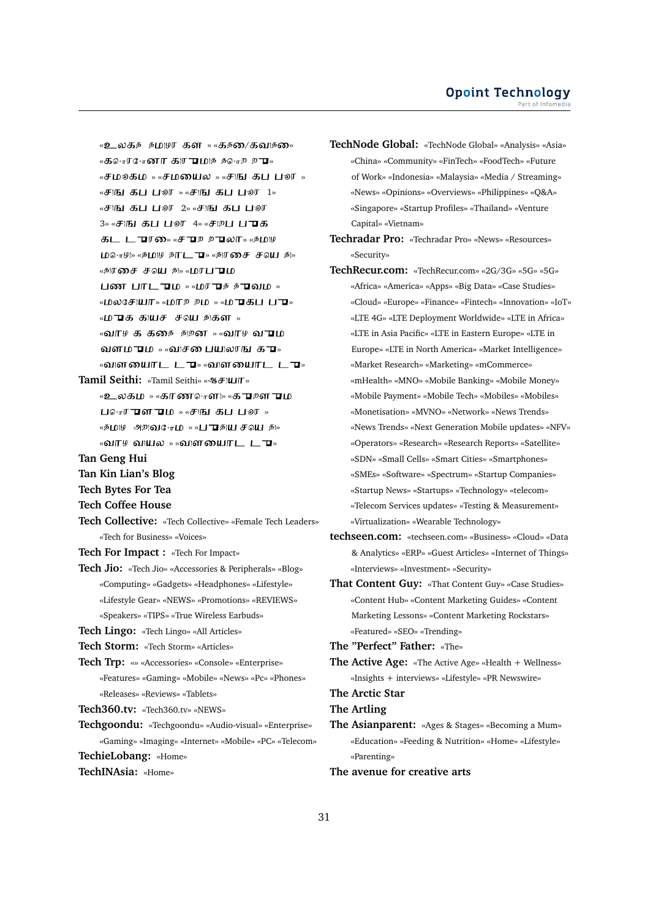$\alpha$ உலக உதுவுர கள $\alpha$  »  $\alpha$ கண் $\alpha$ கவு உண்  $\kappa$ கொடீ $\kappa$ -ை காயமை கூசு மா «சமூகம » «சமயைல » «சாவ கப பூர »  $\mathbb{R}$   $\mathbb{R}$   $\mathbb{R}$   $\mathbb{R}$   $\mathbb{R}$   $\mathbb{R}$   $\mathbb{R}$   $\mathbb{R}$   $\mathbb{R}$   $\mathbb{R}$   $\mathbb{R}$   $\mathbb{R}$   $\mathbb{R}$   $\mathbb{R}$   $\mathbb{R}$   $\mathbb{R}$   $\mathbb{R}$   $\mathbb{R}$   $\mathbb{R}$   $\mathbb{R}$   $\mathbb{R}$   $\mathbb{R}$   $\mathbb{R}$   $\mathbb{R}$   $\mathbb{$ «சாங்கப் பூலா 2» «சாங்கப் பூலா 3» «**சாங கப ப**லர 4» «சாறப ப**ுக** கட ட**ுர**ை «சு **பு** உ உலா » «உறு  $LDG \cdot r \mathfrak{P}$ » «தீ $LD \mathfrak{P}$  தாடு  $\nabla$ » «திரசை சீவெ தி» «தரசை சவு து» «மரப**ு**ம  $\frac{1}{2}$  **M**  $\frac{1}{2}$   $\frac{1}{2}$   $\frac{1}{2}$   $\frac{1}{2}$   $\frac{1}{2}$   $\frac{1}{2}$   $\frac{1}{2}$   $\frac{1}{2}$   $\frac{1}{2}$   $\frac{1}{2}$   $\frac{1}{2}$   $\frac{1}{2}$   $\frac{1}{2}$   $\frac{1}{2}$   $\frac{1}{2}$   $\frac{1}{2}$   $\frac{1}{2}$   $\frac{1}{2}$   $\frac{1}{2}$   $\frac{1}{2}$   $\frac{1}{2$ «மலசேயா» «மாஜ உம » «முகப் புக «ம**ுக** கூயச் சவு தகள<sub>»</sub> «வாச க கசை அறன » «வாச வ**ு**ம வளம**ு**ம<sub>»</sub> «வசை பையலரங க**ு** «விளயைாட ட**ு**» «விளயைாட ட**ு**» **Tamil Seithi:** «Tamil Seithi» « » «உலகம » «காண⊶ொள» «க**ு**றள**ு**ம  $\Box$ ொர**ு**ளும<sub>»</sub> «சுங்கப்பூர<sub>»</sub>  $\sim$  10  $\mu$  appois  $\sim$  10  $\sim$   $\sim$  1  $\sim$  10  $\mu$  appoint  $\sim$ «வாഴ வயல » «வளயைாட ட**ு**» **Tan Geng Hui Tan Kin Lian's Blog Tech Bytes For Tea Tech Coffee House Tech Collective:** «Tech Collective» «Female Tech Leaders» «Tech for Business» «Voices» **Tech For Impact :** «Tech For Impact» **Tech Jio:** «Tech Jio» «Accessories & Peripherals» «Blog» «Computing» «Gadgets» «Headphones» «Lifestyle» «Lifestyle Gear» «NEWS» «Promotions» «REVIEWS» «Speakers» «TIPS» «True Wireless Earbuds» **Tech Lingo:** «Tech Lingo» «All Articles» **Tech Storm:** «Tech Storm» «Articles» **Tech Trp:** «» «Accessories» «Console» «Enterprise» «Features» «Gaming» «Mobile» «News» «Pc» «Phones» «Releases» «Reviews» «Tablets» **Tech360.tv:** «Tech360.tv» «NEWS» **Techgoondu:** «Techgoondu» «Audio-visual» «Enterprise» «Gaming» «Imaging» «Internet» «Mobile» «PC» «Telecom» **TechieLobang:** «Home»

**TechINAsia:** «Home»

**TechNode Global:** «TechNode Global» «Analysis» «Asia» «China» «Community» «FinTech» «FoodTech» «Future of Work» «Indonesia» «Malaysia» «Media / Streaming» «News» «Opinions» «Overviews» «Philippines» «Q&A» «Singapore» «Startup Profiles» «Thailand» «Venture Capital» «Vietnam»

- **Techradar Pro:** «Techradar Pro» «News» «Resources» «Security»
- **TechRecur.com:** «TechRecur.com» «2G/3G» «5G» «5G» «Africa» «America» «Apps» «Big Data» «Case Studies» «Cloud» «Europe» «Finance» «Fintech» «Innovation» «IoT» «LTE 4G» «LTE Deployment Worldwide» «LTE in Africa» «LTE in Asia Pacific» «LTE in Eastern Europe» «LTE in Europe» «LTE in North America» «Market Intelligence» «Market Research» «Marketing» «mCommerce» «mHealth» «MNO» «Mobile Banking» «Mobile Money» «Mobile Payment» «Mobile Tech» «Mobiles» «Mobiles» «Monetisation» «MVNO» «Network» «News Trends» «News Trends» «Next Generation Mobile updates» «NFV» «Operators» «Research» «Research Reports» «Satellite» «SDN» «Small Cells» «Smart Cities» «Smartphones» «SMEs» «Software» «Spectrum» «Startup Companies» «Startup News» «Startups» «Technology» «telecom» «Telecom Services updates» «Testing & Measurement» «Virtualization» «Wearable Technology»
- **techseen.com:** «techseen.com» «Business» «Cloud» «Data & Analytics» «ERP» «Guest Articles» «Internet of Things» «Interviews» «Investment» «Security»
- **That Content Guy:** «That Content Guy» «Case Studies» «Content Hub» «Content Marketing Guides» «Content Marketing Lessons» «Content Marketing Rockstars» «Featured» «SEO» «Trending»

**The "Perfect" Father:** «The»

**The Active Age:** «The Active Age» «Health + Wellness» «Insights + interviews» «Lifestyle» «PR Newswire»

#### **The Arctic Star**

**The Artling**

**The Asianparent:** «Ages & Stages» «Becoming a Mum» «Education» «Feeding & Nutrition» «Home» «Lifestyle» «Parenting»

**The avenue for creative arts**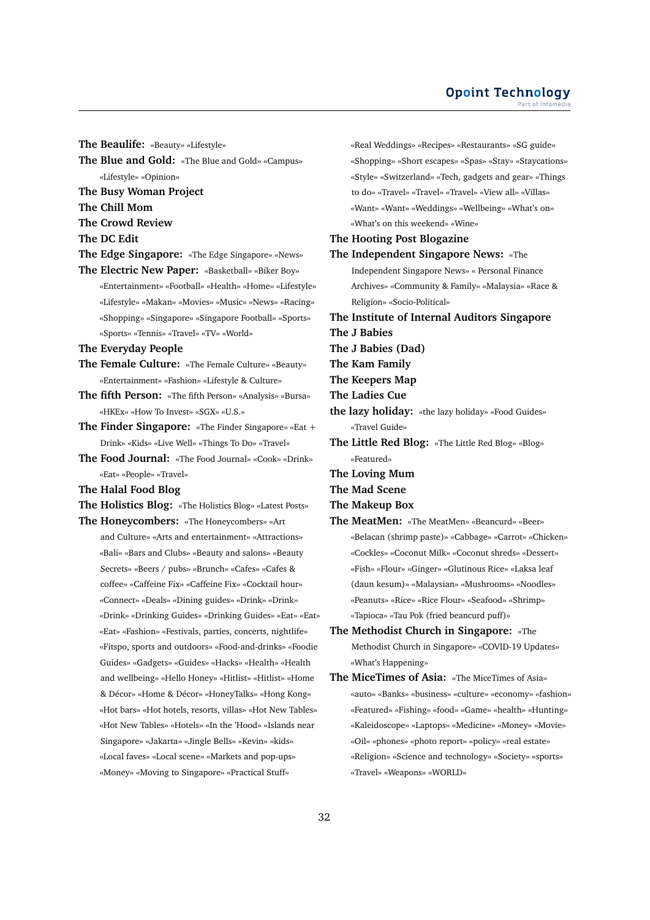#### **Opoint Technology** Part of Infomed

**The Beaulife:** «Beauty» «Lifestyle»

- **The Blue and Gold:** «The Blue and Gold» «Campus» «Lifestyle» «Opinion»
- **The Busy Woman Project**
- **The Chill Mom**
- **The Crowd Review**
- **The DC Edit**
- **The Edge Singapore:** «The Edge Singapore» «News»
- **The Electric New Paper:** «Basketball» «Biker Boy» «Entertainment» «Football» «Health» «Home» «Lifestyle» «Lifestyle» «Makan» «Movies» «Music» «News» «Racing» «Shopping» «Singapore» «Singapore Football» «Sports» «Sports» «Tennis» «Travel» «TV» «World»
- **The Everyday People**
- **The Female Culture:** «The Female Culture» «Beauty» «Entertainment» «Fashion» «Lifestyle & Culture»
- **The fifth Person:** «The fifth Person» «Analysis» «Bursa» «HKEx» «How To Invest» «SGX» «U.S.»
- **The Finder Singapore:** «The Finder Singapore» «Eat + Drink» «Kids» «Live Well» «Things To Do» «Travel»
- **The Food Journal:** «The Food Journal» «Cook» «Drink» «Eat» «People» «Travel»
- **The Halal Food Blog**
- **The Holistics Blog:** «The Holistics Blog» «Latest Posts»

**The Honeycombers:** «The Honeycombers» «Art

and Culture» «Arts and entertainment» «Attractions» «Bali» «Bars and Clubs» «Beauty and salons» «Beauty Secrets» «Beers / pubs» «Brunch» «Cafes» «Cafes & coffee» «Caffeine Fix» «Caffeine Fix» «Cocktail hour» «Connect» «Deals» «Dining guides» «Drink» «Drink» «Drink» «Drinking Guides» «Drinking Guides» «Eat» «Eat» «Eat» «Fashion» «Festivals, parties, concerts, nightlife» «Fitspo, sports and outdoors» «Food-and-drinks» «Foodie Guides» «Gadgets» «Guides» «Hacks» «Health» «Health and wellbeing» «Hello Honey» «Hitlist» «Hitlist» «Home & Décor» «Home & Décor» «HoneyTalks» «Hong Kong» «Hot bars» «Hot hotels, resorts, villas» «Hot New Tables» «Hot New Tables» «Hotels» «In the 'Hood» «Islands near Singapore» «Jakarta» «Jingle Bells» «Kevin» «kids» «Local faves» «Local scene» «Markets and pop-ups» «Money» «Moving to Singapore» «Practical Stuff»

«Real Weddings» «Recipes» «Restaurants» «SG guide» «Shopping» «Short escapes» «Spas» «Stay» «Staycations» «Style» «Switzerland» «Tech, gadgets and gear» «Things to do» «Travel» «Travel» «Travel» «View all» «Villas» «Want» «Want» «Weddings» «Wellbeing» «What's on» «What's on this weekend» «Wine» **The Hooting Post Blogazine The Independent Singapore News:** «The Independent Singapore News» « Personal Finance Archives» «Community & Family» «Malaysia» «Race & Religion» «Socio-Political» **The Institute of Internal Auditors Singapore The J Babies The J Babies (Dad) The Kam Family The Keepers Map The Ladies Cue the lazy holiday:** «the lazy holiday» «Food Guides» «Travel Guide» **The Little Red Blog:** «The Little Red Blog» «Blog» «Featured» **The Loving Mum The Mad Scene The Makeup Box The MeatMen:** «The MeatMen» «Beancurd» «Beer» «Belacan (shrimp paste)» «Cabbage» «Carrot» «Chicken» «Cockles» «Coconut Milk» «Coconut shreds» «Dessert»

- «Fish» «Flour» «Ginger» «Glutinous Rice» «Laksa leaf (daun kesum)» «Malaysian» «Mushrooms» «Noodles» «Peanuts» «Rice» «Rice Flour» «Seafood» «Shrimp» «Tapioca» «Tau Pok (fried beancurd puff)»
- **The Methodist Church in Singapore:** «The Methodist Church in Singapore» «COVID-19 Updates» «What's Happening»
- **The MiceTimes of Asia:** «The MiceTimes of Asia» «auto» «Banks» «business» «culture» «economy» «fashion» «Featured» «Fishing» «food» «Game» «health» «Hunting» «Kaleidoscope» «Laptops» «Medicine» «Money» «Movie» «Oil» «phones» «photo report» «policy» «real estate» «Religion» «Science and technology» «Society» «sports» «Travel» «Weapons» «WORLD»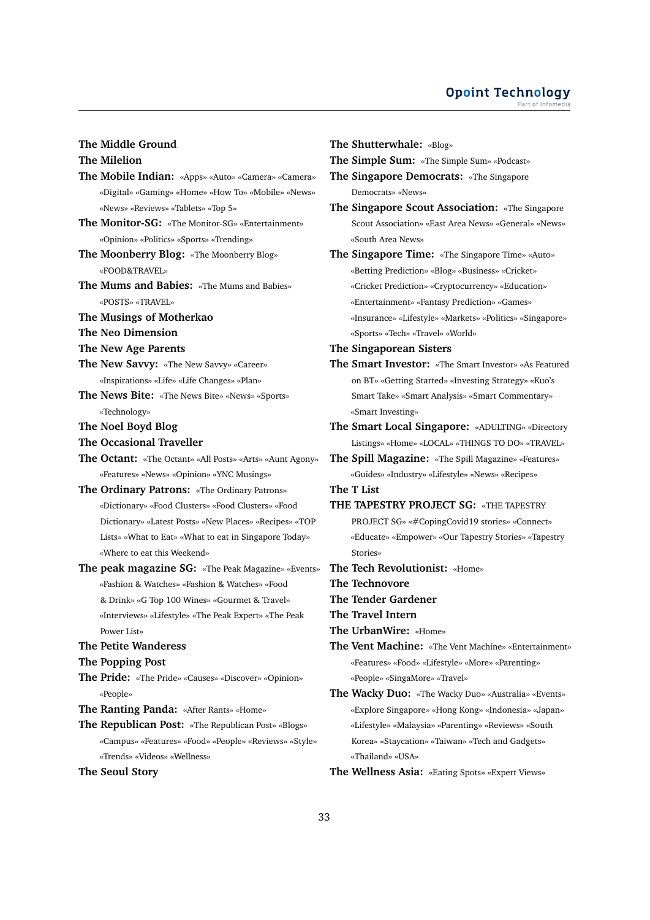# **The Middle Ground**

# **The Milelion**

- **The Mobile Indian:** «Apps» «Auto» «Camera» «Camera» «Digital» «Gaming» «Home» «How To» «Mobile» «News» «News» «Reviews» «Tablets» «Top 5»
- **The Monitor-SG:** «The Monitor-SG» «Entertainment» «Opinion» «Politics» «Sports» «Trending»
- **The Moonberry Blog:** «The Moonberry Blog» «FOOD&TRAVEL»
- **The Mums and Babies:** «The Mums and Babies» «POSTS» «TRAVEL»
- **The Musings of Motherkao**
- **The Neo Dimension**
- **The New Age Parents**
- **The New Savvy:** «The New Savvy» «Career» «Inspirations» «Life» «Life Changes» «Plan»
- **The News Bite:** «The News Bite» «News» «Sports» «Technology»
- **The Noel Boyd Blog**
- **The Occasional Traveller**
- **The Octant:** «The Octant» «All Posts» «Arts» «Aunt Agony» «Features» «News» «Opinion» «YNC Musings»
- **The Ordinary Patrons:** «The Ordinary Patrons» «Dictionary» «Food Clusters» «Food Clusters» «Food Dictionary» «Latest Posts» «New Places» «Recipes» «TOP Lists» «What to Eat» «What to eat in Singapore Today» «Where to eat this Weekend»
- **The peak magazine SG:** «The Peak Magazine» «Events» «Fashion & Watches» «Fashion & Watches» «Food & Drink» «G Top 100 Wines» «Gourmet & Travel» «Interviews» «Lifestyle» «The Peak Expert» «The Peak Power List»

#### **The Petite Wanderess**

**The Popping Post**

- **The Pride:** «The Pride» «Causes» «Discover» «Opinion» «People»
- **The Ranting Panda:** «After Rants» «Home»
- **The Republican Post:** «The Republican Post» «Blogs» «Campus» «Features» «Food» «People» «Reviews» «Style» «Trends» «Videos» «Wellness»
- **The Seoul Story**

**The Shutterwhale:** «Blog»

**The Simple Sum:** «The Simple Sum» «Podcast»

**The Singapore Democrats:** «The Singapore Democrats» «News»

- **The Singapore Scout Association:** «The Singapore Scout Association» «East Area News» «General» «News» «South Area News»
- **The Singapore Time:** «The Singapore Time» «Auto» «Betting Prediction» «Blog» «Business» «Cricket» «Cricket Prediction» «Cryptocurrency» «Education» «Entertainment» «Fantasy Prediction» «Games» «Insurance» «Lifestyle» «Markets» «Politics» «Singapore» «Sports» «Tech» «Travel» «World»
- **The Singaporean Sisters**
- **The Smart Investor:** «The Smart Investor» «As Featured on BT» «Getting Started» «Investing Strategy» «Kuo's Smart Take» «Smart Analysis» «Smart Commentary» «Smart Investing»
- **The Smart Local Singapore:** «ADULTING» «Directory Listings» «Home» «LOCAL» «THINGS TO DO» «TRAVEL»
- **The Spill Magazine:** «The Spill Magazine» «Features» «Guides» «Industry» «Lifestyle» «News» «Recipes»

**The T List**

- **THE TAPESTRY PROJECT SG:** «THE TAPESTRY PROJECT SG» «#CopingCovid19 stories» «Connect» «Educate» «Empower» «Our Tapestry Stories» «Tapestry Stories»
- **The Tech Revolutionist:** «Home»

**The Technovore**

- **The Tender Gardener**
- **The Travel Intern**
- **The UrbanWire:** «Home»
- **The Vent Machine:** «The Vent Machine» «Entertainment» «Features» «Food» «Lifestyle» «More» «Parenting» «People» «SingaMore» «Travel»
- **The Wacky Duo:** «The Wacky Duo» «Australia» «Events» «Explore Singapore» «Hong Kong» «Indonesia» «Japan» «Lifestyle» «Malaysia» «Parenting» «Reviews» «South Korea» «Staycation» «Taiwan» «Tech and Gadgets» «Thailand» «USA»

**The Wellness Asia:** «Eating Spots» «Expert Views»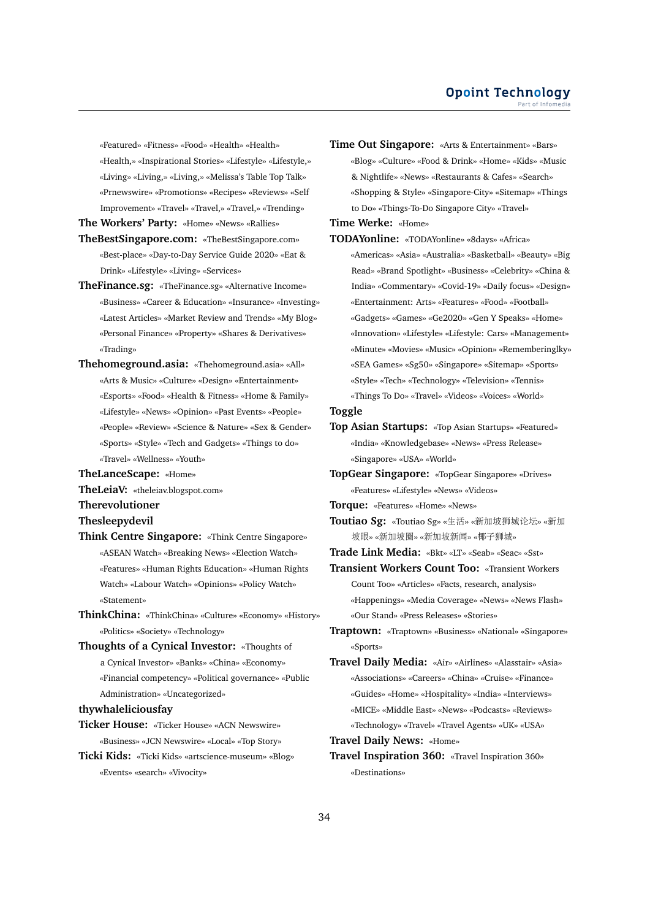«Featured» «Fitness» «Food» «Health» «Health» «Health,» «Inspirational Stories» «Lifestyle» «Lifestyle,» «Living» «Living,» «Living,» «Melissa's Table Top Talk» «Prnewswire» «Promotions» «Recipes» «Reviews» «Self Improvement» «Travel» «Travel,» «Travel,» «Trending»

**The Workers' Party:** «Home» «News» «Rallies»

- **TheBestSingapore.com:** «TheBestSingapore.com» «Best-place» «Day-to-Day Service Guide 2020» «Eat & Drink» «Lifestyle» «Living» «Services»
- **TheFinance.sg:** «TheFinance.sg» «Alternative Income» «Business» «Career & Education» «Insurance» «Investing» «Latest Articles» «Market Review and Trends» «My Blog» «Personal Finance» «Property» «Shares & Derivatives» «Trading»
- **Thehomeground.asia:** «Thehomeground.asia» «All» «Arts & Music» «Culture» «Design» «Entertainment» «Esports» «Food» «Health & Fitness» «Home & Family» «Lifestyle» «News» «Opinion» «Past Events» «People» «People» «Review» «Science & Nature» «Sex & Gender» «Sports» «Style» «Tech and Gadgets» «Things to do» «Travel» «Wellness» «Youth»

**TheLanceScape:** «Home»

- **TheLeiaV:** «theleiav.blogspot.com»
- **Therevolutioner**

#### **Thesleepydevil**

- **Think Centre Singapore:** «Think Centre Singapore» «ASEAN Watch» «Breaking News» «Election Watch» «Features» «Human Rights Education» «Human Rights Watch» «Labour Watch» «Opinions» «Policy Watch» «Statement»
- **ThinkChina:** «ThinkChina» «Culture» «Economy» «History» «Politics» «Society» «Technology»
- **Thoughts of a Cynical Investor:** «Thoughts of a Cynical Investor» «Banks» «China» «Economy» «Financial competency» «Political governance» «Public Administration» «Uncategorized»

#### **thywhaleliciousfay**

- **Ticker House:** «Ticker House» «ACN Newswire» «Business» «JCN Newswire» «Local» «Top Story»
- **Ticki Kids:** «Ticki Kids» «artscience-museum» «Blog» «Events» «search» «Vivocity»

**Time Out Singapore:** «Arts & Entertainment» «Bars» «Blog» «Culture» «Food & Drink» «Home» «Kids» «Music & Nightlife» «News» «Restaurants & Cafes» «Search» «Shopping & Style» «Singapore-City» «Sitemap» «Things to Do» «Things-To-Do Singapore City» «Travel»

**Time Werke:** «Home»

**TODAYonline:** «TODAYonline» «8days» «Africa» «Americas» «Asia» «Australia» «Basketball» «Beauty» «Big Read» «Brand Spotlight» «Business» «Celebrity» «China & India» «Commentary» «Covid-19» «Daily focus» «Design» «Entertainment: Arts» «Features» «Food» «Football» «Gadgets» «Games» «Ge2020» «Gen Y Speaks» «Home» «Innovation» «Lifestyle» «Lifestyle: Cars» «Management» «Minute» «Movies» «Music» «Opinion» «Rememberinglky» «SEA Games» «Sg50» «Singapore» «Sitemap» «Sports» «Style» «Tech» «Technology» «Television» «Tennis» «Things To Do» «Travel» «Videos» «Voices» «World»

#### **Toggle**

- **Top Asian Startups:** «Top Asian Startups» «Featured» «India» «Knowledgebase» «News» «Press Release» «Singapore» «USA» «World»
- **TopGear Singapore:** «TopGear Singapore» «Drives» «Features» «Lifestyle» «News» «Videos»

**Torque:** «Features» «Home» «News»

- **Toutiao Sg:** «Toutiao Sg» «生活» «新加坡狮城论坛» «新<sup>加</sup> <sup>坡</sup>眼» «新加坡圈» «新加坡新闻» «椰子狮城»
- **Trade Link Media:** «Bkt» «LT» «Seab» «Seac» «Sst»

**Transient Workers Count Too:** «Transient Workers Count Too» «Articles» «Facts, research, analysis» «Happenings» «Media Coverage» «News» «News Flash» «Our Stand» «Press Releases» «Stories»

- **Traptown:** «Traptown» «Business» «National» «Singapore» «Sports»
- **Travel Daily Media:** «Air» «Airlines» «Alasstair» «Asia» «Associations» «Careers» «China» «Cruise» «Finance» «Guides» «Home» «Hospitality» «India» «Interviews» «MICE» «Middle East» «News» «Podcasts» «Reviews» «Technology» «Travel» «Travel Agents» «UK» «USA»
- **Travel Daily News:** «Home»
- **Travel Inspiration 360:** «Travel Inspiration 360» «Destinations»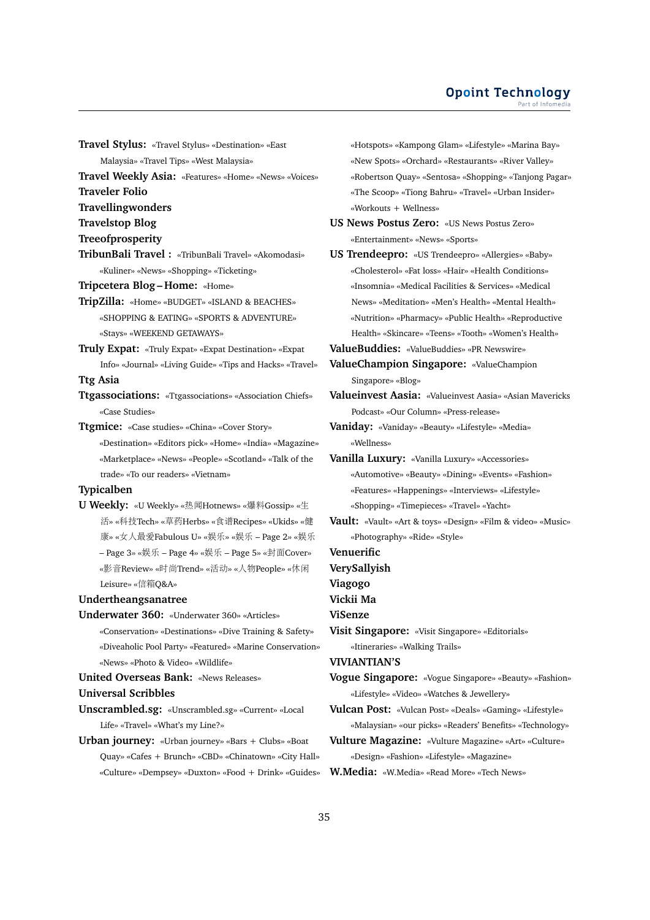**Travel Stylus:** «Travel Stylus» «Destination» «East

Malaysia» «Travel Tips» «West Malaysia»

- **Travel Weekly Asia:** «Features» «Home» «News» «Voices»
- **Traveler Folio**
- **Travellingwonders**
- **Travelstop Blog**
- **Treeofprosperity**
- **TribunBali Travel :** «TribunBali Travel» «Akomodasi» «Kuliner» «News» «Shopping» «Ticketing»
- **Tripcetera Blog Home:** «Home»
- **TripZilla:** «Home» «BUDGET» «ISLAND & BEACHES» «SHOPPING & EATING» «SPORTS & ADVENTURE» «Stays» «WEEKEND GETAWAYS»
- **Truly Expat:** «Truly Expat» «Expat Destination» «Expat Info» «Journal» «Living Guide» «Tips and Hacks» «Travel»

# **Ttg Asia**

- **Ttgassociations:** «Ttgassociations» «Association Chiefs» «Case Studies»
- **Ttgmice:** «Case studies» «China» «Cover Story» «Destination» «Editors pick» «Home» «India» «Magazine» «Marketplace» «News» «People» «Scotland» «Talk of the trade» «To our readers» «Vietnam»

#### **Typicalben**

**U Weekly:** «U Weekly» «热闻Hotnews» «爆料Gossip» «生 <sup>活</sup>» «科技Tech» «草药Herbs» «食谱Recipes» «Ukids» «<sup>健</sup> <sup>康</sup>» «女人最爱Fabulous U» «娱乐» «娱<sup>乐</sup> – Page 2» «娱<sup>乐</sup> – Page 3» «娱乐 – Page 4» «娱乐 – Page 5» «封面Cover» «影音Review» «时尚Trend» «活动» «人物People» «休<sup>闲</sup> Leisure» «信箱Q&A»

#### **Undertheangsanatree**

**Underwater 360:** «Underwater 360» «Articles» «Conservation» «Destinations» «Dive Training & Safety» «Diveaholic Pool Party» «Featured» «Marine Conservation» «News» «Photo & Video» «Wildlife»

# **United Overseas Bank:** «News Releases»

### **Universal Scribbles**

**Unscrambled.sg:** «Unscrambled.sg» «Current» «Local Life» «Travel» «What's my Line?»

**Urban journey:** «Urban journey» «Bars + Clubs» «Boat Quay» «Cafes + Brunch» «CBD» «Chinatown» «City Hall» «Culture» «Dempsey» «Duxton» «Food + Drink» «Guides» «Hotspots» «Kampong Glam» «Lifestyle» «Marina Bay» «New Spots» «Orchard» «Restaurants» «River Valley» «Robertson Quay» «Sentosa» «Shopping» «Tanjong Pagar» «The Scoop» «Tiong Bahru» «Travel» «Urban Insider» «Workouts + Wellness»

- **US News Postus Zero:** «US News Postus Zero» «Entertainment» «News» «Sports»
- **US Trendeepro:** «US Trendeepro» «Allergies» «Baby» «Cholesterol» «Fat loss» «Hair» «Health Conditions» «Insomnia» «Medical Facilities & Services» «Medical News» «Meditation» «Men's Health» «Mental Health» «Nutrition» «Pharmacy» «Public Health» «Reproductive Health» «Skincare» «Teens» «Tooth» «Women's Health»
- **ValueBuddies:** «ValueBuddies» «PR Newswire»
- **ValueChampion Singapore:** «ValueChampion Singapore» «Blog»
- **Valueinvest Aasia:** «Valueinvest Aasia» «Asian Mavericks Podcast» «Our Column» «Press-release»
- **Vaniday:** «Vaniday» «Beauty» «Lifestyle» «Media» «Wellness»
- **Vanilla Luxury:** «Vanilla Luxury» «Accessories» «Automotive» «Beauty» «Dining» «Events» «Fashion» «Features» «Happenings» «Interviews» «Lifestyle» «Shopping» «Timepieces» «Travel» «Yacht»
- **Vault:** «Vault» «Art & toys» «Design» «Film & video» «Music» «Photography» «Ride» «Style»
- **Venuerific**

**VerySallyish**

**Viagogo**

**Vickii Ma**

**ViSenze**

**Visit Singapore:** «Visit Singapore» «Editorials» «Itineraries» «Walking Trails»

**VIVIANTIAN'S**

**Vogue Singapore:** «Vogue Singapore» «Beauty» «Fashion» «Lifestyle» «Video» «Watches & Jewellery»

**Vulcan Post:** «Vulcan Post» «Deals» «Gaming» «Lifestyle» «Malaysian» «our picks» «Readers' Benefits» «Technology»

**Vulture Magazine:** «Vulture Magazine» «Art» «Culture» «Design» «Fashion» «Lifestyle» «Magazine»

**W.Media:** «W.Media» «Read More» «Tech News»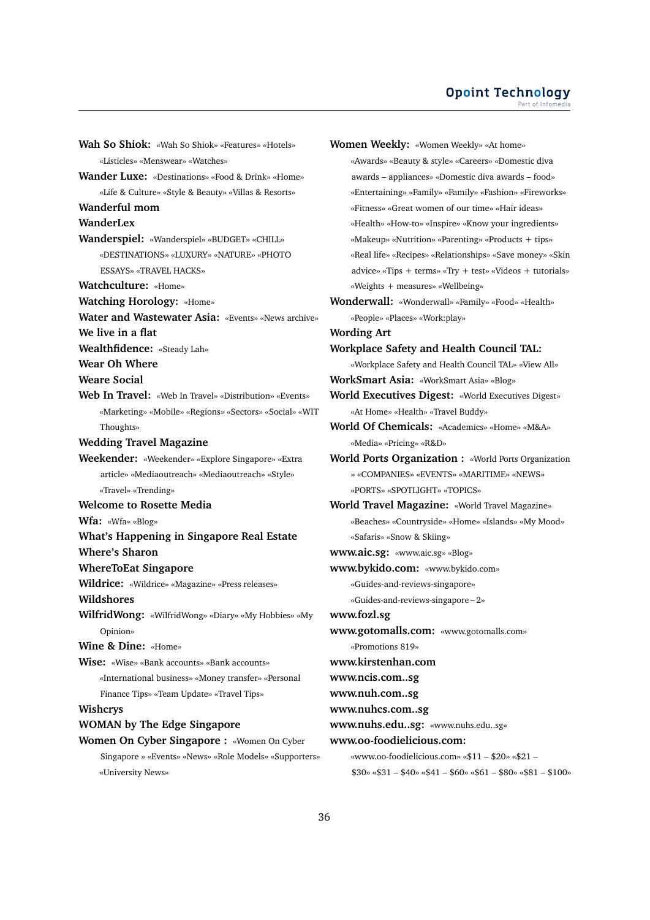**Wah So Shiok:** «Wah So Shiok» «Features» «Hotels» «Listicles» «Menswear» «Watches» **Wander Luxe:** «Destinations» «Food & Drink» «Home» «Life & Culture» «Style & Beauty» «Villas & Resorts» **Wanderful mom WanderLex Wanderspiel:** «Wanderspiel» «BUDGET» «CHILL» «DESTINATIONS» «LUXURY» «NATURE» «PHOTO ESSAYS» «TRAVEL HACKS» **Watchculture:** «Home» **Watching Horology:** «Home» **Water and Wastewater Asia:** «Events» «News archive» **We live in a flat Wealthfidence:** «Steady Lah» **Wear Oh Where Weare Social Web In Travel:** «Web In Travel» «Distribution» «Events» «Marketing» «Mobile» «Regions» «Sectors» «Social» «WIT Thoughts» **Wedding Travel Magazine Weekender:** «Weekender» «Explore Singapore» «Extra article» «Mediaoutreach» «Mediaoutreach» «Style» «Travel» «Trending» **Welcome to Rosette Media Wfa:** «Wfa» «Blog» **What's Happening in Singapore Real Estate Where's Sharon WhereToEat Singapore Wildrice:** «Wildrice» «Magazine» «Press releases» **Wildshores WilfridWong:** «WilfridWong» «Diary» «My Hobbies» «My Opinion» **Wine & Dine:** «Home» **Wise:** «Wise» «Bank accounts» «Bank accounts» «International business» «Money transfer» «Personal Finance Tips» «Team Update» «Travel Tips» **Wishcrys WOMAN by The Edge Singapore Women On Cyber Singapore :** «Women On Cyber Singapore » «Events» «News» «Role Models» «Supporters» «University News»

**Women Weekly:** «Women Weekly» «At home» «Awards» «Beauty & style» «Careers» «Domestic diva awards – appliances» «Domestic diva awards – food» «Entertaining» «Family» «Family» «Fashion» «Fireworks» «Fitness» «Great women of our time» «Hair ideas» «Health» «How-to» «Inspire» «Know your ingredients» «Makeup» «Nutrition» «Parenting» «Products + tips» «Real life» «Recipes» «Relationships» «Save money» «Skin advice» «Tips + terms» «Try + test» «Videos + tutorials» «Weights + measures» «Wellbeing» **Wonderwall:** «Wonderwall» «Family» «Food» «Health» «People» «Places» «Work:play» **Wording Art Workplace Safety and Health Council TAL:** «Workplace Safety and Health Council TAL» «View All» **WorkSmart Asia:** «WorkSmart Asia» «Blog» **World Executives Digest:** «World Executives Digest» «At Home» «Health» «Travel Buddy» **World Of Chemicals:** «Academics» «Home» «M&A» «Media» «Pricing» «R&D» **World Ports Organization :** «World Ports Organization » «COMPANIES» «EVENTS» «MARITIME» «NEWS» «PORTS» «SPOTLIGHT» «TOPICS» **World Travel Magazine:** «World Travel Magazine» «Beaches» «Countryside» «Home» «Islands» «My Mood» «Safaris» «Snow & Skiing» **www.aic.sg:** «www.aic.sg» «Blog» **www.bykido.com:** «www.bykido.com» «Guides-and-reviews-singapore» «Guides-and-reviews-singapore – 2» **www.fozl.sg www.gotomalls.com:** «www.gotomalls.com» «Promotions 819» **www.kirstenhan.com www.ncis.com..sg www.nuh.com..sg www.nuhcs.com..sg www.nuhs.edu..sg:** «www.nuhs.edu..sg» **www.oo-foodielicious.com:** «www.oo-foodielicious.com» «\$11 – \$20» «\$21 –  $$30\%$  «\$31 – \$40» «\$41 – \$60» «\$61 – \$80» «\$81 – \$100»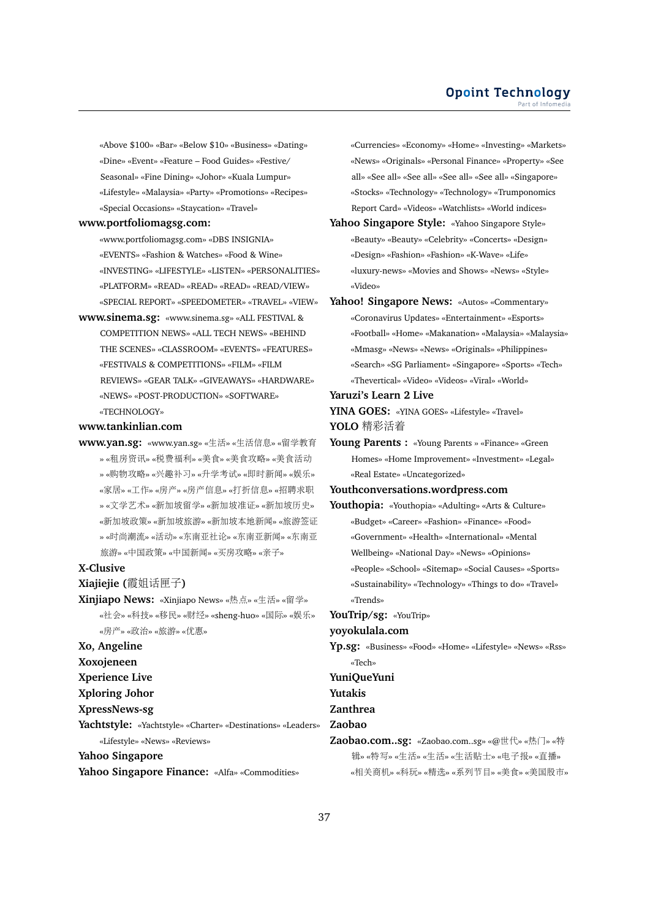«Above \$100» «Bar» «Below \$10» «Business» «Dating» «Dine» «Event» «Feature – Food Guides» «Festive/ Seasonal» «Fine Dining» «Johor» «Kuala Lumpur» «Lifestyle» «Malaysia» «Party» «Promotions» «Recipes» «Special Occasions» «Staycation» «Travel»

#### **www.portfoliomagsg.com:**

«www.portfoliomagsg.com» «DBS INSIGNIA» «EVENTS» «Fashion & Watches» «Food & Wine» «INVESTING» «LIFESTYLE» «LISTEN» «PERSONALITIES» «PLATFORM» «READ» «READ» «READ» «READ/VIEW» «SPECIAL REPORT» «SPEEDOMETER» «TRAVEL» «VIEW»

**www.sinema.sg:** «www.sinema.sg» «ALL FESTIVAL & COMPETITION NEWS» «ALL TECH NEWS» «BEHIND THE SCENES» «CLASSROOM» «EVENTS» «FEATURES» «FESTIVALS & COMPETITIONS» «FILM» «FILM REVIEWS» «GEAR TALK» «GIVEAWAYS» «HARDWARE» «NEWS» «POST-PRODUCTION» «SOFTWARE» «TECHNOLOGY»

#### **www.tankinlian.com**

**www.yan.sg:** «www.yan.sg» «生活» «生活信息» «留学教<sup>育</sup> » «租房资讯» «税费福利» «美食» «美食攻略» «美食活<sup>动</sup> » «购物攻略» «兴趣补习» «升学考试» «即时新闻» «娱乐» «家居» «工作» «房产» «房产信息» «打折信息» «招聘求<sup>职</sup> » «文学艺术» «新加坡留学» «新加坡准证» «新加坡历史» «新加坡政策» «新加坡旅游» «新加坡本地新闻» «旅游签<sup>证</sup> » «时尚潮流» «活动» «东南亚社论» «东南亚新闻» «东南<sup>亚</sup> <sup>旅</sup>游» «中国政策» «中国新闻» «买房攻略» «亲子»

#### **X-Clusive**

**Xiajiejie (**霞姐话匣子**)**

**Xinjiapo News:** «Xinjiapo News» «热点» «生活» «留学» «社会» «科技» «移民» «财经» «sheng-huo» «国际» «娱乐» «房产» «政治» «旅游» «优惠»

# **Xo, Angeline**

**Xoxojeneen**

**Xperience Live**

- **Xploring Johor**
- **XpressNews-sg**

**Yachtstyle:** «Yachtstyle» «Charter» «Destinations» «Leaders»

«Lifestyle» «News» «Reviews»

**Yahoo Singapore**

**Yahoo Singapore Finance:** «Alfa» «Commodities»

«Currencies» «Economy» «Home» «Investing» «Markets» «News» «Originals» «Personal Finance» «Property» «See all» «See all» «See all» «See all» «See all» «Singapore» «Stocks» «Technology» «Technology» «Trumponomics Report Card» «Videos» «Watchlists» «World indices»

- **Yahoo Singapore Style:** «Yahoo Singapore Style» «Beauty» «Beauty» «Celebrity» «Concerts» «Design» «Design» «Fashion» «Fashion» «K-Wave» «Life» «luxury-news» «Movies and Shows» «News» «Style» «Video»
- Yahoo! Singapore News: «Autos» «Commentary» «Coronavirus Updates» «Entertainment» «Esports» «Football» «Home» «Makanation» «Malaysia» «Malaysia» «Mmasg» «News» «News» «Originals» «Philippines» «Search» «SG Parliament» «Singapore» «Sports» «Tech» «Thevertical» «Video» «Videos» «Viral» «World»

#### **Yaruzi's Learn 2 Live**

**YINA GOES:** «YINA GOES» «Lifestyle» «Travel» **YOLO** <sup>精</sup>彩活<sup>着</sup>

**Young Parents :** «Young Parents » «Finance» «Green Homes» «Home Improvement» «Investment» «Legal» «Real Estate» «Uncategorized»

#### **Youthconversations.wordpress.com**

- **Youthopia:** «Youthopia» «Adulting» «Arts & Culture» «Budget» «Career» «Fashion» «Finance» «Food» «Government» «Health» «International» «Mental Wellbeing» «National Day» «News» «Opinions» «People» «School» «Sitemap» «Social Causes» «Sports» «Sustainability» «Technology» «Things to do» «Travel» «Trends»
- **YouTrip/sg:** «YouTrip»

#### **yoyokulala.com**

**Yp.sg:** «Business» «Food» «Home» «Lifestyle» «News» «Rss» «Tech»

#### **YuniQueYuni**

**Yutakis**

#### **Zanthrea**

- **Zaobao**
- **Zaobao.com..sg:** «Zaobao.com..sg» «@世代» «热门» «特 <sup>辑</sup>» «特写» «生活» «生活» «生活贴士» «电子报» «直播» «相关商机» «科玩» «精选» «系列节目» «美食» «美国股市»